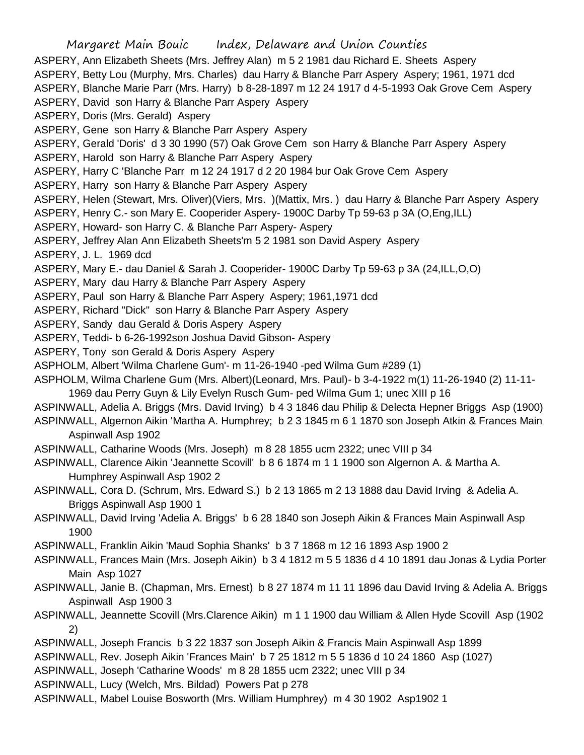Margaret Main Bouic Index, Delaware and Union Counties ASPERY, Ann Elizabeth Sheets (Mrs. Jeffrey Alan) m 5 2 1981 dau Richard E. Sheets Aspery ASPERY, Betty Lou (Murphy, Mrs. Charles) dau Harry & Blanche Parr Aspery Aspery; 1961, 1971 dcd ASPERY, Blanche Marie Parr (Mrs. Harry) b 8-28-1897 m 12 24 1917 d 4-5-1993 Oak Grove Cem Aspery ASPERY, David son Harry & Blanche Parr Aspery Aspery ASPERY, Doris (Mrs. Gerald) Aspery ASPERY, Gene son Harry & Blanche Parr Aspery Aspery ASPERY, Gerald 'Doris' d 3 30 1990 (57) Oak Grove Cem son Harry & Blanche Parr Aspery Aspery ASPERY, Harold son Harry & Blanche Parr Aspery Aspery ASPERY, Harry C 'Blanche Parr m 12 24 1917 d 2 20 1984 bur Oak Grove Cem Aspery ASPERY, Harry son Harry & Blanche Parr Aspery Aspery ASPERY, Helen (Stewart, Mrs. Oliver)(Viers, Mrs. )(Mattix, Mrs. ) dau Harry & Blanche Parr Aspery Aspery ASPERY, Henry C.- son Mary E. Cooperider Aspery- 1900C Darby Tp 59-63 p 3A (O,Eng,ILL) ASPERY, Howard- son Harry C. & Blanche Parr Aspery- Aspery ASPERY, Jeffrey Alan Ann Elizabeth Sheets'm 5 2 1981 son David Aspery Aspery ASPERY, J. L. 1969 dcd ASPERY, Mary E.- dau Daniel & Sarah J. Cooperider- 1900C Darby Tp 59-63 p 3A (24,ILL,O,O) ASPERY, Mary dau Harry & Blanche Parr Aspery Aspery ASPERY, Paul son Harry & Blanche Parr Aspery Aspery; 1961,1971 dcd ASPERY, Richard "Dick" son Harry & Blanche Parr Aspery Aspery ASPERY, Sandy dau Gerald & Doris Aspery Aspery ASPERY, Teddi- b 6-26-1992son Joshua David Gibson- Aspery ASPERY, Tony son Gerald & Doris Aspery Aspery ASPHOLM, Albert 'Wilma Charlene Gum'- m 11-26-1940 -ped Wilma Gum #289 (1) ASPHOLM, Wilma Charlene Gum (Mrs. Albert)(Leonard, Mrs. Paul)- b 3-4-1922 m(1) 11-26-1940 (2) 11-11- 1969 dau Perry Guyn & Lily Evelyn Rusch Gum- ped Wilma Gum 1; unec XIII p 16 ASPINWALL, Adelia A. Briggs (Mrs. David Irving) b 4 3 1846 dau Philip & Delecta Hepner Briggs Asp (1900) ASPINWALL, Algernon Aikin 'Martha A. Humphrey; b 2 3 1845 m 6 1 1870 son Joseph Atkin & Frances Main Aspinwall Asp 1902 ASPINWALL, Catharine Woods (Mrs. Joseph) m 8 28 1855 ucm 2322; unec VIII p 34 ASPINWALL, Clarence Aikin 'Jeannette Scovill' b 8 6 1874 m 1 1 1900 son Algernon A. & Martha A. Humphrey Aspinwall Asp 1902 2 ASPINWALL, Cora D. (Schrum, Mrs. Edward S.) b 2 13 1865 m 2 13 1888 dau David Irving & Adelia A. Briggs Aspinwall Asp 1900 1 ASPINWALL, David Irving 'Adelia A. Briggs' b 6 28 1840 son Joseph Aikin & Frances Main Aspinwall Asp 1900 ASPINWALL, Franklin Aikin 'Maud Sophia Shanks' b 3 7 1868 m 12 16 1893 Asp 1900 2 ASPINWALL, Frances Main (Mrs. Joseph Aikin) b 3 4 1812 m 5 5 1836 d 4 10 1891 dau Jonas & Lydia Porter Main Asp 1027 ASPINWALL, Janie B. (Chapman, Mrs. Ernest) b 8 27 1874 m 11 11 1896 dau David Irving & Adelia A. Briggs Aspinwall Asp 1900 3 ASPINWALL, Jeannette Scovill (Mrs.Clarence Aikin) m 1 1 1900 dau William & Allen Hyde Scovill Asp (1902 2) ASPINWALL, Joseph Francis b 3 22 1837 son Joseph Aikin & Francis Main Aspinwall Asp 1899 ASPINWALL, Rev. Joseph Aikin 'Frances Main' b 7 25 1812 m 5 5 1836 d 10 24 1860 Asp (1027) ASPINWALL, Joseph 'Catharine Woods' m 8 28 1855 ucm 2322; unec VIII p 34 ASPINWALL, Lucy (Welch, Mrs. Bildad) Powers Pat p 278

ASPINWALL, Mabel Louise Bosworth (Mrs. William Humphrey) m 4 30 1902 Asp1902 1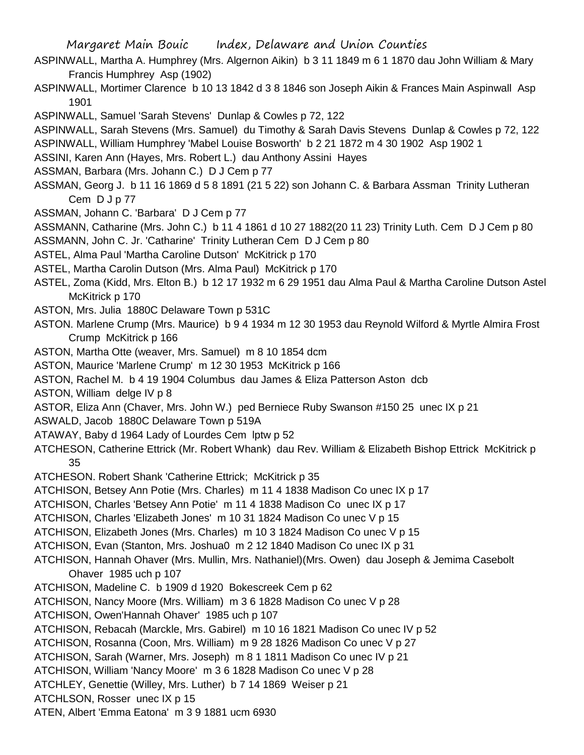- ASPINWALL, Martha A. Humphrey (Mrs. Algernon Aikin) b 3 11 1849 m 6 1 1870 dau John William & Mary Francis Humphrey Asp (1902)
- ASPINWALL, Mortimer Clarence b 10 13 1842 d 3 8 1846 son Joseph Aikin & Frances Main Aspinwall Asp 1901
- ASPINWALL, Samuel 'Sarah Stevens' Dunlap & Cowles p 72, 122
- ASPINWALL, Sarah Stevens (Mrs. Samuel) du Timothy & Sarah Davis Stevens Dunlap & Cowles p 72, 122 ASPINWALL, William Humphrey 'Mabel Louise Bosworth' b 2 21 1872 m 4 30 1902 Asp 1902 1
- ASSINI, Karen Ann (Hayes, Mrs. Robert L.) dau Anthony Assini Hayes
- ASSMAN, Barbara (Mrs. Johann C.) D J Cem p 77
- ASSMAN, Georg J. b 11 16 1869 d 5 8 1891 (21 5 22) son Johann C. & Barbara Assman Trinity Lutheran Cem D J p 77
- ASSMAN, Johann C. 'Barbara' D J Cem p 77
- ASSMANN, Catharine (Mrs. John C.) b 11 4 1861 d 10 27 1882(20 11 23) Trinity Luth. Cem D J Cem p 80
- ASSMANN, John C. Jr. 'Catharine' Trinity Lutheran Cem D J Cem p 80
- ASTEL, Alma Paul 'Martha Caroline Dutson' McKitrick p 170
- ASTEL, Martha Carolin Dutson (Mrs. Alma Paul) McKitrick p 170
- ASTEL, Zoma (Kidd, Mrs. Elton B.) b 12 17 1932 m 6 29 1951 dau Alma Paul & Martha Caroline Dutson Astel McKitrick p 170
- ASTON, Mrs. Julia 1880C Delaware Town p 531C
- ASTON. Marlene Crump (Mrs. Maurice) b 9 4 1934 m 12 30 1953 dau Reynold Wilford & Myrtle Almira Frost Crump McKitrick p 166
- ASTON, Martha Otte (weaver, Mrs. Samuel) m 8 10 1854 dcm
- ASTON, Maurice 'Marlene Crump' m 12 30 1953 McKitrick p 166
- ASTON, Rachel M. b 4 19 1904 Columbus dau James & Eliza Patterson Aston dcb
- ASTON, William delge IV p 8
- ASTOR, Eliza Ann (Chaver, Mrs. John W.) ped Berniece Ruby Swanson #150 25 unec IX p 21
- ASWALD, Jacob 1880C Delaware Town p 519A
- ATAWAY, Baby d 1964 Lady of Lourdes Cem lptw p 52
- ATCHESON, Catherine Ettrick (Mr. Robert Whank) dau Rev. William & Elizabeth Bishop Ettrick McKitrick p 35
- ATCHESON. Robert Shank 'Catherine Ettrick; McKitrick p 35
- ATCHISON, Betsey Ann Potie (Mrs. Charles) m 11 4 1838 Madison Co unec IX p 17
- ATCHISON, Charles 'Betsey Ann Potie' m 11 4 1838 Madison Co unec IX p 17
- ATCHISON, Charles 'Elizabeth Jones' m 10 31 1824 Madison Co unec V p 15
- ATCHISON, Elizabeth Jones (Mrs. Charles) m 10 3 1824 Madison Co unec V p 15
- ATCHISON, Evan (Stanton, Mrs. Joshua0 m 2 12 1840 Madison Co unec IX p 31
- ATCHISON, Hannah Ohaver (Mrs. Mullin, Mrs. Nathaniel)(Mrs. Owen) dau Joseph & Jemima Casebolt Ohaver 1985 uch p 107
- ATCHISON, Madeline C. b 1909 d 1920 Bokescreek Cem p 62
- ATCHISON, Nancy Moore (Mrs. William) m 3 6 1828 Madison Co unec V p 28
- ATCHISON, Owen'Hannah Ohaver' 1985 uch p 107
- ATCHISON, Rebacah (Marckle, Mrs. Gabirel) m 10 16 1821 Madison Co unec IV p 52
- ATCHISON, Rosanna (Coon, Mrs. William) m 9 28 1826 Madison Co unec V p 27
- ATCHISON, Sarah (Warner, Mrs. Joseph) m 8 1 1811 Madison Co unec IV p 21
- ATCHISON, William 'Nancy Moore' m 3 6 1828 Madison Co unec V p 28
- ATCHLEY, Genettie (Willey, Mrs. Luther) b 7 14 1869 Weiser p 21
- ATCHLSON, Rosser unec IX p 15
- ATEN, Albert 'Emma Eatona' m 3 9 1881 ucm 6930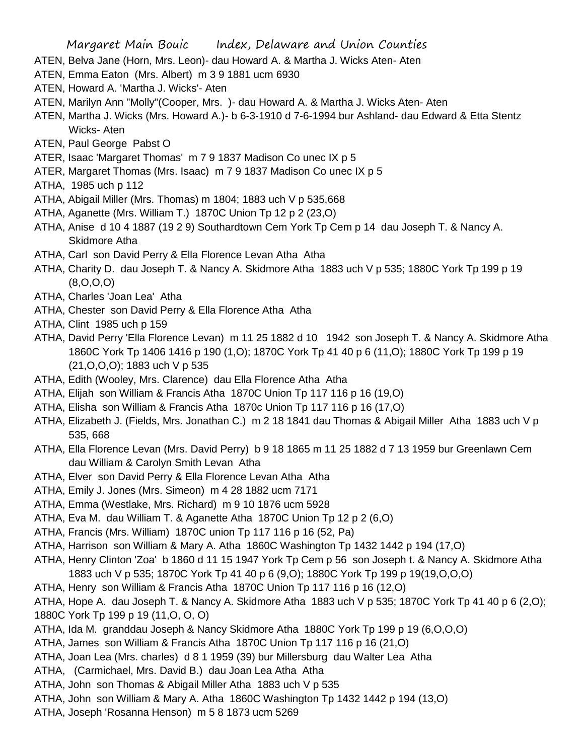- ATEN, Belva Jane (Horn, Mrs. Leon)- dau Howard A. & Martha J. Wicks Aten- Aten
- ATEN, Emma Eaton (Mrs. Albert) m 3 9 1881 ucm 6930
- ATEN, Howard A. 'Martha J. Wicks'- Aten
- ATEN, Marilyn Ann "Molly"(Cooper, Mrs. )- dau Howard A. & Martha J. Wicks Aten- Aten
- ATEN, Martha J. Wicks (Mrs. Howard A.)- b 6-3-1910 d 7-6-1994 bur Ashland- dau Edward & Etta Stentz Wicks- Aten
- ATEN, Paul George Pabst O
- ATER, Isaac 'Margaret Thomas' m 7 9 1837 Madison Co unec IX p 5
- ATER, Margaret Thomas (Mrs. Isaac) m 7 9 1837 Madison Co unec IX p 5
- ATHA, 1985 uch p 112
- ATHA, Abigail Miller (Mrs. Thomas) m 1804; 1883 uch V p 535,668
- ATHA, Aganette (Mrs. William T.) 1870C Union Tp 12 p 2 (23,O)
- ATHA, Anise d 10 4 1887 (19 2 9) Southardtown Cem York Tp Cem p 14 dau Joseph T. & Nancy A. Skidmore Atha
- ATHA, Carl son David Perry & Ella Florence Levan Atha Atha
- ATHA, Charity D. dau Joseph T. & Nancy A. Skidmore Atha 1883 uch V p 535; 1880C York Tp 199 p 19 (8,O,O,O)
- ATHA, Charles 'Joan Lea' Atha
- ATHA, Chester son David Perry & Ella Florence Atha Atha
- ATHA, Clint 1985 uch p 159
- ATHA, David Perry 'Ella Florence Levan) m 11 25 1882 d 10 1942 son Joseph T. & Nancy A. Skidmore Atha 1860C York Tp 1406 1416 p 190 (1,O); 1870C York Tp 41 40 p 6 (11,O); 1880C York Tp 199 p 19 (21,O,O,O); 1883 uch V p 535
- ATHA, Edith (Wooley, Mrs. Clarence) dau Ella Florence Atha Atha
- ATHA, Elijah son William & Francis Atha 1870C Union Tp 117 116 p 16 (19,O)
- ATHA, Elisha son William & Francis Atha 1870c Union Tp 117 116 p 16 (17,O)
- ATHA, Elizabeth J. (Fields, Mrs. Jonathan C.) m 2 18 1841 dau Thomas & Abigail Miller Atha 1883 uch V p 535, 668
- ATHA, Ella Florence Levan (Mrs. David Perry) b 9 18 1865 m 11 25 1882 d 7 13 1959 bur Greenlawn Cem dau William & Carolyn Smith Levan Atha
- ATHA, Elver son David Perry & Ella Florence Levan Atha Atha
- ATHA, Emily J. Jones (Mrs. Simeon) m 4 28 1882 ucm 7171
- ATHA, Emma (Westlake, Mrs. Richard) m 9 10 1876 ucm 5928
- ATHA, Eva M. dau William T. & Aganette Atha 1870C Union Tp 12 p 2 (6,O)
- ATHA, Francis (Mrs. William) 1870C union Tp 117 116 p 16 (52, Pa)
- ATHA, Harrison son William & Mary A. Atha 1860C Washington Tp 1432 1442 p 194 (17,O)
- ATHA, Henry Clinton 'Zoa' b 1860 d 11 15 1947 York Tp Cem p 56 son Joseph t. & Nancy A. Skidmore Atha 1883 uch V p 535; 1870C York Tp 41 40 p 6 (9,O); 1880C York Tp 199 p 19(19,O,O,O)
- ATHA, Henry son William & Francis Atha 1870C Union Tp 117 116 p 16 (12,O)
- ATHA, Hope A. dau Joseph T. & Nancy A. Skidmore Atha 1883 uch V p 535; 1870C York Tp 41 40 p 6 (2,O); 1880C York Tp 199 p 19 (11,O, O, O)
- ATHA, Ida M. granddau Joseph & Nancy Skidmore Atha 1880C York Tp 199 p 19 (6,O,O,O)
- ATHA, James son William & Francis Atha 1870C Union Tp 117 116 p 16 (21,O)
- ATHA, Joan Lea (Mrs. charles) d 8 1 1959 (39) bur Millersburg dau Walter Lea Atha
- ATHA, (Carmichael, Mrs. David B.) dau Joan Lea Atha Atha
- ATHA, John son Thomas & Abigail Miller Atha 1883 uch V p 535
- ATHA, John son William & Mary A. Atha 1860C Washington Tp 1432 1442 p 194 (13,O)
- ATHA, Joseph 'Rosanna Henson) m 5 8 1873 ucm 5269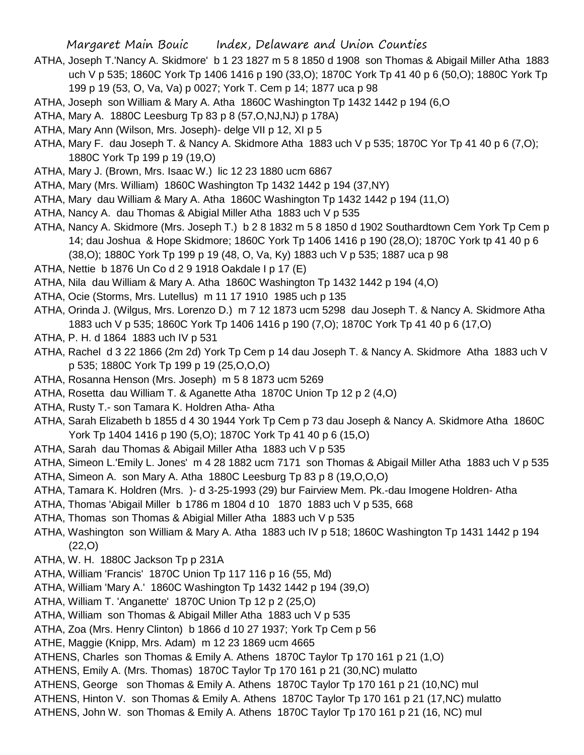- ATHA, Joseph T.'Nancy A. Skidmore' b 1 23 1827 m 5 8 1850 d 1908 son Thomas & Abigail Miller Atha 1883 uch V p 535; 1860C York Tp 1406 1416 p 190 (33,O); 1870C York Tp 41 40 p 6 (50,O); 1880C York Tp 199 p 19 (53, O, Va, Va) p 0027; York T. Cem p 14; 1877 uca p 98
- ATHA, Joseph son William & Mary A. Atha 1860C Washington Tp 1432 1442 p 194 (6,O
- ATHA, Mary A. 1880C Leesburg Tp 83 p 8 (57,O,NJ,NJ) p 178A)
- ATHA, Mary Ann (Wilson, Mrs. Joseph)- delge VII p 12, XI p 5
- ATHA, Mary F. dau Joseph T. & Nancy A. Skidmore Atha 1883 uch V p 535; 1870C Yor Tp 41 40 p 6 (7,O); 1880C York Tp 199 p 19 (19,O)
- ATHA, Mary J. (Brown, Mrs. Isaac W.) lic 12 23 1880 ucm 6867
- ATHA, Mary (Mrs. William) 1860C Washington Tp 1432 1442 p 194 (37,NY)
- ATHA, Mary dau William & Mary A. Atha 1860C Washington Tp 1432 1442 p 194 (11,O)
- ATHA, Nancy A. dau Thomas & Abigial Miller Atha 1883 uch V p 535
- ATHA, Nancy A. Skidmore (Mrs. Joseph T.) b 2 8 1832 m 5 8 1850 d 1902 Southardtown Cem York Tp Cem p 14; dau Joshua & Hope Skidmore; 1860C York Tp 1406 1416 p 190 (28,O); 1870C York tp 41 40 p 6 (38,O); 1880C York Tp 199 p 19 (48, O, Va, Ky) 1883 uch V p 535; 1887 uca p 98
- ATHA, Nettie b 1876 Un Co d 2 9 1918 Oakdale I p 17 (E)
- ATHA, Nila dau William & Mary A. Atha 1860C Washington Tp 1432 1442 p 194 (4,O)
- ATHA, Ocie (Storms, Mrs. Lutellus) m 11 17 1910 1985 uch p 135
- ATHA, Orinda J. (Wilgus, Mrs. Lorenzo D.) m 7 12 1873 ucm 5298 dau Joseph T. & Nancy A. Skidmore Atha 1883 uch V p 535; 1860C York Tp 1406 1416 p 190 (7,O); 1870C York Tp 41 40 p 6 (17,O)
- ATHA, P. H. d 1864 1883 uch IV p 531
- ATHA, Rachel d 3 22 1866 (2m 2d) York Tp Cem p 14 dau Joseph T. & Nancy A. Skidmore Atha 1883 uch V p 535; 1880C York Tp 199 p 19 (25,O,O,O)
- ATHA, Rosanna Henson (Mrs. Joseph) m 5 8 1873 ucm 5269
- ATHA, Rosetta dau William T. & Aganette Atha 1870C Union Tp 12 p 2 (4,O)
- ATHA, Rusty T.- son Tamara K. Holdren Atha- Atha
- ATHA, Sarah Elizabeth b 1855 d 4 30 1944 York Tp Cem p 73 dau Joseph & Nancy A. Skidmore Atha 1860C York Tp 1404 1416 p 190 (5,O); 1870C York Tp 41 40 p 6 (15,O)
- ATHA, Sarah dau Thomas & Abigail Miller Atha 1883 uch V p 535
- ATHA, Simeon L.'Emily L. Jones' m 4 28 1882 ucm 7171 son Thomas & Abigail Miller Atha 1883 uch V p 535
- ATHA, Simeon A. son Mary A. Atha 1880C Leesburg Tp 83 p 8 (19,O,O,O)
- ATHA, Tamara K. Holdren (Mrs. )- d 3-25-1993 (29) bur Fairview Mem. Pk.-dau Imogene Holdren- Atha
- ATHA, Thomas 'Abigail Miller b 1786 m 1804 d 10 1870 1883 uch V p 535, 668
- ATHA, Thomas son Thomas & Abigial Miller Atha 1883 uch V p 535
- ATHA, Washington son William & Mary A. Atha 1883 uch IV p 518; 1860C Washington Tp 1431 1442 p 194 (22,O)
- ATHA, W. H. 1880C Jackson Tp p 231A
- ATHA, William 'Francis' 1870C Union Tp 117 116 p 16 (55, Md)
- ATHA, William 'Mary A.' 1860C Washington Tp 1432 1442 p 194 (39,O)
- ATHA, William T. 'Anganette' 1870C Union Tp 12 p 2 (25,O)
- ATHA, William son Thomas & Abigail Miller Atha 1883 uch V p 535
- ATHA, Zoa (Mrs. Henry Clinton) b 1866 d 10 27 1937; York Tp Cem p 56
- ATHE, Maggie (Knipp, Mrs. Adam) m 12 23 1869 ucm 4665
- ATHENS, Charles son Thomas & Emily A. Athens 1870C Taylor Tp 170 161 p 21 (1,O)
- ATHENS, Emily A. (Mrs. Thomas) 1870C Taylor Tp 170 161 p 21 (30,NC) mulatto
- ATHENS, George son Thomas & Emily A. Athens 1870C Taylor Tp 170 161 p 21 (10,NC) mul
- ATHENS, Hinton V. son Thomas & Emily A. Athens 1870C Taylor Tp 170 161 p 21 (17,NC) mulatto
- ATHENS, John W. son Thomas & Emily A. Athens 1870C Taylor Tp 170 161 p 21 (16, NC) mul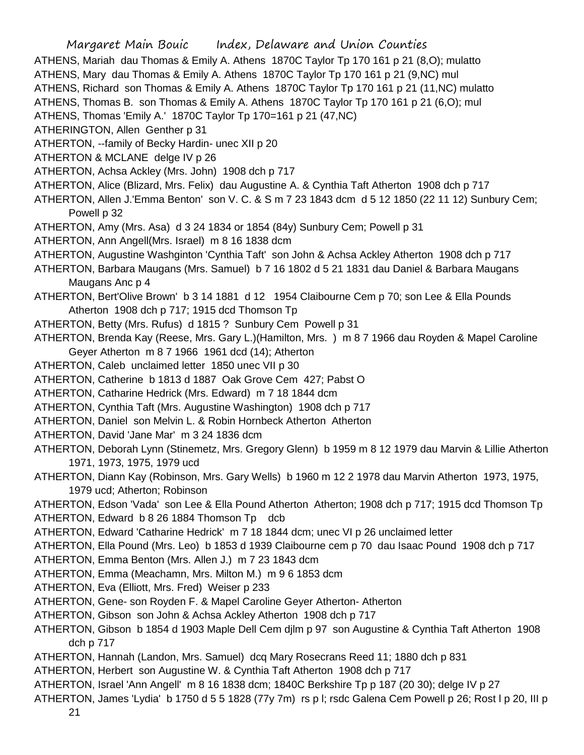Margaret Main Bouic Index, Delaware and Union Counties ATHENS, Mariah dau Thomas & Emily A. Athens 1870C Taylor Tp 170 161 p 21 (8,O); mulatto ATHENS, Mary dau Thomas & Emily A. Athens 1870C Taylor Tp 170 161 p 21 (9,NC) mul ATHENS, Richard son Thomas & Emily A. Athens 1870C Taylor Tp 170 161 p 21 (11,NC) mulatto ATHENS, Thomas B. son Thomas & Emily A. Athens 1870C Taylor Tp 170 161 p 21 (6,O); mul ATHENS, Thomas 'Emily A.' 1870C Taylor Tp 170=161 p 21 (47,NC) ATHERINGTON, Allen Genther p 31 ATHERTON, --family of Becky Hardin- unec XII p 20 ATHERTON & MCLANE delge IV p 26 ATHERTON, Achsa Ackley (Mrs. John) 1908 dch p 717 ATHERTON, Alice (Blizard, Mrs. Felix) dau Augustine A. & Cynthia Taft Atherton 1908 dch p 717 ATHERTON, Allen J.'Emma Benton' son V. C. & S m 7 23 1843 dcm d 5 12 1850 (22 11 12) Sunbury Cem; Powell p 32 ATHERTON, Amy (Mrs. Asa) d 3 24 1834 or 1854 (84y) Sunbury Cem; Powell p 31 ATHERTON, Ann Angell(Mrs. Israel) m 8 16 1838 dcm ATHERTON, Augustine Washginton 'Cynthia Taft' son John & Achsa Ackley Atherton 1908 dch p 717 ATHERTON, Barbara Maugans (Mrs. Samuel) b 7 16 1802 d 5 21 1831 dau Daniel & Barbara Maugans Maugans Anc p 4 ATHERTON, Bert'Olive Brown' b 3 14 1881 d 12 1954 Claibourne Cem p 70; son Lee & Ella Pounds Atherton 1908 dch p 717; 1915 dcd Thomson Tp ATHERTON, Betty (Mrs. Rufus) d 1815 ? Sunbury Cem Powell p 31 ATHERTON, Brenda Kay (Reese, Mrs. Gary L.)(Hamilton, Mrs. ) m 8 7 1966 dau Royden & Mapel Caroline Geyer Atherton m 8 7 1966 1961 dcd (14); Atherton ATHERTON, Caleb unclaimed letter 1850 unec VII p 30 ATHERTON, Catherine b 1813 d 1887 Oak Grove Cem 427; Pabst O ATHERTON, Catharine Hedrick (Mrs. Edward) m 7 18 1844 dcm ATHERTON, Cynthia Taft (Mrs. Augustine Washington) 1908 dch p 717 ATHERTON, Daniel son Melvin L. & Robin Hornbeck Atherton Atherton ATHERTON, David 'Jane Mar' m 3 24 1836 dcm ATHERTON, Deborah Lynn (Stinemetz, Mrs. Gregory Glenn) b 1959 m 8 12 1979 dau Marvin & Lillie Atherton 1971, 1973, 1975, 1979 ucd ATHERTON, Diann Kay (Robinson, Mrs. Gary Wells) b 1960 m 12 2 1978 dau Marvin Atherton 1973, 1975, 1979 ucd; Atherton; Robinson ATHERTON, Edson 'Vada' son Lee & Ella Pound Atherton Atherton; 1908 dch p 717; 1915 dcd Thomson Tp ATHERTON, Edward b 8 26 1884 Thomson Tp dcb ATHERTON, Edward 'Catharine Hedrick' m 7 18 1844 dcm; unec VI p 26 unclaimed letter ATHERTON, Ella Pound (Mrs. Leo) b 1853 d 1939 Claibourne cem p 70 dau Isaac Pound 1908 dch p 717 ATHERTON, Emma Benton (Mrs. Allen J.) m 7 23 1843 dcm ATHERTON, Emma (Meachamn, Mrs. Milton M.) m 9 6 1853 dcm ATHERTON, Eva (Elliott, Mrs. Fred) Weiser p 233 ATHERTON, Gene- son Royden F. & Mapel Caroline Geyer Atherton- Atherton ATHERTON, Gibson son John & Achsa Ackley Atherton 1908 dch p 717 ATHERTON, Gibson b 1854 d 1903 Maple Dell Cem djlm p 97 son Augustine & Cynthia Taft Atherton 1908 dch p 717 ATHERTON, Hannah (Landon, Mrs. Samuel) dcq Mary Rosecrans Reed 11; 1880 dch p 831 ATHERTON, Herbert son Augustine W. & Cynthia Taft Atherton 1908 dch p 717 ATHERTON, Israel 'Ann Angell' m 8 16 1838 dcm; 1840C Berkshire Tp p 187 (20 30); delge IV p 27 ATHERTON, James 'Lydia' b 1750 d 5 5 1828 (77y 7m) rs p l; rsdc Galena Cem Powell p 26; Rost l p 20, III p

21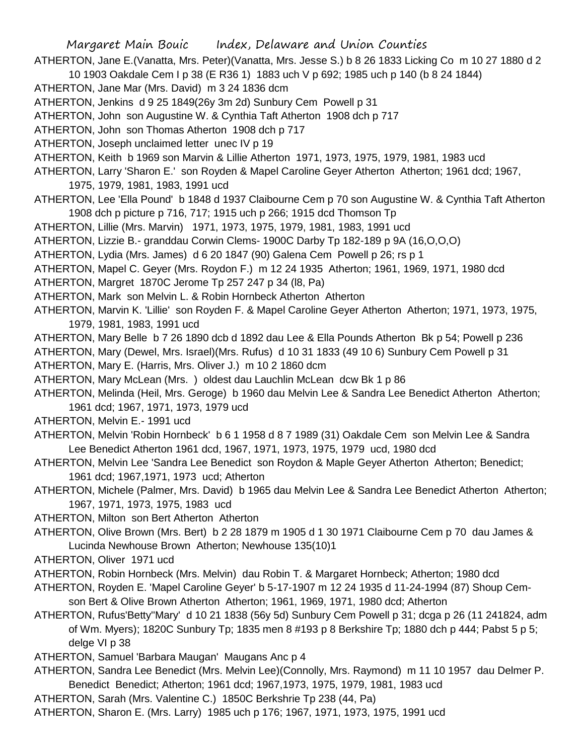- Margaret Main Bouic Index, Delaware and Union Counties ATHERTON, Jane E.(Vanatta, Mrs. Peter)(Vanatta, Mrs. Jesse S.) b 8 26 1833 Licking Co m 10 27 1880 d 2 10 1903 Oakdale Cem I p 38 (E R36 1) 1883 uch V p 692; 1985 uch p 140 (b 8 24 1844) ATHERTON, Jane Mar (Mrs. David) m 3 24 1836 dcm ATHERTON, Jenkins d 9 25 1849(26y 3m 2d) Sunbury Cem Powell p 31 ATHERTON, John son Augustine W. & Cynthia Taft Atherton 1908 dch p 717 ATHERTON, John son Thomas Atherton 1908 dch p 717 ATHERTON, Joseph unclaimed letter unec IV p 19 ATHERTON, Keith b 1969 son Marvin & Lillie Atherton 1971, 1973, 1975, 1979, 1981, 1983 ucd ATHERTON, Larry 'Sharon E.' son Royden & Mapel Caroline Geyer Atherton Atherton; 1961 dcd; 1967, 1975, 1979, 1981, 1983, 1991 ucd ATHERTON, Lee 'Ella Pound' b 1848 d 1937 Claibourne Cem p 70 son Augustine W. & Cynthia Taft Atherton 1908 dch p picture p 716, 717; 1915 uch p 266; 1915 dcd Thomson Tp ATHERTON, Lillie (Mrs. Marvin) 1971, 1973, 1975, 1979, 1981, 1983, 1991 ucd ATHERTON, Lizzie B.- granddau Corwin Clems- 1900C Darby Tp 182-189 p 9A (16,O,O,O) ATHERTON, Lydia (Mrs. James) d 6 20 1847 (90) Galena Cem Powell p 26; rs p 1 ATHERTON, Mapel C. Geyer (Mrs. Roydon F.) m 12 24 1935 Atherton; 1961, 1969, 1971, 1980 dcd ATHERTON, Margret 1870C Jerome Tp 257 247 p 34 (l8, Pa) ATHERTON, Mark son Melvin L. & Robin Hornbeck Atherton Atherton ATHERTON, Marvin K. 'Lillie' son Royden F. & Mapel Caroline Geyer Atherton Atherton; 1971, 1973, 1975, 1979, 1981, 1983, 1991 ucd ATHERTON, Mary Belle b 7 26 1890 dcb d 1892 dau Lee & Ella Pounds Atherton Bk p 54; Powell p 236 ATHERTON, Mary (Dewel, Mrs. Israel)(Mrs. Rufus) d 10 31 1833 (49 10 6) Sunbury Cem Powell p 31 ATHERTON, Mary E. (Harris, Mrs. Oliver J.) m 10 2 1860 dcm ATHERTON, Mary McLean (Mrs. ) oldest dau Lauchlin McLean dcw Bk 1 p 86 ATHERTON, Melinda (Heil, Mrs. Geroge) b 1960 dau Melvin Lee & Sandra Lee Benedict Atherton Atherton; 1961 dcd; 1967, 1971, 1973, 1979 ucd ATHERTON, Melvin E.- 1991 ucd ATHERTON, Melvin 'Robin Hornbeck' b 6 1 1958 d 8 7 1989 (31) Oakdale Cem son Melvin Lee & Sandra Lee Benedict Atherton 1961 dcd, 1967, 1971, 1973, 1975, 1979 ucd, 1980 dcd ATHERTON, Melvin Lee 'Sandra Lee Benedict son Roydon & Maple Geyer Atherton Atherton; Benedict; 1961 dcd; 1967,1971, 1973 ucd; Atherton ATHERTON, Michele (Palmer, Mrs. David) b 1965 dau Melvin Lee & Sandra Lee Benedict Atherton Atherton; 1967, 1971, 1973, 1975, 1983 ucd ATHERTON, Milton son Bert Atherton Atherton ATHERTON, Olive Brown (Mrs. Bert) b 2 28 1879 m 1905 d 1 30 1971 Claibourne Cem p 70 dau James & Lucinda Newhouse Brown Atherton; Newhouse 135(10)1 ATHERTON, Oliver 1971 ucd ATHERTON, Robin Hornbeck (Mrs. Melvin) dau Robin T. & Margaret Hornbeck; Atherton; 1980 dcd
	- ATHERTON, Royden E. 'Mapel Caroline Geyer' b 5-17-1907 m 12 24 1935 d 11-24-1994 (87) Shoup Cemson Bert & Olive Brown Atherton Atherton; 1961, 1969, 1971, 1980 dcd; Atherton
	- ATHERTON, Rufus'Betty''Mary' d 10 21 1838 (56y 5d) Sunbury Cem Powell p 31; dcga p 26 (11 241824, adm of Wm. Myers); 1820C Sunbury Tp; 1835 men 8 #193 p 8 Berkshire Tp; 1880 dch p 444; Pabst 5 p 5; delge VI p 38
	- ATHERTON, Samuel 'Barbara Maugan' Maugans Anc p 4
	- ATHERTON, Sandra Lee Benedict (Mrs. Melvin Lee)(Connolly, Mrs. Raymond) m 11 10 1957 dau Delmer P. Benedict Benedict; Atherton; 1961 dcd; 1967,1973, 1975, 1979, 1981, 1983 ucd
	- ATHERTON, Sarah (Mrs. Valentine C.) 1850C Berkshrie Tp 238 (44, Pa)
	- ATHERTON, Sharon E. (Mrs. Larry) 1985 uch p 176; 1967, 1971, 1973, 1975, 1991 ucd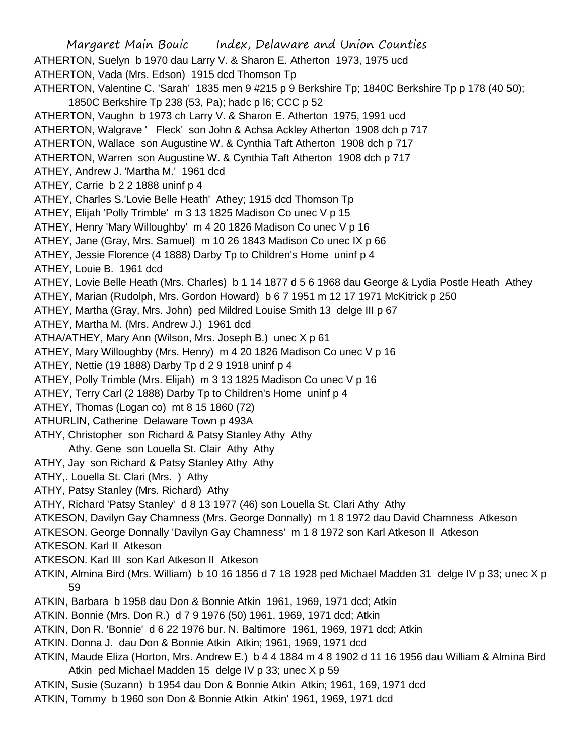Margaret Main Bouic Index, Delaware and Union Counties ATHERTON, Suelyn b 1970 dau Larry V. & Sharon E. Atherton 1973, 1975 ucd ATHERTON, Vada (Mrs. Edson) 1915 dcd Thomson Tp ATHERTON, Valentine C. 'Sarah' 1835 men 9 #215 p 9 Berkshire Tp; 1840C Berkshire Tp p 178 (40 50); 1850C Berkshire Tp 238 (53, Pa); hadc p l6; CCC p 52 ATHERTON, Vaughn b 1973 ch Larry V. & Sharon E. Atherton 1975, 1991 ucd ATHERTON, Walgrave ' Fleck' son John & Achsa Ackley Atherton 1908 dch p 717 ATHERTON, Wallace son Augustine W. & Cynthia Taft Atherton 1908 dch p 717 ATHERTON, Warren son Augustine W. & Cynthia Taft Atherton 1908 dch p 717 ATHEY, Andrew J. 'Martha M.' 1961 dcd ATHEY, Carrie b 2 2 1888 uninf p 4 ATHEY, Charles S.'Lovie Belle Heath' Athey; 1915 dcd Thomson Tp ATHEY, Elijah 'Polly Trimble' m 3 13 1825 Madison Co unec V p 15 ATHEY, Henry 'Mary Willoughby' m 4 20 1826 Madison Co unec V p 16 ATHEY, Jane (Gray, Mrs. Samuel) m 10 26 1843 Madison Co unec IX p 66 ATHEY, Jessie Florence (4 1888) Darby Tp to Children's Home uninf p 4 ATHEY, Louie B. 1961 dcd ATHEY, Lovie Belle Heath (Mrs. Charles) b 1 14 1877 d 5 6 1968 dau George & Lydia Postle Heath Athey ATHEY, Marian (Rudolph, Mrs. Gordon Howard) b 6 7 1951 m 12 17 1971 McKitrick p 250 ATHEY, Martha (Gray, Mrs. John) ped Mildred Louise Smith 13 delge III p 67 ATHEY, Martha M. (Mrs. Andrew J.) 1961 dcd ATHA/ATHEY, Mary Ann (Wilson, Mrs. Joseph B.) unec X p 61 ATHEY, Mary Willoughby (Mrs. Henry) m 4 20 1826 Madison Co unec V p 16 ATHEY, Nettie (19 1888) Darby Tp d 2 9 1918 uninf p 4 ATHEY, Polly Trimble (Mrs. Elijah) m 3 13 1825 Madison Co unec V p 16 ATHEY, Terry Carl (2 1888) Darby Tp to Children's Home uninf p 4 ATHEY, Thomas (Logan co) mt 8 15 1860 (72) ATHURLIN, Catherine Delaware Town p 493A ATHY, Christopher son Richard & Patsy Stanley Athy Athy Athy. Gene son Louella St. Clair Athy Athy ATHY, Jay son Richard & Patsy Stanley Athy Athy ATHY,. Louella St. Clari (Mrs. ) Athy ATHY, Patsy Stanley (Mrs. Richard) Athy ATHY, Richard 'Patsy Stanley' d 8 13 1977 (46) son Louella St. Clari Athy Athy ATKESON, Davilyn Gay Chamness (Mrs. George Donnally) m 1 8 1972 dau David Chamness Atkeson ATKESON. George Donnally 'Davilyn Gay Chamness' m 1 8 1972 son Karl Atkeson II Atkeson ATKESON. Karl II Atkeson ATKESON. Karl III son Karl Atkeson II Atkeson ATKIN, Almina Bird (Mrs. William) b 10 16 1856 d 7 18 1928 ped Michael Madden 31 delge IV p 33; unec X p 59 ATKIN, Barbara b 1958 dau Don & Bonnie Atkin 1961, 1969, 1971 dcd; Atkin ATKIN. Bonnie (Mrs. Don R.) d 7 9 1976 (50) 1961, 1969, 1971 dcd; Atkin ATKIN, Don R. 'Bonnie' d 6 22 1976 bur. N. Baltimore 1961, 1969, 1971 dcd; Atkin ATKIN. Donna J. dau Don & Bonnie Atkin Atkin; 1961, 1969, 1971 dcd ATKIN, Maude Eliza (Horton, Mrs. Andrew E.) b 4 4 1884 m 4 8 1902 d 11 16 1956 dau William & Almina Bird Atkin ped Michael Madden 15 delge IV p 33; unec X p 59 ATKIN, Susie (Suzann) b 1954 dau Don & Bonnie Atkin Atkin; 1961, 169, 1971 dcd ATKIN, Tommy b 1960 son Don & Bonnie Atkin Atkin' 1961, 1969, 1971 dcd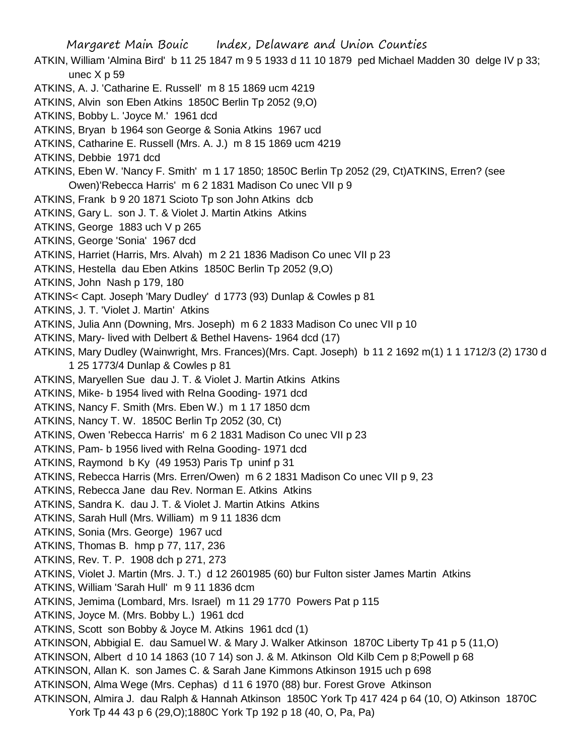Margaret Main Bouic Index, Delaware and Union Counties ATKIN, William 'Almina Bird' b 11 25 1847 m 9 5 1933 d 11 10 1879 ped Michael Madden 30 delge IV p 33; unec X p 59 ATKINS, A. J. 'Catharine E. Russell' m 8 15 1869 ucm 4219 ATKINS, Alvin son Eben Atkins 1850C Berlin Tp 2052 (9,O) ATKINS, Bobby L. 'Joyce M.' 1961 dcd ATKINS, Bryan b 1964 son George & Sonia Atkins 1967 ucd ATKINS, Catharine E. Russell (Mrs. A. J.) m 8 15 1869 ucm 4219 ATKINS, Debbie 1971 dcd ATKINS, Eben W. 'Nancy F. Smith' m 1 17 1850; 1850C Berlin Tp 2052 (29, Ct)ATKINS, Erren? (see Owen)'Rebecca Harris' m 6 2 1831 Madison Co unec VII p 9 ATKINS, Frank b 9 20 1871 Scioto Tp son John Atkins dcb ATKINS, Gary L. son J. T. & Violet J. Martin Atkins Atkins ATKINS, George 1883 uch V p 265 ATKINS, George 'Sonia' 1967 dcd ATKINS, Harriet (Harris, Mrs. Alvah) m 2 21 1836 Madison Co unec VII p 23 ATKINS, Hestella dau Eben Atkins 1850C Berlin Tp 2052 (9,O) ATKINS, John Nash p 179, 180 ATKINS< Capt. Joseph 'Mary Dudley' d 1773 (93) Dunlap & Cowles p 81 ATKINS, J. T. 'Violet J. Martin' Atkins ATKINS, Julia Ann (Downing, Mrs. Joseph) m 6 2 1833 Madison Co unec VII p 10 ATKINS, Mary- lived with Delbert & Bethel Havens- 1964 dcd (17) ATKINS, Mary Dudley (Wainwright, Mrs. Frances)(Mrs. Capt. Joseph) b 11 2 1692 m(1) 1 1 1712/3 (2) 1730 d 1 25 1773/4 Dunlap & Cowles p 81 ATKINS, Maryellen Sue dau J. T. & Violet J. Martin Atkins Atkins ATKINS, Mike- b 1954 lived with Relna Gooding- 1971 dcd ATKINS, Nancy F. Smith (Mrs. Eben W.) m 1 17 1850 dcm ATKINS, Nancy T. W. 1850C Berlin Tp 2052 (30, Ct) ATKINS, Owen 'Rebecca Harris' m 6 2 1831 Madison Co unec VII p 23 ATKINS, Pam- b 1956 lived with Relna Gooding- 1971 dcd ATKINS, Raymond b Ky (49 1953) Paris Tp uninf p 31 ATKINS, Rebecca Harris (Mrs. Erren/Owen) m 6 2 1831 Madison Co unec VII p 9, 23 ATKINS, Rebecca Jane dau Rev. Norman E. Atkins Atkins ATKINS, Sandra K. dau J. T. & Violet J. Martin Atkins Atkins ATKINS, Sarah Hull (Mrs. William) m 9 11 1836 dcm ATKINS, Sonia (Mrs. George) 1967 ucd ATKINS, Thomas B. hmp p 77, 117, 236 ATKINS, Rev. T. P. 1908 dch p 271, 273 ATKINS, Violet J. Martin (Mrs. J. T.) d 12 2601985 (60) bur Fulton sister James Martin Atkins ATKINS, William 'Sarah Hull' m 9 11 1836 dcm ATKINS, Jemima (Lombard, Mrs. Israel) m 11 29 1770 Powers Pat p 115 ATKINS, Joyce M. (Mrs. Bobby L.) 1961 dcd ATKINS, Scott son Bobby & Joyce M. Atkins 1961 dcd (1) ATKINSON, Abbigial E. dau Samuel W. & Mary J. Walker Atkinson 1870C Liberty Tp 41 p 5 (11,O) ATKINSON, Albert d 10 14 1863 (10 7 14) son J. & M. Atkinson Old Kilb Cem p 8;Powell p 68 ATKINSON, Allan K. son James C. & Sarah Jane Kimmons Atkinson 1915 uch p 698 ATKINSON, Alma Wege (Mrs. Cephas) d 11 6 1970 (88) bur. Forest Grove Atkinson ATKINSON, Almira J. dau Ralph & Hannah Atkinson 1850C York Tp 417 424 p 64 (10, O) Atkinson 1870C York Tp 44 43 p 6 (29,O);1880C York Tp 192 p 18 (40, O, Pa, Pa)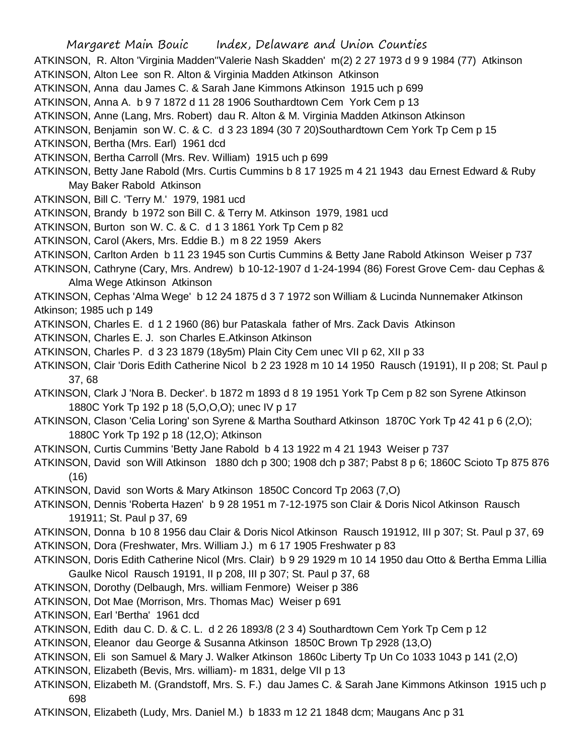ATKINSON, R. Alton 'Virginia Madden''Valerie Nash Skadden' m(2) 2 27 1973 d 9 9 1984 (77) Atkinson ATKINSON, Alton Lee son R. Alton & Virginia Madden Atkinson Atkinson

ATKINSON, Anna dau James C. & Sarah Jane Kimmons Atkinson 1915 uch p 699

ATKINSON, Anna A. b 9 7 1872 d 11 28 1906 Southardtown Cem York Cem p 13

ATKINSON, Anne (Lang, Mrs. Robert) dau R. Alton & M. Virginia Madden Atkinson Atkinson

ATKINSON, Benjamin son W. C. & C. d 3 23 1894 (30 7 20)Southardtown Cem York Tp Cem p 15

ATKINSON, Bertha (Mrs. Earl) 1961 dcd

ATKINSON, Bertha Carroll (Mrs. Rev. William) 1915 uch p 699

ATKINSON, Betty Jane Rabold (Mrs. Curtis Cummins b 8 17 1925 m 4 21 1943 dau Ernest Edward & Ruby May Baker Rabold Atkinson

- ATKINSON, Bill C. 'Terry M.' 1979, 1981 ucd
- ATKINSON, Brandy b 1972 son Bill C. & Terry M. Atkinson 1979, 1981 ucd

ATKINSON, Burton son W. C. & C. d 1 3 1861 York Tp Cem p 82

ATKINSON, Carol (Akers, Mrs. Eddie B.) m 8 22 1959 Akers

ATKINSON, Carlton Arden b 11 23 1945 son Curtis Cummins & Betty Jane Rabold Atkinson Weiser p 737

ATKINSON, Cathryne (Cary, Mrs. Andrew) b 10-12-1907 d 1-24-1994 (86) Forest Grove Cem- dau Cephas & Alma Wege Atkinson Atkinson

ATKINSON, Cephas 'Alma Wege' b 12 24 1875 d 3 7 1972 son William & Lucinda Nunnemaker Atkinson Atkinson; 1985 uch p 149

- ATKINSON, Charles E. d 1 2 1960 (86) bur Pataskala father of Mrs. Zack Davis Atkinson
- ATKINSON, Charles E. J. son Charles E.Atkinson Atkinson
- ATKINSON, Charles P. d 3 23 1879 (18y5m) Plain City Cem unec VII p 62, XII p 33
- ATKINSON, Clair 'Doris Edith Catherine Nicol b 2 23 1928 m 10 14 1950 Rausch (19191), II p 208; St. Paul p 37, 68

ATKINSON, Clark J 'Nora B. Decker'. b 1872 m 1893 d 8 19 1951 York Tp Cem p 82 son Syrene Atkinson 1880C York Tp 192 p 18 (5,O,O,O); unec IV p 17

ATKINSON, Clason 'Celia Loring' son Syrene & Martha Southard Atkinson 1870C York Tp 42 41 p 6 (2,O); 1880C York Tp 192 p 18 (12,O); Atkinson

- ATKINSON, Curtis Cummins 'Betty Jane Rabold b 4 13 1922 m 4 21 1943 Weiser p 737
- ATKINSON, David son Will Atkinson 1880 dch p 300; 1908 dch p 387; Pabst 8 p 6; 1860C Scioto Tp 875 876 (16)
- ATKINSON, David son Worts & Mary Atkinson 1850C Concord Tp 2063 (7,O)
- ATKINSON, Dennis 'Roberta Hazen' b 9 28 1951 m 7-12-1975 son Clair & Doris Nicol Atkinson Rausch 191911; St. Paul p 37, 69

ATKINSON, Donna b 10 8 1956 dau Clair & Doris Nicol Atkinson Rausch 191912, III p 307; St. Paul p 37, 69 ATKINSON, Dora (Freshwater, Mrs. William J.) m 6 17 1905 Freshwater p 83

- ATKINSON, Doris Edith Catherine Nicol (Mrs. Clair) b 9 29 1929 m 10 14 1950 dau Otto & Bertha Emma Lillia Gaulke Nicol Rausch 19191, II p 208, III p 307; St. Paul p 37, 68
- ATKINSON, Dorothy (Delbaugh, Mrs. william Fenmore) Weiser p 386
- ATKINSON, Dot Mae (Morrison, Mrs. Thomas Mac) Weiser p 691
- ATKINSON, Earl 'Bertha' 1961 dcd

ATKINSON, Edith dau C. D. & C. L. d 2 26 1893/8 (2 3 4) Southardtown Cem York Tp Cem p 12

- ATKINSON, Eleanor dau George & Susanna Atkinson 1850C Brown Tp 2928 (13,O)
- ATKINSON, Eli son Samuel & Mary J. Walker Atkinson 1860c Liberty Tp Un Co 1033 1043 p 141 (2,O)
- ATKINSON, Elizabeth (Bevis, Mrs. william)- m 1831, delge VII p 13
- ATKINSON, Elizabeth M. (Grandstoff, Mrs. S. F.) dau James C. & Sarah Jane Kimmons Atkinson 1915 uch p 698
- ATKINSON, Elizabeth (Ludy, Mrs. Daniel M.) b 1833 m 12 21 1848 dcm; Maugans Anc p 31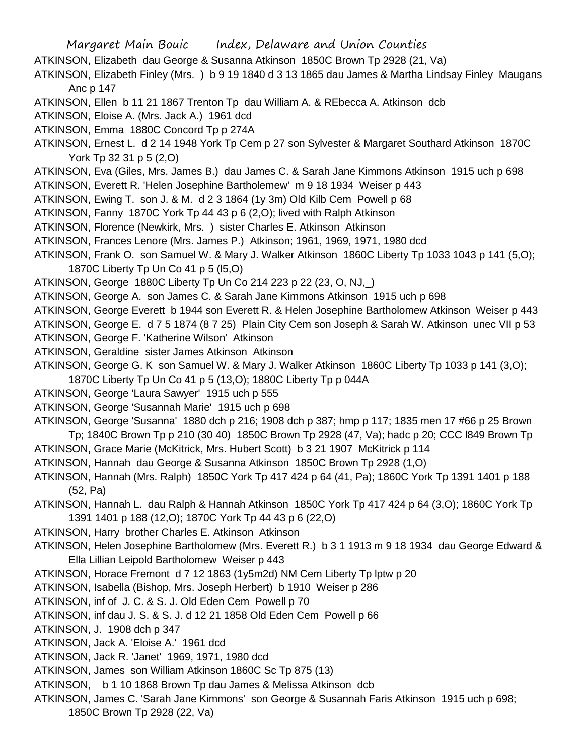Margaret Main Bouic Index, Delaware and Union Counties ATKINSON, Elizabeth dau George & Susanna Atkinson 1850C Brown Tp 2928 (21, Va) ATKINSON, Elizabeth Finley (Mrs. ) b 9 19 1840 d 3 13 1865 dau James & Martha Lindsay Finley Maugans Anc p 147 ATKINSON, Ellen b 11 21 1867 Trenton Tp dau William A. & REbecca A. Atkinson dcb ATKINSON, Eloise A. (Mrs. Jack A.) 1961 dcd ATKINSON, Emma 1880C Concord Tp p 274A ATKINSON, Ernest L. d 2 14 1948 York Tp Cem p 27 son Sylvester & Margaret Southard Atkinson 1870C York Tp 32 31 p 5 (2,O) ATKINSON, Eva (Giles, Mrs. James B.) dau James C. & Sarah Jane Kimmons Atkinson 1915 uch p 698 ATKINSON, Everett R. 'Helen Josephine Bartholemew' m 9 18 1934 Weiser p 443 ATKINSON, Ewing T. son J. & M. d 2 3 1864 (1y 3m) Old Kilb Cem Powell p 68 ATKINSON, Fanny 1870C York Tp 44 43 p 6 (2,O); lived with Ralph Atkinson ATKINSON, Florence (Newkirk, Mrs. ) sister Charles E. Atkinson Atkinson ATKINSON, Frances Lenore (Mrs. James P.) Atkinson; 1961, 1969, 1971, 1980 dcd ATKINSON, Frank O. son Samuel W. & Mary J. Walker Atkinson 1860C Liberty Tp 1033 1043 p 141 (5,O); 1870C Liberty Tp Un Co 41 p 5 (l5,O) ATKINSON, George 1880C Liberty Tp Un Co 214 223 p 22 (23, O, NJ,\_) ATKINSON, George A. son James C. & Sarah Jane Kimmons Atkinson 1915 uch p 698 ATKINSON, George Everett b 1944 son Everett R. & Helen Josephine Bartholomew Atkinson Weiser p 443 ATKINSON, George E. d 7 5 1874 (8 7 25) Plain City Cem son Joseph & Sarah W. Atkinson unec VII p 53 ATKINSON, George F. 'Katherine Wilson' Atkinson ATKINSON, Geraldine sister James Atkinson Atkinson ATKINSON, George G. K son Samuel W. & Mary J. Walker Atkinson 1860C Liberty Tp 1033 p 141 (3,O); 1870C Liberty Tp Un Co 41 p 5 (13,O); 1880C Liberty Tp p 044A ATKINSON, George 'Laura Sawyer' 1915 uch p 555 ATKINSON, George 'Susannah Marie' 1915 uch p 698 ATKINSON, George 'Susanna' 1880 dch p 216; 1908 dch p 387; hmp p 117; 1835 men 17 #66 p 25 Brown Tp; 1840C Brown Tp p 210 (30 40) 1850C Brown Tp 2928 (47, Va); hadc p 20; CCC l849 Brown Tp ATKINSON, Grace Marie (McKitrick, Mrs. Hubert Scott) b 3 21 1907 McKitrick p 114 ATKINSON, Hannah dau George & Susanna Atkinson 1850C Brown Tp 2928 (1,O) ATKINSON, Hannah (Mrs. Ralph) 1850C York Tp 417 424 p 64 (41, Pa); 1860C York Tp 1391 1401 p 188 (52, Pa) ATKINSON, Hannah L. dau Ralph & Hannah Atkinson 1850C York Tp 417 424 p 64 (3,O); 1860C York Tp 1391 1401 p 188 (12,O); 1870C York Tp 44 43 p 6 (22,O) ATKINSON, Harry brother Charles E. Atkinson Atkinson ATKINSON, Helen Josephine Bartholomew (Mrs. Everett R.) b 3 1 1913 m 9 18 1934 dau George Edward & Ella Lillian Leipold Bartholomew Weiser p 443 ATKINSON, Horace Fremont d 7 12 1863 (1y5m2d) NM Cem Liberty Tp lptw p 20 ATKINSON, Isabella (Bishop, Mrs. Joseph Herbert) b 1910 Weiser p 286 ATKINSON, inf of J. C. & S. J. Old Eden Cem Powell p 70 ATKINSON, inf dau J. S. & S. J. d 12 21 1858 Old Eden Cem Powell p 66 ATKINSON, J. 1908 dch p 347 ATKINSON, Jack A. 'Eloise A.' 1961 dcd ATKINSON, Jack R. 'Janet' 1969, 1971, 1980 dcd ATKINSON, James son William Atkinson 1860C Sc Tp 875 (13)

ATKINSON, b 1 10 1868 Brown Tp dau James & Melissa Atkinson dcb

ATKINSON, James C. 'Sarah Jane Kimmons' son George & Susannah Faris Atkinson 1915 uch p 698; 1850C Brown Tp 2928 (22, Va)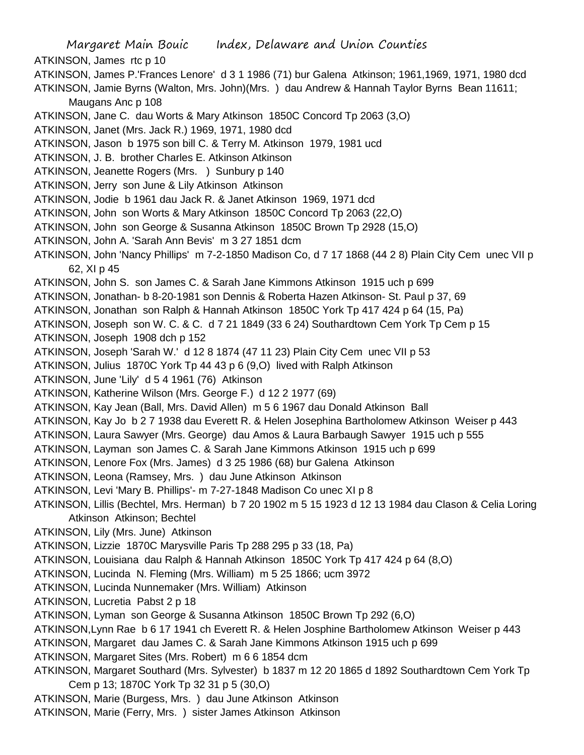Margaret Main Bouic Index, Delaware and Union Counties ATKINSON, James rtc p 10 ATKINSON, James P.'Frances Lenore' d 3 1 1986 (71) bur Galena Atkinson; 1961,1969, 1971, 1980 dcd ATKINSON, Jamie Byrns (Walton, Mrs. John)(Mrs. ) dau Andrew & Hannah Taylor Byrns Bean 11611; Maugans Anc p 108 ATKINSON, Jane C. dau Worts & Mary Atkinson 1850C Concord Tp 2063 (3,O) ATKINSON, Janet (Mrs. Jack R.) 1969, 1971, 1980 dcd ATKINSON, Jason b 1975 son bill C. & Terry M. Atkinson 1979, 1981 ucd ATKINSON, J. B. brother Charles E. Atkinson Atkinson ATKINSON, Jeanette Rogers (Mrs. ) Sunbury p 140 ATKINSON, Jerry son June & Lily Atkinson Atkinson ATKINSON, Jodie b 1961 dau Jack R. & Janet Atkinson 1969, 1971 dcd ATKINSON, John son Worts & Mary Atkinson 1850C Concord Tp 2063 (22,O) ATKINSON, John son George & Susanna Atkinson 1850C Brown Tp 2928 (15,O) ATKINSON, John A. 'Sarah Ann Bevis' m 3 27 1851 dcm ATKINSON, John 'Nancy Phillips' m 7-2-1850 Madison Co, d 7 17 1868 (44 2 8) Plain City Cem unec VII p 62, XI p 45 ATKINSON, John S. son James C. & Sarah Jane Kimmons Atkinson 1915 uch p 699 ATKINSON, Jonathan- b 8-20-1981 son Dennis & Roberta Hazen Atkinson- St. Paul p 37, 69 ATKINSON, Jonathan son Ralph & Hannah Atkinson 1850C York Tp 417 424 p 64 (15, Pa) ATKINSON, Joseph son W. C. & C. d 7 21 1849 (33 6 24) Southardtown Cem York Tp Cem p 15 ATKINSON, Joseph 1908 dch p 152 ATKINSON, Joseph 'Sarah W.' d 12 8 1874 (47 11 23) Plain City Cem unec VII p 53 ATKINSON, Julius 1870C York Tp 44 43 p 6 (9,O) lived with Ralph Atkinson ATKINSON, June 'Lily' d 5 4 1961 (76) Atkinson ATKINSON, Katherine Wilson (Mrs. George F.) d 12 2 1977 (69) ATKINSON, Kay Jean (Ball, Mrs. David Allen) m 5 6 1967 dau Donald Atkinson Ball ATKINSON, Kay Jo b 2 7 1938 dau Everett R. & Helen Josephina Bartholomew Atkinson Weiser p 443 ATKINSON, Laura Sawyer (Mrs. George) dau Amos & Laura Barbaugh Sawyer 1915 uch p 555 ATKINSON, Layman son James C. & Sarah Jane Kimmons Atkinson 1915 uch p 699 ATKINSON, Lenore Fox (Mrs. James) d 3 25 1986 (68) bur Galena Atkinson ATKINSON, Leona (Ramsey, Mrs. ) dau June Atkinson Atkinson ATKINSON, Levi 'Mary B. Phillips'- m 7-27-1848 Madison Co unec XI p 8 ATKINSON, Lillis (Bechtel, Mrs. Herman) b 7 20 1902 m 5 15 1923 d 12 13 1984 dau Clason & Celia Loring Atkinson Atkinson; Bechtel ATKINSON, Lily (Mrs. June) Atkinson ATKINSON, Lizzie 1870C Marysville Paris Tp 288 295 p 33 (18, Pa) ATKINSON, Louisiana dau Ralph & Hannah Atkinson 1850C York Tp 417 424 p 64 (8,O) ATKINSON, Lucinda N. Fleming (Mrs. William) m 5 25 1866; ucm 3972 ATKINSON, Lucinda Nunnemaker (Mrs. William) Atkinson ATKINSON, Lucretia Pabst 2 p 18 ATKINSON, Lyman son George & Susanna Atkinson 1850C Brown Tp 292 (6,O) ATKINSON,Lynn Rae b 6 17 1941 ch Everett R. & Helen Josphine Bartholomew Atkinson Weiser p 443 ATKINSON, Margaret dau James C. & Sarah Jane Kimmons Atkinson 1915 uch p 699 ATKINSON, Margaret Sites (Mrs. Robert) m 6 6 1854 dcm ATKINSON, Margaret Southard (Mrs. Sylvester) b 1837 m 12 20 1865 d 1892 Southardtown Cem York Tp Cem p 13; 1870C York Tp 32 31 p 5 (30,O) ATKINSON, Marie (Burgess, Mrs. ) dau June Atkinson Atkinson ATKINSON, Marie (Ferry, Mrs. ) sister James Atkinson Atkinson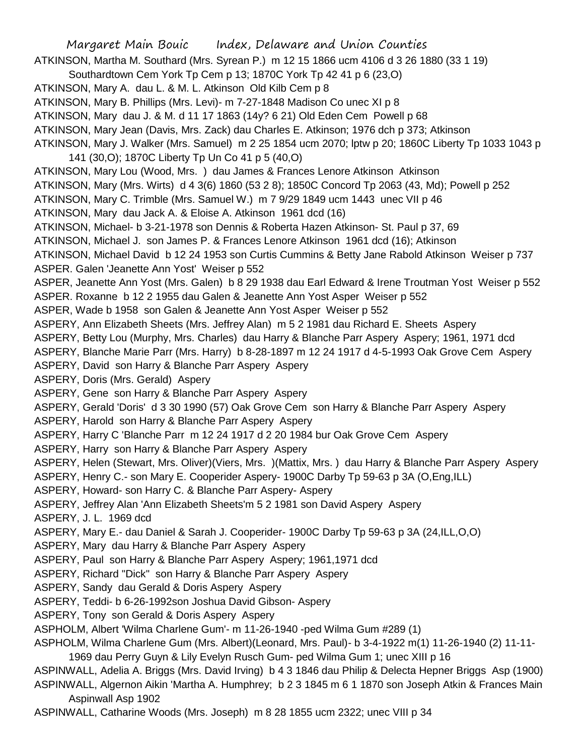Margaret Main Bouic Index, Delaware and Union Counties ATKINSON, Martha M. Southard (Mrs. Syrean P.) m 12 15 1866 ucm 4106 d 3 26 1880 (33 1 19) Southardtown Cem York Tp Cem p 13; 1870C York Tp 42 41 p 6 (23,O) ATKINSON, Mary A. dau L. & M. L. Atkinson Old Kilb Cem p 8 ATKINSON, Mary B. Phillips (Mrs. Levi)- m 7-27-1848 Madison Co unec XI p 8 ATKINSON, Mary dau J. & M. d 11 17 1863 (14y? 6 21) Old Eden Cem Powell p 68 ATKINSON, Mary Jean (Davis, Mrs. Zack) dau Charles E. Atkinson; 1976 dch p 373; Atkinson ATKINSON, Mary J. Walker (Mrs. Samuel) m 2 25 1854 ucm 2070; lptw p 20; 1860C Liberty Tp 1033 1043 p 141 (30,O); 1870C Liberty Tp Un Co 41 p 5 (40,O) ATKINSON, Mary Lou (Wood, Mrs. ) dau James & Frances Lenore Atkinson Atkinson ATKINSON, Mary (Mrs. Wirts) d 4 3(6) 1860 (53 2 8); 1850C Concord Tp 2063 (43, Md); Powell p 252 ATKINSON, Mary C. Trimble (Mrs. Samuel W.) m 7 9/29 1849 ucm 1443 unec VII p 46 ATKINSON, Mary dau Jack A. & Eloise A. Atkinson 1961 dcd (16) ATKINSON, Michael- b 3-21-1978 son Dennis & Roberta Hazen Atkinson- St. Paul p 37, 69 ATKINSON, Michael J. son James P. & Frances Lenore Atkinson 1961 dcd (16); Atkinson ATKINSON, Michael David b 12 24 1953 son Curtis Cummins & Betty Jane Rabold Atkinson Weiser p 737 ASPER. Galen 'Jeanette Ann Yost' Weiser p 552 ASPER, Jeanette Ann Yost (Mrs. Galen) b 8 29 1938 dau Earl Edward & Irene Troutman Yost Weiser p 552 ASPER. Roxanne b 12 2 1955 dau Galen & Jeanette Ann Yost Asper Weiser p 552 ASPER, Wade b 1958 son Galen & Jeanette Ann Yost Asper Weiser p 552 ASPERY, Ann Elizabeth Sheets (Mrs. Jeffrey Alan) m 5 2 1981 dau Richard E. Sheets Aspery ASPERY, Betty Lou (Murphy, Mrs. Charles) dau Harry & Blanche Parr Aspery Aspery; 1961, 1971 dcd ASPERY, Blanche Marie Parr (Mrs. Harry) b 8-28-1897 m 12 24 1917 d 4-5-1993 Oak Grove Cem Aspery ASPERY, David son Harry & Blanche Parr Aspery Aspery ASPERY, Doris (Mrs. Gerald) Aspery ASPERY, Gene son Harry & Blanche Parr Aspery Aspery ASPERY, Gerald 'Doris' d 3 30 1990 (57) Oak Grove Cem son Harry & Blanche Parr Aspery Aspery ASPERY, Harold son Harry & Blanche Parr Aspery Aspery ASPERY, Harry C 'Blanche Parr m 12 24 1917 d 2 20 1984 bur Oak Grove Cem Aspery ASPERY, Harry son Harry & Blanche Parr Aspery Aspery ASPERY, Helen (Stewart, Mrs. Oliver)(Viers, Mrs. )(Mattix, Mrs. ) dau Harry & Blanche Parr Aspery Aspery ASPERY, Henry C.- son Mary E. Cooperider Aspery- 1900C Darby Tp 59-63 p 3A (O,Eng,ILL) ASPERY, Howard- son Harry C. & Blanche Parr Aspery- Aspery ASPERY, Jeffrey Alan 'Ann Elizabeth Sheets'm 5 2 1981 son David Aspery Aspery ASPERY, J. L. 1969 dcd ASPERY, Mary E.- dau Daniel & Sarah J. Cooperider- 1900C Darby Tp 59-63 p 3A (24,ILL,O,O) ASPERY, Mary dau Harry & Blanche Parr Aspery Aspery ASPERY, Paul son Harry & Blanche Parr Aspery Aspery; 1961,1971 dcd ASPERY, Richard "Dick" son Harry & Blanche Parr Aspery Aspery ASPERY, Sandy dau Gerald & Doris Aspery Aspery ASPERY, Teddi- b 6-26-1992son Joshua David Gibson- Aspery ASPERY, Tony son Gerald & Doris Aspery Aspery ASPHOLM, Albert 'Wilma Charlene Gum'- m 11-26-1940 -ped Wilma Gum #289 (1) ASPHOLM, Wilma Charlene Gum (Mrs. Albert)(Leonard, Mrs. Paul)- b 3-4-1922 m(1) 11-26-1940 (2) 11-11- 1969 dau Perry Guyn & Lily Evelyn Rusch Gum- ped Wilma Gum 1; unec XIII p 16 ASPINWALL, Adelia A. Briggs (Mrs. David Irving) b 4 3 1846 dau Philip & Delecta Hepner Briggs Asp (1900) ASPINWALL, Algernon Aikin 'Martha A. Humphrey; b 2 3 1845 m 6 1 1870 son Joseph Atkin & Frances Main Aspinwall Asp 1902 ASPINWALL, Catharine Woods (Mrs. Joseph) m 8 28 1855 ucm 2322; unec VIII p 34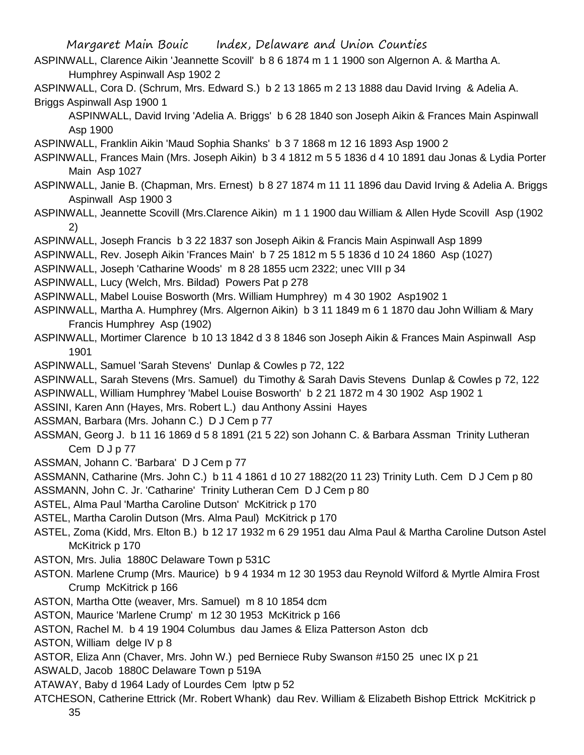- ASPINWALL, Clarence Aikin 'Jeannette Scovill' b 8 6 1874 m 1 1 1900 son Algernon A. & Martha A. Humphrey Aspinwall Asp 1902 2
- ASPINWALL, Cora D. (Schrum, Mrs. Edward S.) b 2 13 1865 m 2 13 1888 dau David Irving & Adelia A. Briggs Aspinwall Asp 1900 1
	- ASPINWALL, David Irving 'Adelia A. Briggs' b 6 28 1840 son Joseph Aikin & Frances Main Aspinwall Asp 1900
- ASPINWALL, Franklin Aikin 'Maud Sophia Shanks' b 3 7 1868 m 12 16 1893 Asp 1900 2
- ASPINWALL, Frances Main (Mrs. Joseph Aikin) b 3 4 1812 m 5 5 1836 d 4 10 1891 dau Jonas & Lydia Porter Main Asp 1027
- ASPINWALL, Janie B. (Chapman, Mrs. Ernest) b 8 27 1874 m 11 11 1896 dau David Irving & Adelia A. Briggs Aspinwall Asp 1900 3
- ASPINWALL, Jeannette Scovill (Mrs.Clarence Aikin) m 1 1 1900 dau William & Allen Hyde Scovill Asp (1902 2)
- ASPINWALL, Joseph Francis b 3 22 1837 son Joseph Aikin & Francis Main Aspinwall Asp 1899
- ASPINWALL, Rev. Joseph Aikin 'Frances Main' b 7 25 1812 m 5 5 1836 d 10 24 1860 Asp (1027)
- ASPINWALL, Joseph 'Catharine Woods' m 8 28 1855 ucm 2322; unec VIII p 34
- ASPINWALL, Lucy (Welch, Mrs. Bildad) Powers Pat p 278
- ASPINWALL, Mabel Louise Bosworth (Mrs. William Humphrey) m 4 30 1902 Asp1902 1
- ASPINWALL, Martha A. Humphrey (Mrs. Algernon Aikin) b 3 11 1849 m 6 1 1870 dau John William & Mary Francis Humphrey Asp (1902)
- ASPINWALL, Mortimer Clarence b 10 13 1842 d 3 8 1846 son Joseph Aikin & Frances Main Aspinwall Asp 1901
- ASPINWALL, Samuel 'Sarah Stevens' Dunlap & Cowles p 72, 122
- ASPINWALL, Sarah Stevens (Mrs. Samuel) du Timothy & Sarah Davis Stevens Dunlap & Cowles p 72, 122 ASPINWALL, William Humphrey 'Mabel Louise Bosworth' b 2 21 1872 m 4 30 1902 Asp 1902 1
- ASSINI, Karen Ann (Hayes, Mrs. Robert L.) dau Anthony Assini Hayes
- ASSMAN, Barbara (Mrs. Johann C.) D J Cem p 77
- ASSMAN, Georg J. b 11 16 1869 d 5 8 1891 (21 5 22) son Johann C. & Barbara Assman Trinity Lutheran Cem D J p 77
- ASSMAN, Johann C. 'Barbara' D J Cem p 77
- ASSMANN, Catharine (Mrs. John C.) b 11 4 1861 d 10 27 1882(20 11 23) Trinity Luth. Cem D J Cem p 80
- ASSMANN, John C. Jr. 'Catharine' Trinity Lutheran Cem D J Cem p 80
- ASTEL, Alma Paul 'Martha Caroline Dutson' McKitrick p 170
- ASTEL, Martha Carolin Dutson (Mrs. Alma Paul) McKitrick p 170
- ASTEL, Zoma (Kidd, Mrs. Elton B.) b 12 17 1932 m 6 29 1951 dau Alma Paul & Martha Caroline Dutson Astel McKitrick p 170
- ASTON, Mrs. Julia 1880C Delaware Town p 531C
- ASTON. Marlene Crump (Mrs. Maurice) b 9 4 1934 m 12 30 1953 dau Reynold Wilford & Myrtle Almira Frost Crump McKitrick p 166
- ASTON, Martha Otte (weaver, Mrs. Samuel) m 8 10 1854 dcm
- ASTON, Maurice 'Marlene Crump' m 12 30 1953 McKitrick p 166
- ASTON, Rachel M. b 4 19 1904 Columbus dau James & Eliza Patterson Aston dcb
- ASTON, William delge IV p 8
- ASTOR, Eliza Ann (Chaver, Mrs. John W.) ped Berniece Ruby Swanson #150 25 unec IX p 21
- ASWALD, Jacob 1880C Delaware Town p 519A
- ATAWAY, Baby d 1964 Lady of Lourdes Cem lptw p 52
- ATCHESON, Catherine Ettrick (Mr. Robert Whank) dau Rev. William & Elizabeth Bishop Ettrick McKitrick p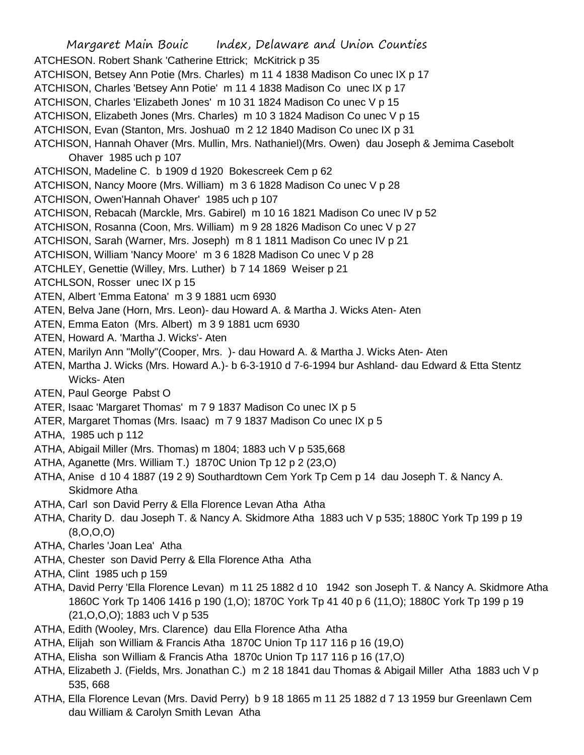Margaret Main Bouic Index, Delaware and Union Counties ATCHESON. Robert Shank 'Catherine Ettrick; McKitrick p 35 ATCHISON, Betsey Ann Potie (Mrs. Charles) m 11 4 1838 Madison Co unec IX p 17 ATCHISON, Charles 'Betsey Ann Potie' m 11 4 1838 Madison Co unec IX p 17 ATCHISON, Charles 'Elizabeth Jones' m 10 31 1824 Madison Co unec V p 15 ATCHISON, Elizabeth Jones (Mrs. Charles) m 10 3 1824 Madison Co unec V p 15 ATCHISON, Evan (Stanton, Mrs. Joshua0 m 2 12 1840 Madison Co unec IX p 31 ATCHISON, Hannah Ohaver (Mrs. Mullin, Mrs. Nathaniel)(Mrs. Owen) dau Joseph & Jemima Casebolt Ohaver 1985 uch p 107 ATCHISON, Madeline C. b 1909 d 1920 Bokescreek Cem p 62 ATCHISON, Nancy Moore (Mrs. William) m 3 6 1828 Madison Co unec V p 28 ATCHISON, Owen'Hannah Ohaver' 1985 uch p 107 ATCHISON, Rebacah (Marckle, Mrs. Gabirel) m 10 16 1821 Madison Co unec IV p 52 ATCHISON, Rosanna (Coon, Mrs. William) m 9 28 1826 Madison Co unec V p 27 ATCHISON, Sarah (Warner, Mrs. Joseph) m 8 1 1811 Madison Co unec IV p 21 ATCHISON, William 'Nancy Moore' m 3 6 1828 Madison Co unec V p 28 ATCHLEY, Genettie (Willey, Mrs. Luther) b 7 14 1869 Weiser p 21 ATCHLSON, Rosser unec IX p 15 ATEN, Albert 'Emma Eatona' m 3 9 1881 ucm 6930 ATEN, Belva Jane (Horn, Mrs. Leon)- dau Howard A. & Martha J. Wicks Aten- Aten ATEN, Emma Eaton (Mrs. Albert) m 3 9 1881 ucm 6930 ATEN, Howard A. 'Martha J. Wicks'- Aten ATEN, Marilyn Ann "Molly"(Cooper, Mrs. )- dau Howard A. & Martha J. Wicks Aten- Aten ATEN, Martha J. Wicks (Mrs. Howard A.)- b 6-3-1910 d 7-6-1994 bur Ashland- dau Edward & Etta Stentz Wicks- Aten ATEN, Paul George Pabst O ATER, Isaac 'Margaret Thomas' m 7 9 1837 Madison Co unec IX p 5 ATER, Margaret Thomas (Mrs. Isaac) m 7 9 1837 Madison Co unec IX p 5 ATHA, 1985 uch p 112 ATHA, Abigail Miller (Mrs. Thomas) m 1804; 1883 uch V p 535,668 ATHA, Aganette (Mrs. William T.) 1870C Union Tp 12 p 2 (23,O) ATHA, Anise d 10 4 1887 (19 2 9) Southardtown Cem York Tp Cem p 14 dau Joseph T. & Nancy A. Skidmore Atha ATHA, Carl son David Perry & Ella Florence Levan Atha Atha ATHA, Charity D. dau Joseph T. & Nancy A. Skidmore Atha 1883 uch V p 535; 1880C York Tp 199 p 19 (8,O,O,O) ATHA, Charles 'Joan Lea' Atha ATHA, Chester son David Perry & Ella Florence Atha Atha ATHA, Clint 1985 uch p 159 ATHA, David Perry 'Ella Florence Levan) m 11 25 1882 d 10 1942 son Joseph T. & Nancy A. Skidmore Atha 1860C York Tp 1406 1416 p 190 (1,O); 1870C York Tp 41 40 p 6 (11,O); 1880C York Tp 199 p 19 (21,O,O,O); 1883 uch V p 535

- ATHA, Edith (Wooley, Mrs. Clarence) dau Ella Florence Atha Atha
- ATHA, Elijah son William & Francis Atha 1870C Union Tp 117 116 p 16 (19,O)
- ATHA, Elisha son William & Francis Atha 1870c Union Tp 117 116 p 16 (17,O)
- ATHA, Elizabeth J. (Fields, Mrs. Jonathan C.) m 2 18 1841 dau Thomas & Abigail Miller Atha 1883 uch V p 535, 668
- ATHA, Ella Florence Levan (Mrs. David Perry) b 9 18 1865 m 11 25 1882 d 7 13 1959 bur Greenlawn Cem dau William & Carolyn Smith Levan Atha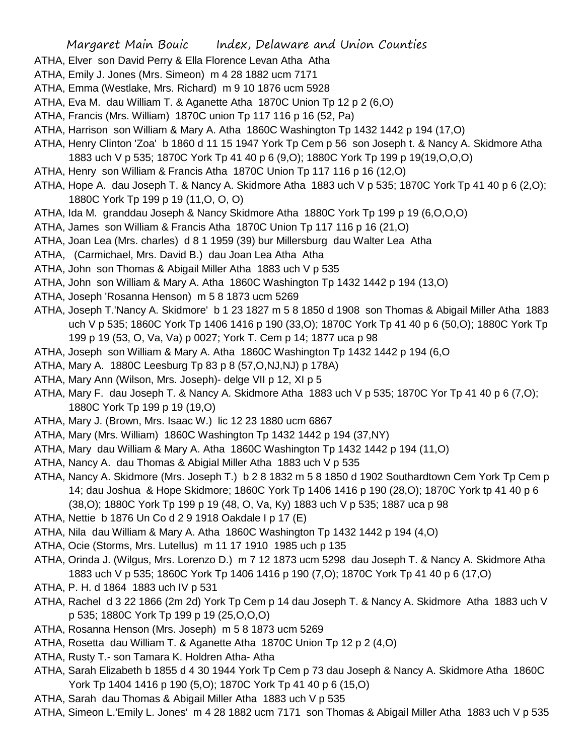- ATHA, Elver son David Perry & Ella Florence Levan Atha Atha
- ATHA, Emily J. Jones (Mrs. Simeon) m 4 28 1882 ucm 7171
- ATHA, Emma (Westlake, Mrs. Richard) m 9 10 1876 ucm 5928
- ATHA, Eva M. dau William T. & Aganette Atha 1870C Union Tp 12 p 2 (6,O)
- ATHA, Francis (Mrs. William) 1870C union Tp 117 116 p 16 (52, Pa)
- ATHA, Harrison son William & Mary A. Atha 1860C Washington Tp 1432 1442 p 194 (17,O)
- ATHA, Henry Clinton 'Zoa' b 1860 d 11 15 1947 York Tp Cem p 56 son Joseph t. & Nancy A. Skidmore Atha 1883 uch V p 535; 1870C York Tp 41 40 p 6 (9,O); 1880C York Tp 199 p 19(19,O,O,O)
- ATHA, Henry son William & Francis Atha 1870C Union Tp 117 116 p 16 (12,O)
- ATHA, Hope A. dau Joseph T. & Nancy A. Skidmore Atha 1883 uch V p 535; 1870C York Tp 41 40 p 6 (2,O); 1880C York Tp 199 p 19 (11,O, O, O)
- ATHA, Ida M. granddau Joseph & Nancy Skidmore Atha 1880C York Tp 199 p 19 (6,O,O,O)
- ATHA, James son William & Francis Atha 1870C Union Tp 117 116 p 16 (21,O)
- ATHA, Joan Lea (Mrs. charles) d 8 1 1959 (39) bur Millersburg dau Walter Lea Atha
- ATHA, (Carmichael, Mrs. David B.) dau Joan Lea Atha Atha
- ATHA, John son Thomas & Abigail Miller Atha 1883 uch V p 535
- ATHA, John son William & Mary A. Atha 1860C Washington Tp 1432 1442 p 194 (13,O)
- ATHA, Joseph 'Rosanna Henson) m 5 8 1873 ucm 5269
- ATHA, Joseph T.'Nancy A. Skidmore' b 1 23 1827 m 5 8 1850 d 1908 son Thomas & Abigail Miller Atha 1883 uch V p 535; 1860C York Tp 1406 1416 p 190 (33,O); 1870C York Tp 41 40 p 6 (50,O); 1880C York Tp 199 p 19 (53, O, Va, Va) p 0027; York T. Cem p 14; 1877 uca p 98
- ATHA, Joseph son William & Mary A. Atha 1860C Washington Tp 1432 1442 p 194 (6,O
- ATHA, Mary A. 1880C Leesburg Tp 83 p 8 (57,O,NJ,NJ) p 178A)
- ATHA, Mary Ann (Wilson, Mrs. Joseph)- delge VII p 12, XI p 5
- ATHA, Mary F. dau Joseph T. & Nancy A. Skidmore Atha 1883 uch V p 535; 1870C Yor Tp 41 40 p 6 (7,O); 1880C York Tp 199 p 19 (19,O)
- ATHA, Mary J. (Brown, Mrs. Isaac W.) lic 12 23 1880 ucm 6867
- ATHA, Mary (Mrs. William) 1860C Washington Tp 1432 1442 p 194 (37,NY)
- ATHA, Mary dau William & Mary A. Atha 1860C Washington Tp 1432 1442 p 194 (11,O)
- ATHA, Nancy A. dau Thomas & Abigial Miller Atha 1883 uch V p 535
- ATHA, Nancy A. Skidmore (Mrs. Joseph T.) b 2 8 1832 m 5 8 1850 d 1902 Southardtown Cem York Tp Cem p 14; dau Joshua & Hope Skidmore; 1860C York Tp 1406 1416 p 190 (28,O); 1870C York tp 41 40 p 6 (38,O); 1880C York Tp 199 p 19 (48, O, Va, Ky) 1883 uch V p 535; 1887 uca p 98
- ATHA, Nettie b 1876 Un Co d 2 9 1918 Oakdale I p 17 (E)
- ATHA, Nila dau William & Mary A. Atha 1860C Washington Tp 1432 1442 p 194 (4,O)
- ATHA, Ocie (Storms, Mrs. Lutellus) m 11 17 1910 1985 uch p 135
- ATHA, Orinda J. (Wilgus, Mrs. Lorenzo D.) m 7 12 1873 ucm 5298 dau Joseph T. & Nancy A. Skidmore Atha 1883 uch V p 535; 1860C York Tp 1406 1416 p 190 (7,O); 1870C York Tp 41 40 p 6 (17,O)
- ATHA, P. H. d 1864 1883 uch IV p 531
- ATHA, Rachel d 3 22 1866 (2m 2d) York Tp Cem p 14 dau Joseph T. & Nancy A. Skidmore Atha 1883 uch V p 535; 1880C York Tp 199 p 19 (25,O,O,O)
- ATHA, Rosanna Henson (Mrs. Joseph) m 5 8 1873 ucm 5269
- ATHA, Rosetta dau William T. & Aganette Atha 1870C Union Tp 12 p 2 (4,O)
- ATHA, Rusty T.- son Tamara K. Holdren Atha- Atha
- ATHA, Sarah Elizabeth b 1855 d 4 30 1944 York Tp Cem p 73 dau Joseph & Nancy A. Skidmore Atha 1860C York Tp 1404 1416 p 190 (5,O); 1870C York Tp 41 40 p 6 (15,O)
- ATHA, Sarah dau Thomas & Abigail Miller Atha 1883 uch V p 535
- ATHA, Simeon L.'Emily L. Jones' m 4 28 1882 ucm 7171 son Thomas & Abigail Miller Atha 1883 uch V p 535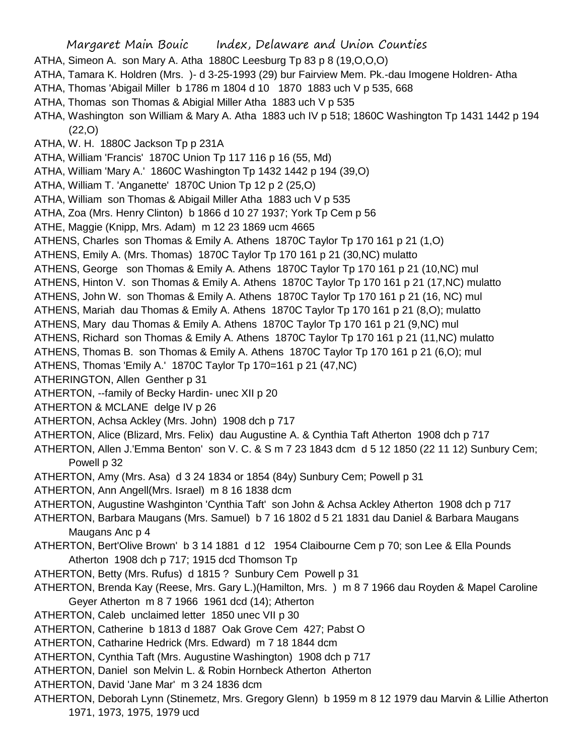Margaret Main Bouic Index, Delaware and Union Counties ATHA, Simeon A. son Mary A. Atha 1880C Leesburg Tp 83 p 8 (19,O,O,O) ATHA, Tamara K. Holdren (Mrs. )- d 3-25-1993 (29) bur Fairview Mem. Pk.-dau Imogene Holdren- Atha ATHA, Thomas 'Abigail Miller b 1786 m 1804 d 10 1870 1883 uch V p 535, 668 ATHA, Thomas son Thomas & Abigial Miller Atha 1883 uch V p 535 ATHA, Washington son William & Mary A. Atha 1883 uch IV p 518; 1860C Washington Tp 1431 1442 p 194 (22,O) ATHA, W. H. 1880C Jackson Tp p 231A ATHA, William 'Francis' 1870C Union Tp 117 116 p 16 (55, Md) ATHA, William 'Mary A.' 1860C Washington Tp 1432 1442 p 194 (39,O) ATHA, William T. 'Anganette' 1870C Union Tp 12 p 2 (25,O) ATHA, William son Thomas & Abigail Miller Atha 1883 uch V p 535 ATHA, Zoa (Mrs. Henry Clinton) b 1866 d 10 27 1937; York Tp Cem p 56 ATHE, Maggie (Knipp, Mrs. Adam) m 12 23 1869 ucm 4665 ATHENS, Charles son Thomas & Emily A. Athens 1870C Taylor Tp 170 161 p 21 (1,O) ATHENS, Emily A. (Mrs. Thomas) 1870C Taylor Tp 170 161 p 21 (30,NC) mulatto ATHENS, George son Thomas & Emily A. Athens 1870C Taylor Tp 170 161 p 21 (10,NC) mul ATHENS, Hinton V. son Thomas & Emily A. Athens 1870C Taylor Tp 170 161 p 21 (17,NC) mulatto ATHENS, John W. son Thomas & Emily A. Athens 1870C Taylor Tp 170 161 p 21 (16, NC) mul ATHENS, Mariah dau Thomas & Emily A. Athens 1870C Taylor Tp 170 161 p 21 (8,O); mulatto ATHENS, Mary dau Thomas & Emily A. Athens 1870C Taylor Tp 170 161 p 21 (9,NC) mul ATHENS, Richard son Thomas & Emily A. Athens 1870C Taylor Tp 170 161 p 21 (11,NC) mulatto ATHENS, Thomas B. son Thomas & Emily A. Athens 1870C Taylor Tp 170 161 p 21 (6,O); mul ATHENS, Thomas 'Emily A.' 1870C Taylor Tp 170=161 p 21 (47,NC) ATHERINGTON, Allen Genther p 31 ATHERTON, --family of Becky Hardin- unec XII p 20 ATHERTON & MCLANE delge IV p 26 ATHERTON, Achsa Ackley (Mrs. John) 1908 dch p 717 ATHERTON, Alice (Blizard, Mrs. Felix) dau Augustine A. & Cynthia Taft Atherton 1908 dch p 717 ATHERTON, Allen J.'Emma Benton' son V. C. & S m 7 23 1843 dcm d 5 12 1850 (22 11 12) Sunbury Cem; Powell p 32 ATHERTON, Amy (Mrs. Asa) d 3 24 1834 or 1854 (84y) Sunbury Cem; Powell p 31 ATHERTON, Ann Angell(Mrs. Israel) m 8 16 1838 dcm ATHERTON, Augustine Washginton 'Cynthia Taft' son John & Achsa Ackley Atherton 1908 dch p 717 ATHERTON, Barbara Maugans (Mrs. Samuel) b 7 16 1802 d 5 21 1831 dau Daniel & Barbara Maugans Maugans Anc p 4 ATHERTON, Bert'Olive Brown' b 3 14 1881 d 12 1954 Claibourne Cem p 70; son Lee & Ella Pounds Atherton 1908 dch p 717; 1915 dcd Thomson Tp ATHERTON, Betty (Mrs. Rufus) d 1815 ? Sunbury Cem Powell p 31 ATHERTON, Brenda Kay (Reese, Mrs. Gary L.)(Hamilton, Mrs. ) m 8 7 1966 dau Royden & Mapel Caroline Geyer Atherton m 8 7 1966 1961 dcd (14); Atherton ATHERTON, Caleb unclaimed letter 1850 unec VII p 30 ATHERTON, Catherine b 1813 d 1887 Oak Grove Cem 427; Pabst O ATHERTON, Catharine Hedrick (Mrs. Edward) m 7 18 1844 dcm ATHERTON, Cynthia Taft (Mrs. Augustine Washington) 1908 dch p 717 ATHERTON, Daniel son Melvin L. & Robin Hornbeck Atherton Atherton ATHERTON, David 'Jane Mar' m 3 24 1836 dcm ATHERTON, Deborah Lynn (Stinemetz, Mrs. Gregory Glenn) b 1959 m 8 12 1979 dau Marvin & Lillie Atherton 1971, 1973, 1975, 1979 ucd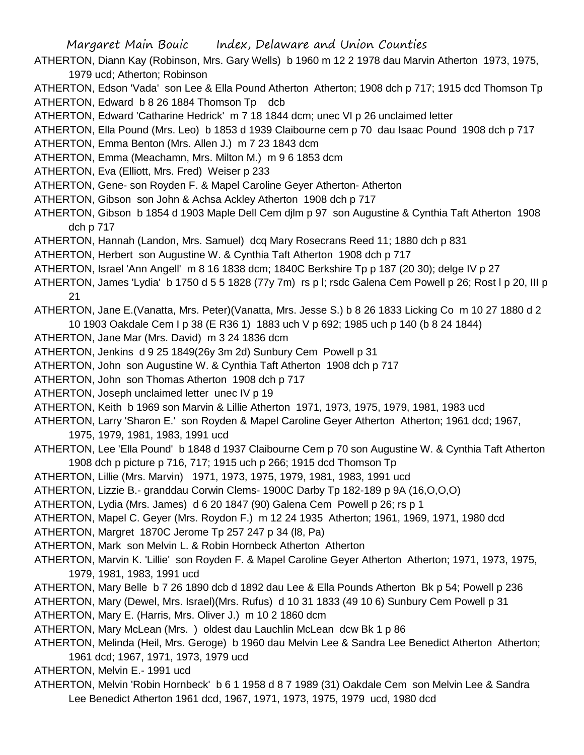ATHERTON, Diann Kay (Robinson, Mrs. Gary Wells) b 1960 m 12 2 1978 dau Marvin Atherton 1973, 1975, 1979 ucd; Atherton; Robinson

ATHERTON, Edson 'Vada' son Lee & Ella Pound Atherton Atherton; 1908 dch p 717; 1915 dcd Thomson Tp ATHERTON, Edward b 8 26 1884 Thomson Tp dcb

ATHERTON, Edward 'Catharine Hedrick' m 7 18 1844 dcm; unec VI p 26 unclaimed letter

ATHERTON, Ella Pound (Mrs. Leo) b 1853 d 1939 Claibourne cem p 70 dau Isaac Pound 1908 dch p 717

ATHERTON, Emma Benton (Mrs. Allen J.) m 7 23 1843 dcm

- ATHERTON, Emma (Meachamn, Mrs. Milton M.) m 9 6 1853 dcm
- ATHERTON, Eva (Elliott, Mrs. Fred) Weiser p 233
- ATHERTON, Gene- son Royden F. & Mapel Caroline Geyer Atherton- Atherton
- ATHERTON, Gibson son John & Achsa Ackley Atherton 1908 dch p 717
- ATHERTON, Gibson b 1854 d 1903 Maple Dell Cem djlm p 97 son Augustine & Cynthia Taft Atherton 1908 dch p 717
- ATHERTON, Hannah (Landon, Mrs. Samuel) dcq Mary Rosecrans Reed 11; 1880 dch p 831
- ATHERTON, Herbert son Augustine W. & Cynthia Taft Atherton 1908 dch p 717
- ATHERTON, Israel 'Ann Angell' m 8 16 1838 dcm; 1840C Berkshire Tp p 187 (20 30); delge IV p 27
- ATHERTON, James 'Lydia' b 1750 d 5 5 1828 (77y 7m) rs p l; rsdc Galena Cem Powell p 26; Rost l p 20, III p 21
- ATHERTON, Jane E.(Vanatta, Mrs. Peter)(Vanatta, Mrs. Jesse S.) b 8 26 1833 Licking Co m 10 27 1880 d 2 10 1903 Oakdale Cem I p 38 (E R36 1) 1883 uch V p 692; 1985 uch p 140 (b 8 24 1844)
- ATHERTON, Jane Mar (Mrs. David) m 3 24 1836 dcm
- ATHERTON, Jenkins d 9 25 1849(26y 3m 2d) Sunbury Cem Powell p 31
- ATHERTON, John son Augustine W. & Cynthia Taft Atherton 1908 dch p 717
- ATHERTON, John son Thomas Atherton 1908 dch p 717
- ATHERTON, Joseph unclaimed letter unec IV p 19
- ATHERTON, Keith b 1969 son Marvin & Lillie Atherton 1971, 1973, 1975, 1979, 1981, 1983 ucd
- ATHERTON, Larry 'Sharon E.' son Royden & Mapel Caroline Geyer Atherton Atherton; 1961 dcd; 1967,
- 1975, 1979, 1981, 1983, 1991 ucd
- ATHERTON, Lee 'Ella Pound' b 1848 d 1937 Claibourne Cem p 70 son Augustine W. & Cynthia Taft Atherton 1908 dch p picture p 716, 717; 1915 uch p 266; 1915 dcd Thomson Tp
- ATHERTON, Lillie (Mrs. Marvin) 1971, 1973, 1975, 1979, 1981, 1983, 1991 ucd
- ATHERTON, Lizzie B.- granddau Corwin Clems- 1900C Darby Tp 182-189 p 9A (16,O,O,O)
- ATHERTON, Lydia (Mrs. James) d 6 20 1847 (90) Galena Cem Powell p 26; rs p 1
- ATHERTON, Mapel C. Geyer (Mrs. Roydon F.) m 12 24 1935 Atherton; 1961, 1969, 1971, 1980 dcd
- ATHERTON, Margret 1870C Jerome Tp 257 247 p 34 (l8, Pa)
- ATHERTON, Mark son Melvin L. & Robin Hornbeck Atherton Atherton
- ATHERTON, Marvin K. 'Lillie' son Royden F. & Mapel Caroline Geyer Atherton Atherton; 1971, 1973, 1975, 1979, 1981, 1983, 1991 ucd
- ATHERTON, Mary Belle b 7 26 1890 dcb d 1892 dau Lee & Ella Pounds Atherton Bk p 54; Powell p 236
- ATHERTON, Mary (Dewel, Mrs. Israel)(Mrs. Rufus) d 10 31 1833 (49 10 6) Sunbury Cem Powell p 31
- ATHERTON, Mary E. (Harris, Mrs. Oliver J.) m 10 2 1860 dcm
- ATHERTON, Mary McLean (Mrs. ) oldest dau Lauchlin McLean dcw Bk 1 p 86
- ATHERTON, Melinda (Heil, Mrs. Geroge) b 1960 dau Melvin Lee & Sandra Lee Benedict Atherton Atherton; 1961 dcd; 1967, 1971, 1973, 1979 ucd
- ATHERTON, Melvin E.- 1991 ucd
- ATHERTON, Melvin 'Robin Hornbeck' b 6 1 1958 d 8 7 1989 (31) Oakdale Cem son Melvin Lee & Sandra Lee Benedict Atherton 1961 dcd, 1967, 1971, 1973, 1975, 1979 ucd, 1980 dcd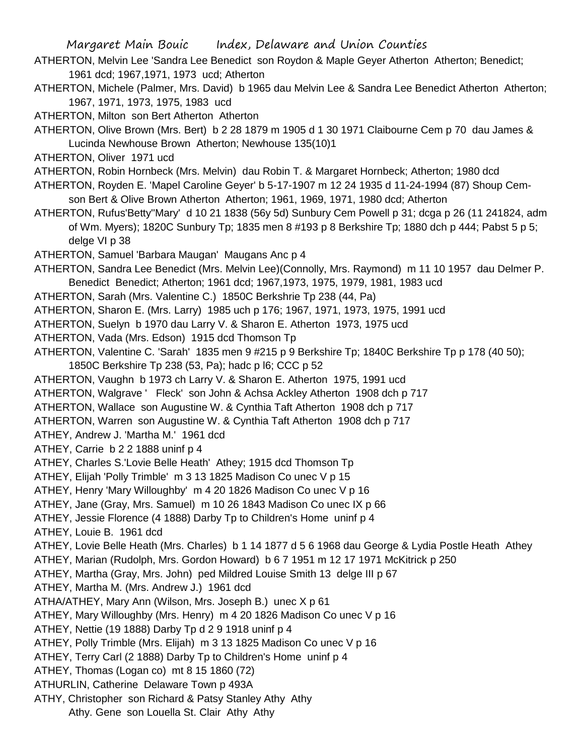ATHERTON, Melvin Lee 'Sandra Lee Benedict son Roydon & Maple Geyer Atherton Atherton; Benedict; 1961 dcd; 1967,1971, 1973 ucd; Atherton

ATHERTON, Michele (Palmer, Mrs. David) b 1965 dau Melvin Lee & Sandra Lee Benedict Atherton Atherton; 1967, 1971, 1973, 1975, 1983 ucd

ATHERTON, Milton son Bert Atherton Atherton

ATHERTON, Olive Brown (Mrs. Bert) b 2 28 1879 m 1905 d 1 30 1971 Claibourne Cem p 70 dau James & Lucinda Newhouse Brown Atherton; Newhouse 135(10)1

ATHERTON, Oliver 1971 ucd

ATHERTON, Robin Hornbeck (Mrs. Melvin) dau Robin T. & Margaret Hornbeck; Atherton; 1980 dcd

ATHERTON, Royden E. 'Mapel Caroline Geyer' b 5-17-1907 m 12 24 1935 d 11-24-1994 (87) Shoup Cemson Bert & Olive Brown Atherton Atherton; 1961, 1969, 1971, 1980 dcd; Atherton

ATHERTON, Rufus'Betty''Mary' d 10 21 1838 (56y 5d) Sunbury Cem Powell p 31; dcga p 26 (11 241824, adm of Wm. Myers); 1820C Sunbury Tp; 1835 men 8 #193 p 8 Berkshire Tp; 1880 dch p 444; Pabst 5 p 5; delge VI p 38

ATHERTON, Samuel 'Barbara Maugan' Maugans Anc p 4

ATHERTON, Sandra Lee Benedict (Mrs. Melvin Lee)(Connolly, Mrs. Raymond) m 11 10 1957 dau Delmer P. Benedict Benedict; Atherton; 1961 dcd; 1967,1973, 1975, 1979, 1981, 1983 ucd

ATHERTON, Sarah (Mrs. Valentine C.) 1850C Berkshrie Tp 238 (44, Pa)

ATHERTON, Sharon E. (Mrs. Larry) 1985 uch p 176; 1967, 1971, 1973, 1975, 1991 ucd

ATHERTON, Suelyn b 1970 dau Larry V. & Sharon E. Atherton 1973, 1975 ucd

ATHERTON, Vada (Mrs. Edson) 1915 dcd Thomson Tp

ATHERTON, Valentine C. 'Sarah' 1835 men 9 #215 p 9 Berkshire Tp; 1840C Berkshire Tp p 178 (40 50); 1850C Berkshire Tp 238 (53, Pa); hadc p l6; CCC p 52

ATHERTON, Vaughn b 1973 ch Larry V. & Sharon E. Atherton 1975, 1991 ucd

ATHERTON, Walgrave ' Fleck' son John & Achsa Ackley Atherton 1908 dch p 717

ATHERTON, Wallace son Augustine W. & Cynthia Taft Atherton 1908 dch p 717

ATHERTON, Warren son Augustine W. & Cynthia Taft Atherton 1908 dch p 717

ATHEY, Andrew J. 'Martha M.' 1961 dcd

ATHEY, Carrie b 2 2 1888 uninf p 4

ATHEY, Charles S.'Lovie Belle Heath' Athey; 1915 dcd Thomson Tp

ATHEY, Elijah 'Polly Trimble' m 3 13 1825 Madison Co unec V p 15

ATHEY, Henry 'Mary Willoughby' m 4 20 1826 Madison Co unec V p 16

ATHEY, Jane (Gray, Mrs. Samuel) m 10 26 1843 Madison Co unec IX p 66

ATHEY, Jessie Florence (4 1888) Darby Tp to Children's Home uninf p 4

ATHEY, Louie B. 1961 dcd

ATHEY, Lovie Belle Heath (Mrs. Charles) b 1 14 1877 d 5 6 1968 dau George & Lydia Postle Heath Athey

ATHEY, Marian (Rudolph, Mrs. Gordon Howard) b 6 7 1951 m 12 17 1971 McKitrick p 250

ATHEY, Martha (Gray, Mrs. John) ped Mildred Louise Smith 13 delge III p 67

ATHEY, Martha M. (Mrs. Andrew J.) 1961 dcd

ATHA/ATHEY, Mary Ann (Wilson, Mrs. Joseph B.) unec X p 61

ATHEY, Mary Willoughby (Mrs. Henry) m 4 20 1826 Madison Co unec V p 16

ATHEY, Nettie (19 1888) Darby Tp d 2 9 1918 uninf p 4

ATHEY, Polly Trimble (Mrs. Elijah) m 3 13 1825 Madison Co unec V p 16

ATHEY, Terry Carl (2 1888) Darby Tp to Children's Home uninf p 4

ATHEY, Thomas (Logan co) mt 8 15 1860 (72)

ATHURLIN, Catherine Delaware Town p 493A

ATHY, Christopher son Richard & Patsy Stanley Athy Athy

Athy. Gene son Louella St. Clair Athy Athy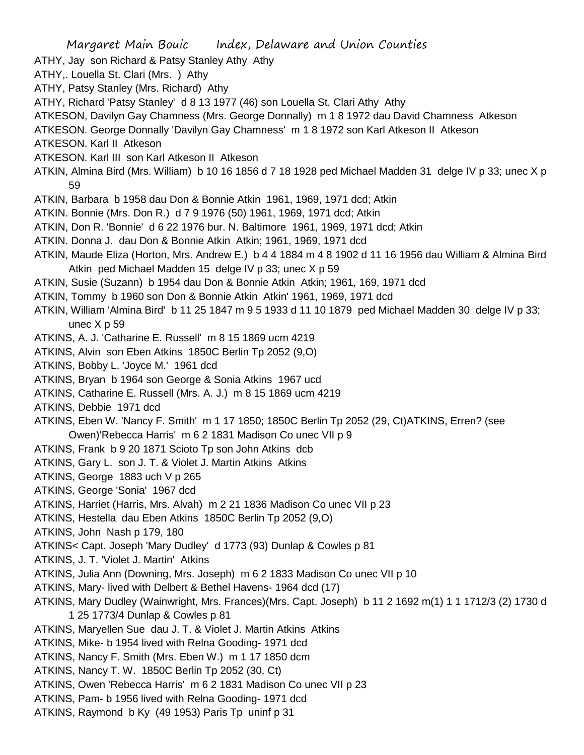Margaret Main Bouic Index, Delaware and Union Counties ATHY, Jay son Richard & Patsy Stanley Athy Athy ATHY,. Louella St. Clari (Mrs. ) Athy ATHY, Patsy Stanley (Mrs. Richard) Athy ATHY, Richard 'Patsy Stanley' d 8 13 1977 (46) son Louella St. Clari Athy Athy ATKESON, Davilyn Gay Chamness (Mrs. George Donnally) m 1 8 1972 dau David Chamness Atkeson ATKESON. George Donnally 'Davilyn Gay Chamness' m 1 8 1972 son Karl Atkeson II Atkeson ATKESON. Karl II Atkeson ATKESON. Karl III son Karl Atkeson II Atkeson ATKIN, Almina Bird (Mrs. William) b 10 16 1856 d 7 18 1928 ped Michael Madden 31 delge IV p 33; unec X p 59 ATKIN, Barbara b 1958 dau Don & Bonnie Atkin 1961, 1969, 1971 dcd; Atkin ATKIN. Bonnie (Mrs. Don R.) d 7 9 1976 (50) 1961, 1969, 1971 dcd; Atkin ATKIN, Don R. 'Bonnie' d 6 22 1976 bur. N. Baltimore 1961, 1969, 1971 dcd; Atkin ATKIN. Donna J. dau Don & Bonnie Atkin Atkin; 1961, 1969, 1971 dcd ATKIN, Maude Eliza (Horton, Mrs. Andrew E.) b 4 4 1884 m 4 8 1902 d 11 16 1956 dau William & Almina Bird Atkin ped Michael Madden 15 delge IV p 33; unec X p 59 ATKIN, Susie (Suzann) b 1954 dau Don & Bonnie Atkin Atkin; 1961, 169, 1971 dcd ATKIN, Tommy b 1960 son Don & Bonnie Atkin Atkin' 1961, 1969, 1971 dcd ATKIN, William 'Almina Bird' b 11 25 1847 m 9 5 1933 d 11 10 1879 ped Michael Madden 30 delge IV p 33; unec X p 59 ATKINS, A. J. 'Catharine E. Russell' m 8 15 1869 ucm 4219 ATKINS, Alvin son Eben Atkins 1850C Berlin Tp 2052 (9,O) ATKINS, Bobby L. 'Joyce M.' 1961 dcd ATKINS, Bryan b 1964 son George & Sonia Atkins 1967 ucd ATKINS, Catharine E. Russell (Mrs. A. J.) m 8 15 1869 ucm 4219 ATKINS, Debbie 1971 dcd ATKINS, Eben W. 'Nancy F. Smith' m 1 17 1850; 1850C Berlin Tp 2052 (29, Ct)ATKINS, Erren? (see Owen)'Rebecca Harris' m 6 2 1831 Madison Co unec VII p 9 ATKINS, Frank b 9 20 1871 Scioto Tp son John Atkins dcb ATKINS, Gary L. son J. T. & Violet J. Martin Atkins Atkins ATKINS, George 1883 uch V p 265 ATKINS, George 'Sonia' 1967 dcd ATKINS, Harriet (Harris, Mrs. Alvah) m 2 21 1836 Madison Co unec VII p 23 ATKINS, Hestella dau Eben Atkins 1850C Berlin Tp 2052 (9,O) ATKINS, John Nash p 179, 180 ATKINS< Capt. Joseph 'Mary Dudley' d 1773 (93) Dunlap & Cowles p 81 ATKINS, J. T. 'Violet J. Martin' Atkins ATKINS, Julia Ann (Downing, Mrs. Joseph) m 6 2 1833 Madison Co unec VII p 10 ATKINS, Mary- lived with Delbert & Bethel Havens- 1964 dcd (17) ATKINS, Mary Dudley (Wainwright, Mrs. Frances)(Mrs. Capt. Joseph) b 11 2 1692 m(1) 1 1 1712/3 (2) 1730 d 1 25 1773/4 Dunlap & Cowles p 81 ATKINS, Maryellen Sue dau J. T. & Violet J. Martin Atkins Atkins ATKINS, Mike- b 1954 lived with Relna Gooding- 1971 dcd ATKINS, Nancy F. Smith (Mrs. Eben W.) m 1 17 1850 dcm ATKINS, Nancy T. W. 1850C Berlin Tp 2052 (30, Ct) ATKINS, Owen 'Rebecca Harris' m 6 2 1831 Madison Co unec VII p 23 ATKINS, Pam- b 1956 lived with Relna Gooding- 1971 dcd ATKINS, Raymond b Ky (49 1953) Paris Tp uninf p 31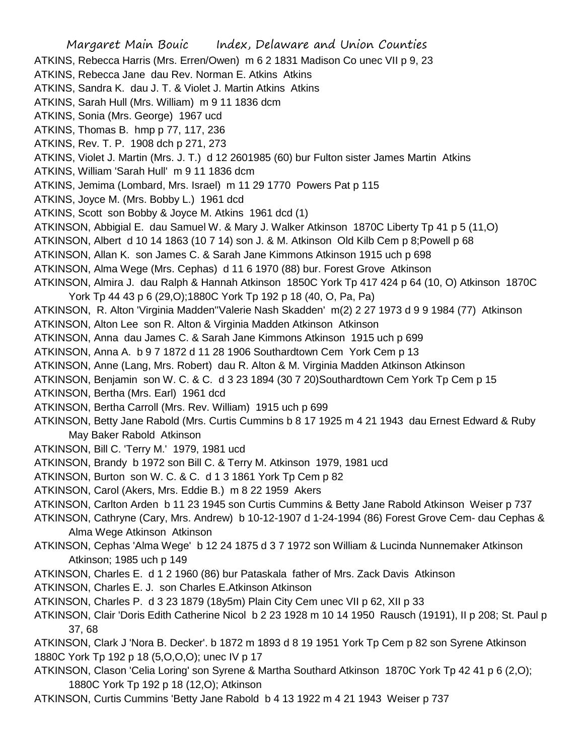Margaret Main Bouic Index, Delaware and Union Counties ATKINS, Rebecca Harris (Mrs. Erren/Owen) m 6 2 1831 Madison Co unec VII p 9, 23 ATKINS, Rebecca Jane dau Rev. Norman E. Atkins Atkins ATKINS, Sandra K. dau J. T. & Violet J. Martin Atkins Atkins ATKINS, Sarah Hull (Mrs. William) m 9 11 1836 dcm ATKINS, Sonia (Mrs. George) 1967 ucd ATKINS, Thomas B. hmp p 77, 117, 236 ATKINS, Rev. T. P. 1908 dch p 271, 273 ATKINS, Violet J. Martin (Mrs. J. T.) d 12 2601985 (60) bur Fulton sister James Martin Atkins ATKINS, William 'Sarah Hull' m 9 11 1836 dcm ATKINS, Jemima (Lombard, Mrs. Israel) m 11 29 1770 Powers Pat p 115 ATKINS, Joyce M. (Mrs. Bobby L.) 1961 dcd ATKINS, Scott son Bobby & Joyce M. Atkins 1961 dcd (1) ATKINSON, Abbigial E. dau Samuel W. & Mary J. Walker Atkinson 1870C Liberty Tp 41 p 5 (11,O) ATKINSON, Albert d 10 14 1863 (10 7 14) son J. & M. Atkinson Old Kilb Cem p 8;Powell p 68 ATKINSON, Allan K. son James C. & Sarah Jane Kimmons Atkinson 1915 uch p 698 ATKINSON, Alma Wege (Mrs. Cephas) d 11 6 1970 (88) bur. Forest Grove Atkinson ATKINSON, Almira J. dau Ralph & Hannah Atkinson 1850C York Tp 417 424 p 64 (10, O) Atkinson 1870C York Tp 44 43 p 6 (29,O);1880C York Tp 192 p 18 (40, O, Pa, Pa) ATKINSON, R. Alton 'Virginia Madden''Valerie Nash Skadden' m(2) 2 27 1973 d 9 9 1984 (77) Atkinson ATKINSON, Alton Lee son R. Alton & Virginia Madden Atkinson Atkinson ATKINSON, Anna dau James C. & Sarah Jane Kimmons Atkinson 1915 uch p 699 ATKINSON, Anna A. b 9 7 1872 d 11 28 1906 Southardtown Cem York Cem p 13 ATKINSON, Anne (Lang, Mrs. Robert) dau R. Alton & M. Virginia Madden Atkinson Atkinson ATKINSON, Benjamin son W. C. & C. d 3 23 1894 (30 7 20)Southardtown Cem York Tp Cem p 15 ATKINSON, Bertha (Mrs. Earl) 1961 dcd ATKINSON, Bertha Carroll (Mrs. Rev. William) 1915 uch p 699 ATKINSON, Betty Jane Rabold (Mrs. Curtis Cummins b 8 17 1925 m 4 21 1943 dau Ernest Edward & Ruby May Baker Rabold Atkinson ATKINSON, Bill C. 'Terry M.' 1979, 1981 ucd ATKINSON, Brandy b 1972 son Bill C. & Terry M. Atkinson 1979, 1981 ucd ATKINSON, Burton son W. C. & C. d 1 3 1861 York Tp Cem p 82 ATKINSON, Carol (Akers, Mrs. Eddie B.) m 8 22 1959 Akers ATKINSON, Carlton Arden b 11 23 1945 son Curtis Cummins & Betty Jane Rabold Atkinson Weiser p 737 ATKINSON, Cathryne (Cary, Mrs. Andrew) b 10-12-1907 d 1-24-1994 (86) Forest Grove Cem- dau Cephas & Alma Wege Atkinson Atkinson ATKINSON, Cephas 'Alma Wege' b 12 24 1875 d 3 7 1972 son William & Lucinda Nunnemaker Atkinson Atkinson; 1985 uch p 149 ATKINSON, Charles E. d 1 2 1960 (86) bur Pataskala father of Mrs. Zack Davis Atkinson ATKINSON, Charles E. J. son Charles E.Atkinson Atkinson ATKINSON, Charles P. d 3 23 1879 (18y5m) Plain City Cem unec VII p 62, XII p 33 ATKINSON, Clair 'Doris Edith Catherine Nicol b 2 23 1928 m 10 14 1950 Rausch (19191), II p 208; St. Paul p 37, 68 ATKINSON, Clark J 'Nora B. Decker'. b 1872 m 1893 d 8 19 1951 York Tp Cem p 82 son Syrene Atkinson 1880C York Tp 192 p 18 (5,O,O,O); unec IV p 17 ATKINSON, Clason 'Celia Loring' son Syrene & Martha Southard Atkinson 1870C York Tp 42 41 p 6 (2,O);

1880C York Tp 192 p 18 (12,O); Atkinson

ATKINSON, Curtis Cummins 'Betty Jane Rabold b 4 13 1922 m 4 21 1943 Weiser p 737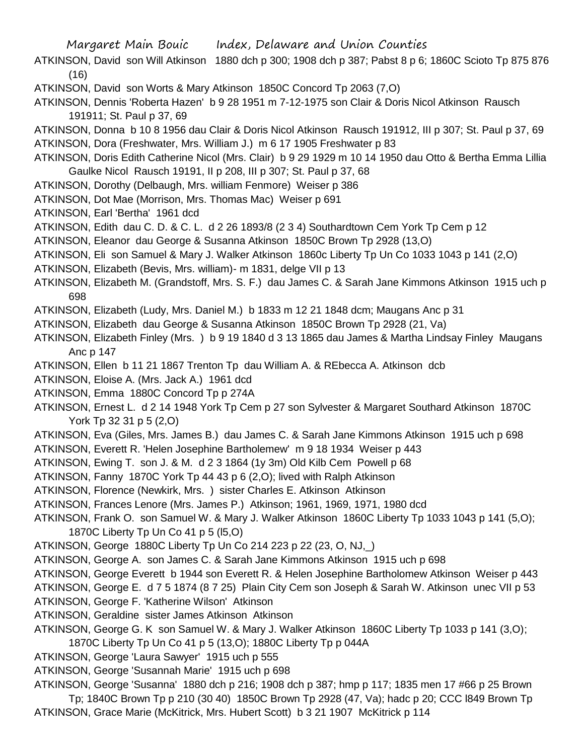- ATKINSON, David son Will Atkinson 1880 dch p 300; 1908 dch p 387; Pabst 8 p 6; 1860C Scioto Tp 875 876 (16)
- ATKINSON, David son Worts & Mary Atkinson 1850C Concord Tp 2063 (7,O)
- ATKINSON, Dennis 'Roberta Hazen' b 9 28 1951 m 7-12-1975 son Clair & Doris Nicol Atkinson Rausch 191911; St. Paul p 37, 69
- ATKINSON, Donna b 10 8 1956 dau Clair & Doris Nicol Atkinson Rausch 191912, III p 307; St. Paul p 37, 69 ATKINSON, Dora (Freshwater, Mrs. William J.) m 6 17 1905 Freshwater p 83
- ATKINSON, Doris Edith Catherine Nicol (Mrs. Clair) b 9 29 1929 m 10 14 1950 dau Otto & Bertha Emma Lillia Gaulke Nicol Rausch 19191, II p 208, III p 307; St. Paul p 37, 68
- ATKINSON, Dorothy (Delbaugh, Mrs. william Fenmore) Weiser p 386
- ATKINSON, Dot Mae (Morrison, Mrs. Thomas Mac) Weiser p 691
- ATKINSON, Earl 'Bertha' 1961 dcd
- ATKINSON, Edith dau C. D. & C. L. d 2 26 1893/8 (2 3 4) Southardtown Cem York Tp Cem p 12
- ATKINSON, Eleanor dau George & Susanna Atkinson 1850C Brown Tp 2928 (13,O)
- ATKINSON, Eli son Samuel & Mary J. Walker Atkinson 1860c Liberty Tp Un Co 1033 1043 p 141 (2,O)
- ATKINSON, Elizabeth (Bevis, Mrs. william)- m 1831, delge VII p 13
- ATKINSON, Elizabeth M. (Grandstoff, Mrs. S. F.) dau James C. & Sarah Jane Kimmons Atkinson 1915 uch p 698
- ATKINSON, Elizabeth (Ludy, Mrs. Daniel M.) b 1833 m 12 21 1848 dcm; Maugans Anc p 31
- ATKINSON, Elizabeth dau George & Susanna Atkinson 1850C Brown Tp 2928 (21, Va)
- ATKINSON, Elizabeth Finley (Mrs. ) b 9 19 1840 d 3 13 1865 dau James & Martha Lindsay Finley Maugans Anc p 147
- ATKINSON, Ellen b 11 21 1867 Trenton Tp dau William A. & REbecca A. Atkinson dcb
- ATKINSON, Eloise A. (Mrs. Jack A.) 1961 dcd
- ATKINSON, Emma 1880C Concord Tp p 274A
- ATKINSON, Ernest L. d 2 14 1948 York Tp Cem p 27 son Sylvester & Margaret Southard Atkinson 1870C York Tp 32 31 p 5 (2,O)
- ATKINSON, Eva (Giles, Mrs. James B.) dau James C. & Sarah Jane Kimmons Atkinson 1915 uch p 698
- ATKINSON, Everett R. 'Helen Josephine Bartholemew' m 9 18 1934 Weiser p 443
- ATKINSON, Ewing T. son J. & M. d 2 3 1864 (1y 3m) Old Kilb Cem Powell p 68
- ATKINSON, Fanny 1870C York Tp 44 43 p 6 (2,O); lived with Ralph Atkinson
- ATKINSON, Florence (Newkirk, Mrs. ) sister Charles E. Atkinson Atkinson
- ATKINSON, Frances Lenore (Mrs. James P.) Atkinson; 1961, 1969, 1971, 1980 dcd
- ATKINSON, Frank O. son Samuel W. & Mary J. Walker Atkinson 1860C Liberty Tp 1033 1043 p 141 (5,O); 1870C Liberty Tp Un Co 41 p 5 (l5,O)
- ATKINSON, George 1880C Liberty Tp Un Co 214 223 p 22 (23, O, NJ,\_)
- ATKINSON, George A. son James C. & Sarah Jane Kimmons Atkinson 1915 uch p 698
- ATKINSON, George Everett b 1944 son Everett R. & Helen Josephine Bartholomew Atkinson Weiser p 443
- ATKINSON, George E. d 7 5 1874 (8 7 25) Plain City Cem son Joseph & Sarah W. Atkinson unec VII p 53
- ATKINSON, George F. 'Katherine Wilson' Atkinson
- ATKINSON, Geraldine sister James Atkinson Atkinson
- ATKINSON, George G. K son Samuel W. & Mary J. Walker Atkinson 1860C Liberty Tp 1033 p 141 (3,O);
- 1870C Liberty Tp Un Co 41 p 5 (13,O); 1880C Liberty Tp p 044A
- ATKINSON, George 'Laura Sawyer' 1915 uch p 555
- ATKINSON, George 'Susannah Marie' 1915 uch p 698
- ATKINSON, George 'Susanna' 1880 dch p 216; 1908 dch p 387; hmp p 117; 1835 men 17 #66 p 25 Brown Tp; 1840C Brown Tp p 210 (30 40) 1850C Brown Tp 2928 (47, Va); hadc p 20; CCC l849 Brown Tp ATKINSON, Grace Marie (McKitrick, Mrs. Hubert Scott) b 3 21 1907 McKitrick p 114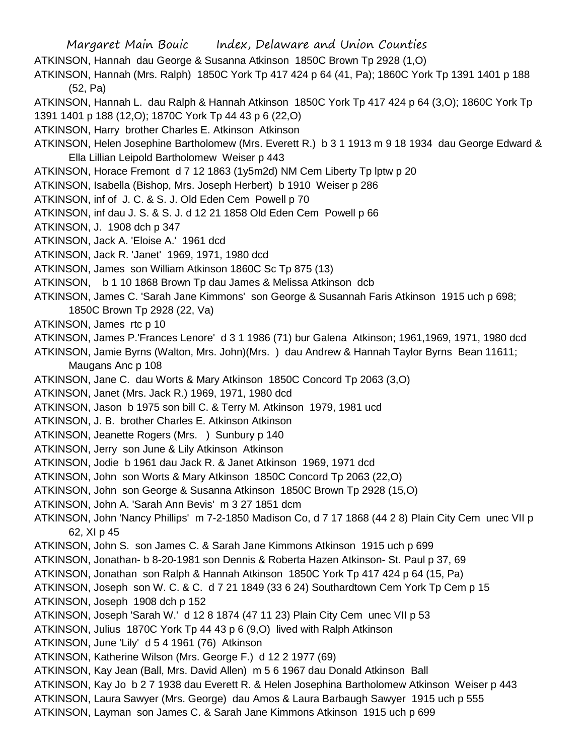Margaret Main Bouic Index, Delaware and Union Counties ATKINSON, Hannah dau George & Susanna Atkinson 1850C Brown Tp 2928 (1,O) ATKINSON, Hannah (Mrs. Ralph) 1850C York Tp 417 424 p 64 (41, Pa); 1860C York Tp 1391 1401 p 188 (52, Pa) ATKINSON, Hannah L. dau Ralph & Hannah Atkinson 1850C York Tp 417 424 p 64 (3,O); 1860C York Tp 1391 1401 p 188 (12,O); 1870C York Tp 44 43 p 6 (22,O) ATKINSON, Harry brother Charles E. Atkinson Atkinson ATKINSON, Helen Josephine Bartholomew (Mrs. Everett R.) b 3 1 1913 m 9 18 1934 dau George Edward & Ella Lillian Leipold Bartholomew Weiser p 443 ATKINSON, Horace Fremont d 7 12 1863 (1y5m2d) NM Cem Liberty Tp lptw p 20 ATKINSON, Isabella (Bishop, Mrs. Joseph Herbert) b 1910 Weiser p 286 ATKINSON, inf of J. C. & S. J. Old Eden Cem Powell p 70 ATKINSON, inf dau J. S. & S. J. d 12 21 1858 Old Eden Cem Powell p 66 ATKINSON, J. 1908 dch p 347 ATKINSON, Jack A. 'Eloise A.' 1961 dcd ATKINSON, Jack R. 'Janet' 1969, 1971, 1980 dcd ATKINSON, James son William Atkinson 1860C Sc Tp 875 (13) ATKINSON, b 1 10 1868 Brown Tp dau James & Melissa Atkinson dcb ATKINSON, James C. 'Sarah Jane Kimmons' son George & Susannah Faris Atkinson 1915 uch p 698; 1850C Brown Tp 2928 (22, Va) ATKINSON, James rtc p 10 ATKINSON, James P.'Frances Lenore' d 3 1 1986 (71) bur Galena Atkinson; 1961,1969, 1971, 1980 dcd ATKINSON, Jamie Byrns (Walton, Mrs. John)(Mrs. ) dau Andrew & Hannah Taylor Byrns Bean 11611; Maugans Anc p 108 ATKINSON, Jane C. dau Worts & Mary Atkinson 1850C Concord Tp 2063 (3,O) ATKINSON, Janet (Mrs. Jack R.) 1969, 1971, 1980 dcd ATKINSON, Jason b 1975 son bill C. & Terry M. Atkinson 1979, 1981 ucd ATKINSON, J. B. brother Charles E. Atkinson Atkinson ATKINSON, Jeanette Rogers (Mrs. ) Sunbury p 140 ATKINSON, Jerry son June & Lily Atkinson Atkinson ATKINSON, Jodie b 1961 dau Jack R. & Janet Atkinson 1969, 1971 dcd ATKINSON, John son Worts & Mary Atkinson 1850C Concord Tp 2063 (22,O) ATKINSON, John son George & Susanna Atkinson 1850C Brown Tp 2928 (15,O) ATKINSON, John A. 'Sarah Ann Bevis' m 3 27 1851 dcm ATKINSON, John 'Nancy Phillips' m 7-2-1850 Madison Co, d 7 17 1868 (44 2 8) Plain City Cem unec VII p 62, XI p 45 ATKINSON, John S. son James C. & Sarah Jane Kimmons Atkinson 1915 uch p 699 ATKINSON, Jonathan- b 8-20-1981 son Dennis & Roberta Hazen Atkinson- St. Paul p 37, 69 ATKINSON, Jonathan son Ralph & Hannah Atkinson 1850C York Tp 417 424 p 64 (15, Pa) ATKINSON, Joseph son W. C. & C. d 7 21 1849 (33 6 24) Southardtown Cem York Tp Cem p 15 ATKINSON, Joseph 1908 dch p 152 ATKINSON, Joseph 'Sarah W.' d 12 8 1874 (47 11 23) Plain City Cem unec VII p 53 ATKINSON, Julius 1870C York Tp 44 43 p 6 (9,O) lived with Ralph Atkinson ATKINSON, June 'Lily' d 5 4 1961 (76) Atkinson ATKINSON, Katherine Wilson (Mrs. George F.) d 12 2 1977 (69) ATKINSON, Kay Jean (Ball, Mrs. David Allen) m 5 6 1967 dau Donald Atkinson Ball ATKINSON, Kay Jo b 2 7 1938 dau Everett R. & Helen Josephina Bartholomew Atkinson Weiser p 443 ATKINSON, Laura Sawyer (Mrs. George) dau Amos & Laura Barbaugh Sawyer 1915 uch p 555 ATKINSON, Layman son James C. & Sarah Jane Kimmons Atkinson 1915 uch p 699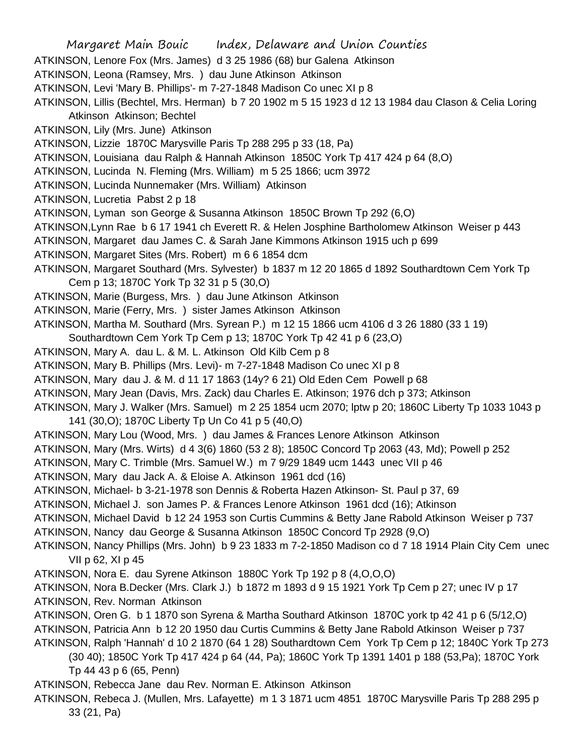Margaret Main Bouic Index, Delaware and Union Counties ATKINSON, Lenore Fox (Mrs. James) d 3 25 1986 (68) bur Galena Atkinson ATKINSON, Leona (Ramsey, Mrs. ) dau June Atkinson Atkinson ATKINSON, Levi 'Mary B. Phillips'- m 7-27-1848 Madison Co unec XI p 8 ATKINSON, Lillis (Bechtel, Mrs. Herman) b 7 20 1902 m 5 15 1923 d 12 13 1984 dau Clason & Celia Loring Atkinson Atkinson; Bechtel ATKINSON, Lily (Mrs. June) Atkinson ATKINSON, Lizzie 1870C Marysville Paris Tp 288 295 p 33 (18, Pa) ATKINSON, Louisiana dau Ralph & Hannah Atkinson 1850C York Tp 417 424 p 64 (8,O) ATKINSON, Lucinda N. Fleming (Mrs. William) m 5 25 1866; ucm 3972 ATKINSON, Lucinda Nunnemaker (Mrs. William) Atkinson ATKINSON, Lucretia Pabst 2 p 18 ATKINSON, Lyman son George & Susanna Atkinson 1850C Brown Tp 292 (6,O) ATKINSON,Lynn Rae b 6 17 1941 ch Everett R. & Helen Josphine Bartholomew Atkinson Weiser p 443 ATKINSON, Margaret dau James C. & Sarah Jane Kimmons Atkinson 1915 uch p 699 ATKINSON, Margaret Sites (Mrs. Robert) m 6 6 1854 dcm ATKINSON, Margaret Southard (Mrs. Sylvester) b 1837 m 12 20 1865 d 1892 Southardtown Cem York Tp Cem p 13; 1870C York Tp 32 31 p 5 (30,O) ATKINSON, Marie (Burgess, Mrs. ) dau June Atkinson Atkinson ATKINSON, Marie (Ferry, Mrs. ) sister James Atkinson Atkinson ATKINSON, Martha M. Southard (Mrs. Syrean P.) m 12 15 1866 ucm 4106 d 3 26 1880 (33 1 19) Southardtown Cem York Tp Cem p 13; 1870C York Tp 42 41 p 6 (23,O) ATKINSON, Mary A. dau L. & M. L. Atkinson Old Kilb Cem p 8 ATKINSON, Mary B. Phillips (Mrs. Levi)- m 7-27-1848 Madison Co unec XI p 8 ATKINSON, Mary dau J. & M. d 11 17 1863 (14y? 6 21) Old Eden Cem Powell p 68 ATKINSON, Mary Jean (Davis, Mrs. Zack) dau Charles E. Atkinson; 1976 dch p 373; Atkinson ATKINSON, Mary J. Walker (Mrs. Samuel) m 2 25 1854 ucm 2070; lptw p 20; 1860C Liberty Tp 1033 1043 p 141 (30,O); 1870C Liberty Tp Un Co 41 p 5 (40,O) ATKINSON, Mary Lou (Wood, Mrs. ) dau James & Frances Lenore Atkinson Atkinson ATKINSON, Mary (Mrs. Wirts) d 4 3(6) 1860 (53 2 8); 1850C Concord Tp 2063 (43, Md); Powell p 252 ATKINSON, Mary C. Trimble (Mrs. Samuel W.) m 7 9/29 1849 ucm 1443 unec VII p 46 ATKINSON, Mary dau Jack A. & Eloise A. Atkinson 1961 dcd (16) ATKINSON, Michael- b 3-21-1978 son Dennis & Roberta Hazen Atkinson- St. Paul p 37, 69 ATKINSON, Michael J. son James P. & Frances Lenore Atkinson 1961 dcd (16); Atkinson ATKINSON, Michael David b 12 24 1953 son Curtis Cummins & Betty Jane Rabold Atkinson Weiser p 737 ATKINSON, Nancy dau George & Susanna Atkinson 1850C Concord Tp 2928 (9,O) ATKINSON, Nancy Phillips (Mrs. John) b 9 23 1833 m 7-2-1850 Madison co d 7 18 1914 Plain City Cem unec VII p 62, XI p 45 ATKINSON, Nora E. dau Syrene Atkinson 1880C York Tp 192 p 8 (4,O,O,O) ATKINSON, Nora B.Decker (Mrs. Clark J.) b 1872 m 1893 d 9 15 1921 York Tp Cem p 27; unec IV p 17 ATKINSON, Rev. Norman Atkinson ATKINSON, Oren G. b 1 1870 son Syrena & Martha Southard Atkinson 1870C york tp 42 41 p 6 (5/12,O) ATKINSON, Patricia Ann b 12 20 1950 dau Curtis Cummins & Betty Jane Rabold Atkinson Weiser p 737 ATKINSON, Ralph 'Hannah' d 10 2 1870 (64 1 28) Southardtown Cem York Tp Cem p 12; 1840C York Tp 273 (30 40); 1850C York Tp 417 424 p 64 (44, Pa); 1860C York Tp 1391 1401 p 188 (53,Pa); 1870C York Tp 44 43 p 6 (65, Penn) ATKINSON, Rebecca Jane dau Rev. Norman E. Atkinson Atkinson ATKINSON, Rebeca J. (Mullen, Mrs. Lafayette) m 1 3 1871 ucm 4851 1870C Marysville Paris Tp 288 295 p

33 (21, Pa)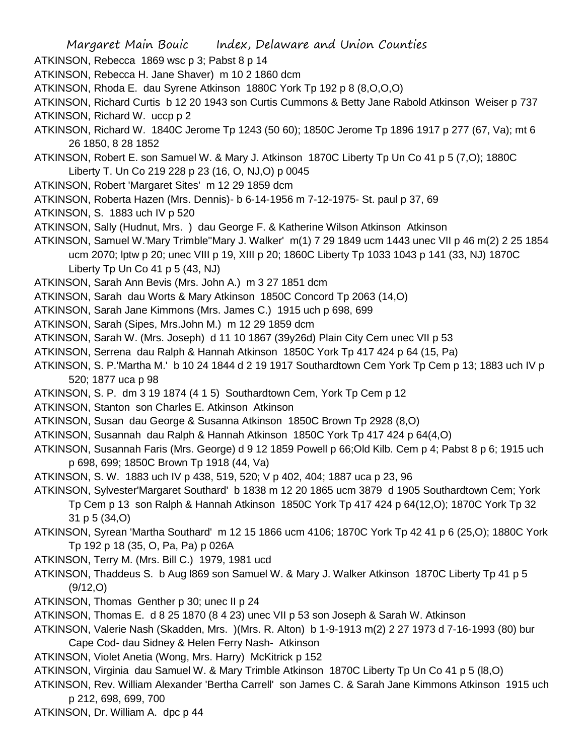- ATKINSON, Rebecca 1869 wsc p 3; Pabst 8 p 14
- ATKINSON, Rebecca H. Jane Shaver) m 10 2 1860 dcm
- ATKINSON, Rhoda E. dau Syrene Atkinson 1880C York Tp 192 p 8 (8,O,O,O)

ATKINSON, Richard Curtis b 12 20 1943 son Curtis Cummons & Betty Jane Rabold Atkinson Weiser p 737 ATKINSON, Richard W. uccp p 2

- ATKINSON, Richard W. 1840C Jerome Tp 1243 (50 60); 1850C Jerome Tp 1896 1917 p 277 (67, Va); mt 6 26 1850, 8 28 1852
- ATKINSON, Robert E. son Samuel W. & Mary J. Atkinson 1870C Liberty Tp Un Co 41 p 5 (7,O); 1880C Liberty T. Un Co 219 228 p 23 (16, O, NJ,O) p 0045
- ATKINSON, Robert 'Margaret Sites' m 12 29 1859 dcm
- ATKINSON, Roberta Hazen (Mrs. Dennis)- b 6-14-1956 m 7-12-1975- St. paul p 37, 69
- ATKINSON, S. 1883 uch IV p 520
- ATKINSON, Sally (Hudnut, Mrs. ) dau George F. & Katherine Wilson Atkinson Atkinson
- ATKINSON, Samuel W.'Mary Trimble''Mary J. Walker' m(1) 7 29 1849 ucm 1443 unec VII p 46 m(2) 2 25 1854 ucm 2070; lptw p 20; unec VIII p 19, XIII p 20; 1860C Liberty Tp 1033 1043 p 141 (33, NJ) 1870C Liberty Tp Un  $Co$  41 p 5 (43, NJ)
- ATKINSON, Sarah Ann Bevis (Mrs. John A.) m 3 27 1851 dcm
- ATKINSON, Sarah dau Worts & Mary Atkinson 1850C Concord Tp 2063 (14,O)
- ATKINSON, Sarah Jane Kimmons (Mrs. James C.) 1915 uch p 698, 699
- ATKINSON, Sarah (Sipes, Mrs.John M.) m 12 29 1859 dcm
- ATKINSON, Sarah W. (Mrs. Joseph) d 11 10 1867 (39y26d) Plain City Cem unec VII p 53
- ATKINSON, Serrena dau Ralph & Hannah Atkinson 1850C York Tp 417 424 p 64 (15, Pa)
- ATKINSON, S. P.'Martha M.' b 10 24 1844 d 2 19 1917 Southardtown Cem York Tp Cem p 13; 1883 uch IV p 520; 1877 uca p 98
- ATKINSON, S. P. dm 3 19 1874 (4 1 5) Southardtown Cem, York Tp Cem p 12
- ATKINSON, Stanton son Charles E. Atkinson Atkinson
- ATKINSON, Susan dau George & Susanna Atkinson 1850C Brown Tp 2928 (8,O)
- ATKINSON, Susannah dau Ralph & Hannah Atkinson 1850C York Tp 417 424 p 64(4,O)
- ATKINSON, Susannah Faris (Mrs. George) d 9 12 1859 Powell p 66;Old Kilb. Cem p 4; Pabst 8 p 6; 1915 uch p 698, 699; 1850C Brown Tp 1918 (44, Va)
- ATKINSON, S. W. 1883 uch IV p 438, 519, 520; V p 402, 404; 1887 uca p 23, 96
- ATKINSON, Sylvester'Margaret Southard' b 1838 m 12 20 1865 ucm 3879 d 1905 Southardtown Cem; York Tp Cem p 13 son Ralph & Hannah Atkinson 1850C York Tp 417 424 p 64(12,O); 1870C York Tp 32 31 p 5 (34,O)
- ATKINSON, Syrean 'Martha Southard' m 12 15 1866 ucm 4106; 1870C York Tp 42 41 p 6 (25,O); 1880C York Tp 192 p 18 (35, O, Pa, Pa) p 026A
- ATKINSON, Terry M. (Mrs. Bill C.) 1979, 1981 ucd
- ATKINSON, Thaddeus S. b Aug l869 son Samuel W. & Mary J. Walker Atkinson 1870C Liberty Tp 41 p 5 (9/12,O)
- ATKINSON, Thomas Genther p 30; unec II p 24
- ATKINSON, Thomas E. d 8 25 1870 (8 4 23) unec VII p 53 son Joseph & Sarah W. Atkinson
- ATKINSON, Valerie Nash (Skadden, Mrs. )(Mrs. R. Alton) b 1-9-1913 m(2) 2 27 1973 d 7-16-1993 (80) bur
	- Cape Cod- dau Sidney & Helen Ferry Nash- Atkinson
- ATKINSON, Violet Anetia (Wong, Mrs. Harry) McKitrick p 152
- ATKINSON, Virginia dau Samuel W. & Mary Trimble Atkinson 1870C Liberty Tp Un Co 41 p 5 (l8,O)
- ATKINSON, Rev. William Alexander 'Bertha Carrell' son James C. & Sarah Jane Kimmons Atkinson 1915 uch p 212, 698, 699, 700
- ATKINSON, Dr. William A. dpc p 44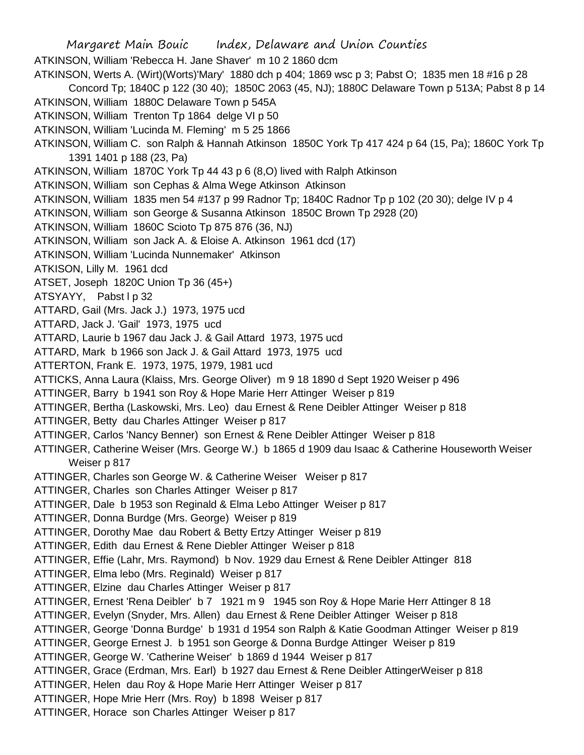Margaret Main Bouic Index, Delaware and Union Counties ATKINSON, William 'Rebecca H. Jane Shaver' m 10 2 1860 dcm ATKINSON, Werts A. (Wirt)(Worts)'Mary' 1880 dch p 404; 1869 wsc p 3; Pabst O; 1835 men 18 #16 p 28 Concord Tp; 1840C p 122 (30 40); 1850C 2063 (45, NJ); 1880C Delaware Town p 513A; Pabst 8 p 14 ATKINSON, William 1880C Delaware Town p 545A ATKINSON, William Trenton Tp 1864 delge VI p 50 ATKINSON, William 'Lucinda M. Fleming' m 5 25 1866 ATKINSON, William C. son Ralph & Hannah Atkinson 1850C York Tp 417 424 p 64 (15, Pa); 1860C York Tp 1391 1401 p 188 (23, Pa) ATKINSON, William 1870C York Tp 44 43 p 6 (8,O) lived with Ralph Atkinson ATKINSON, William son Cephas & Alma Wege Atkinson Atkinson ATKINSON, William 1835 men 54 #137 p 99 Radnor Tp; 1840C Radnor Tp p 102 (20 30); delge IV p 4 ATKINSON, William son George & Susanna Atkinson 1850C Brown Tp 2928 (20) ATKINSON, William 1860C Scioto Tp 875 876 (36, NJ) ATKINSON, William son Jack A. & Eloise A. Atkinson 1961 dcd (17) ATKINSON, William 'Lucinda Nunnemaker' Atkinson ATKISON, Lilly M. 1961 dcd ATSET, Joseph 1820C Union Tp 36 (45+) ATSYAYY, Pabst I p 32 ATTARD, Gail (Mrs. Jack J.) 1973, 1975 ucd ATTARD, Jack J. 'Gail' 1973, 1975 ucd ATTARD, Laurie b 1967 dau Jack J. & Gail Attard 1973, 1975 ucd ATTARD, Mark b 1966 son Jack J. & Gail Attard 1973, 1975 ucd ATTERTON, Frank E. 1973, 1975, 1979, 1981 ucd ATTICKS, Anna Laura (Klaiss, Mrs. George Oliver) m 9 18 1890 d Sept 1920 Weiser p 496 ATTINGER, Barry b 1941 son Roy & Hope Marie Herr Attinger Weiser p 819 ATTINGER, Bertha (Laskowski, Mrs. Leo) dau Ernest & Rene Deibler Attinger Weiser p 818 ATTINGER, Betty dau Charles Attinger Weiser p 817 ATTINGER, Carlos 'Nancy Benner) son Ernest & Rene Deibler Attinger Weiser p 818 ATTINGER, Catherine Weiser (Mrs. George W.) b 1865 d 1909 dau Isaac & Catherine Houseworth Weiser Weiser p 817 ATTINGER, Charles son George W. & Catherine Weiser Weiser p 817 ATTINGER, Charles son Charles Attinger Weiser p 817 ATTINGER, Dale b 1953 son Reginald & Elma Lebo Attinger Weiser p 817 ATTINGER, Donna Burdge (Mrs. George) Weiser p 819 ATTINGER, Dorothy Mae dau Robert & Betty Ertzy Attinger Weiser p 819 ATTINGER, Edith dau Ernest & Rene Diebler Attinger Weiser p 818 ATTINGER, Effie (Lahr, Mrs. Raymond) b Nov. 1929 dau Ernest & Rene Deibler Attinger 818 ATTINGER, Elma lebo (Mrs. Reginald) Weiser p 817 ATTINGER, Elzine dau Charles Attinger Weiser p 817 ATTINGER, Ernest 'Rena Deibler' b 7 1921 m 9 1945 son Roy & Hope Marie Herr Attinger 8 18 ATTINGER, Evelyn (Snyder, Mrs. Allen) dau Ernest & Rene Deibler Attinger Weiser p 818 ATTINGER, George 'Donna Burdge' b 1931 d 1954 son Ralph & Katie Goodman Attinger Weiser p 819 ATTINGER, George Ernest J. b 1951 son George & Donna Burdge Attinger Weiser p 819 ATTINGER, George W. 'Catherine Weiser' b 1869 d 1944 Weiser p 817 ATTINGER, Grace (Erdman, Mrs. Earl) b 1927 dau Ernest & Rene Deibler AttingerWeiser p 818 ATTINGER, Helen dau Roy & Hope Marie Herr Attinger Weiser p 817 ATTINGER, Hope Mrie Herr (Mrs. Roy) b 1898 Weiser p 817 ATTINGER, Horace son Charles Attinger Weiser p 817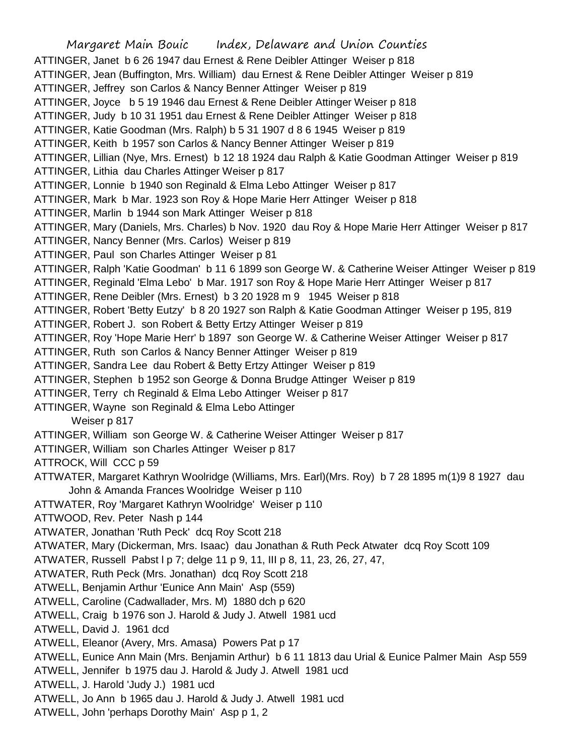Margaret Main Bouic Index, Delaware and Union Counties ATTINGER, Janet b 6 26 1947 dau Ernest & Rene Deibler Attinger Weiser p 818 ATTINGER, Jean (Buffington, Mrs. William) dau Ernest & Rene Deibler Attinger Weiser p 819 ATTINGER, Jeffrey son Carlos & Nancy Benner Attinger Weiser p 819 ATTINGER, Joyce b 5 19 1946 dau Ernest & Rene Deibler Attinger Weiser p 818 ATTINGER, Judy b 10 31 1951 dau Ernest & Rene Deibler Attinger Weiser p 818 ATTINGER, Katie Goodman (Mrs. Ralph) b 5 31 1907 d 8 6 1945 Weiser p 819 ATTINGER, Keith b 1957 son Carlos & Nancy Benner Attinger Weiser p 819 ATTINGER, Lillian (Nye, Mrs. Ernest) b 12 18 1924 dau Ralph & Katie Goodman Attinger Weiser p 819 ATTINGER, Lithia dau Charles Attinger Weiser p 817 ATTINGER, Lonnie b 1940 son Reginald & Elma Lebo Attinger Weiser p 817 ATTINGER, Mark b Mar. 1923 son Roy & Hope Marie Herr Attinger Weiser p 818 ATTINGER, Marlin b 1944 son Mark Attinger Weiser p 818 ATTINGER, Mary (Daniels, Mrs. Charles) b Nov. 1920 dau Roy & Hope Marie Herr Attinger Weiser p 817 ATTINGER, Nancy Benner (Mrs. Carlos) Weiser p 819 ATTINGER, Paul son Charles Attinger Weiser p 81 ATTINGER, Ralph 'Katie Goodman' b 11 6 1899 son George W. & Catherine Weiser Attinger Weiser p 819 ATTINGER, Reginald 'Elma Lebo' b Mar. 1917 son Roy & Hope Marie Herr Attinger Weiser p 817 ATTINGER, Rene Deibler (Mrs. Ernest) b 3 20 1928 m 9 1945 Weiser p 818 ATTINGER, Robert 'Betty Eutzy' b 8 20 1927 son Ralph & Katie Goodman Attinger Weiser p 195, 819 ATTINGER, Robert J. son Robert & Betty Ertzy Attinger Weiser p 819 ATTINGER, Roy 'Hope Marie Herr' b 1897 son George W. & Catherine Weiser Attinger Weiser p 817 ATTINGER, Ruth son Carlos & Nancy Benner Attinger Weiser p 819 ATTINGER, Sandra Lee dau Robert & Betty Ertzy Attinger Weiser p 819 ATTINGER, Stephen b 1952 son George & Donna Brudge Attinger Weiser p 819 ATTINGER, Terry ch Reginald & Elma Lebo Attinger Weiser p 817 ATTINGER, Wayne son Reginald & Elma Lebo Attinger Weiser p 817 ATTINGER, William son George W. & Catherine Weiser Attinger Weiser p 817 ATTINGER, William son Charles Attinger Weiser p 817 ATTROCK, Will CCC p 59 ATTWATER, Margaret Kathryn Woolridge (Williams, Mrs. Earl)(Mrs. Roy) b 7 28 1895 m(1)9 8 1927 dau John & Amanda Frances Woolridge Weiser p 110 ATTWATER, Roy 'Margaret Kathryn Woolridge' Weiser p 110 ATTWOOD, Rev. Peter Nash p 144 ATWATER, Jonathan 'Ruth Peck' dcq Roy Scott 218 ATWATER, Mary (Dickerman, Mrs. Isaac) dau Jonathan & Ruth Peck Atwater dcq Roy Scott 109 ATWATER, Russell Pabst l p 7; delge 11 p 9, 11, III p 8, 11, 23, 26, 27, 47, ATWATER, Ruth Peck (Mrs. Jonathan) dcq Roy Scott 218 ATWELL, Benjamin Arthur 'Eunice Ann Main' Asp (559) ATWELL, Caroline (Cadwallader, Mrs. M) 1880 dch p 620 ATWELL, Craig b 1976 son J. Harold & Judy J. Atwell 1981 ucd ATWELL, David J. 1961 dcd ATWELL, Eleanor (Avery, Mrs. Amasa) Powers Pat p 17 ATWELL, Eunice Ann Main (Mrs. Benjamin Arthur) b 6 11 1813 dau Urial & Eunice Palmer Main Asp 559 ATWELL, Jennifer b 1975 dau J. Harold & Judy J. Atwell 1981 ucd ATWELL, J. Harold 'Judy J.) 1981 ucd ATWELL, Jo Ann b 1965 dau J. Harold & Judy J. Atwell 1981 ucd ATWELL, John 'perhaps Dorothy Main' Asp p 1, 2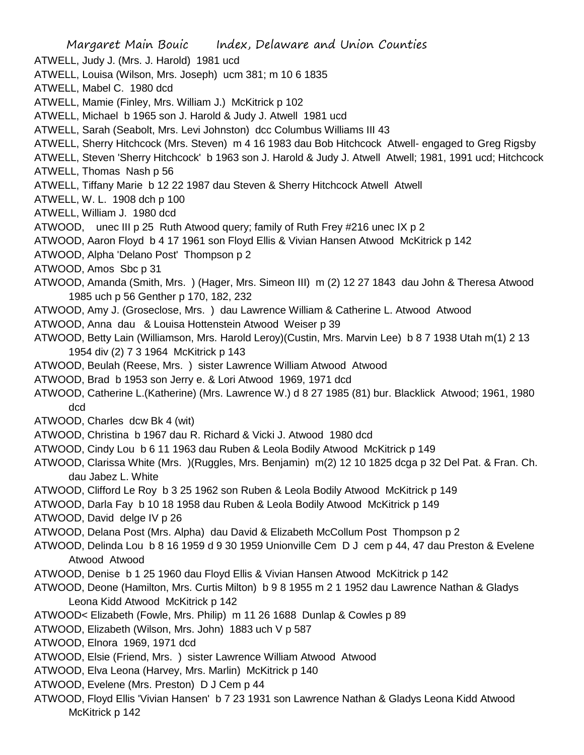Margaret Main Bouic Index, Delaware and Union Counties ATWELL, Judy J. (Mrs. J. Harold) 1981 ucd ATWELL, Louisa (Wilson, Mrs. Joseph) ucm 381; m 10 6 1835 ATWELL, Mabel C. 1980 dcd ATWELL, Mamie (Finley, Mrs. William J.) McKitrick p 102 ATWELL, Michael b 1965 son J. Harold & Judy J. Atwell 1981 ucd ATWELL, Sarah (Seabolt, Mrs. Levi Johnston) dcc Columbus Williams III 43 ATWELL, Sherry Hitchcock (Mrs. Steven) m 4 16 1983 dau Bob Hitchcock Atwell- engaged to Greg Rigsby ATWELL, Steven 'Sherry Hitchcock' b 1963 son J. Harold & Judy J. Atwell Atwell; 1981, 1991 ucd; Hitchcock ATWELL, Thomas Nash p 56 ATWELL, Tiffany Marie b 12 22 1987 dau Steven & Sherry Hitchcock Atwell Atwell ATWELL, W. L. 1908 dch p 100 ATWELL, William J. 1980 dcd ATWOOD, unec III p 25 Ruth Atwood query; family of Ruth Frey #216 unec IX p 2 ATWOOD, Aaron Floyd b 4 17 1961 son Floyd Ellis & Vivian Hansen Atwood McKitrick p 142 ATWOOD, Alpha 'Delano Post' Thompson p 2 ATWOOD, Amos Sbc p 31 ATWOOD, Amanda (Smith, Mrs. ) (Hager, Mrs. Simeon III) m (2) 12 27 1843 dau John & Theresa Atwood 1985 uch p 56 Genther p 170, 182, 232 ATWOOD, Amy J. (Groseclose, Mrs. ) dau Lawrence William & Catherine L. Atwood Atwood ATWOOD, Anna dau & Louisa Hottenstein Atwood Weiser p 39 ATWOOD, Betty Lain (Williamson, Mrs. Harold Leroy)(Custin, Mrs. Marvin Lee) b 8 7 1938 Utah m(1) 2 13 1954 div (2) 7 3 1964 McKitrick p 143 ATWOOD, Beulah (Reese, Mrs. ) sister Lawrence William Atwood Atwood ATWOOD, Brad b 1953 son Jerry e. & Lori Atwood 1969, 1971 dcd ATWOOD, Catherine L.(Katherine) (Mrs. Lawrence W.) d 8 27 1985 (81) bur. Blacklick Atwood; 1961, 1980 dcd ATWOOD, Charles dcw Bk 4 (wit) ATWOOD, Christina b 1967 dau R. Richard & Vicki J. Atwood 1980 dcd ATWOOD, Cindy Lou b 6 11 1963 dau Ruben & Leola Bodily Atwood McKitrick p 149 ATWOOD, Clarissa White (Mrs. )(Ruggles, Mrs. Benjamin) m(2) 12 10 1825 dcga p 32 Del Pat. & Fran. Ch. dau Jabez L. White ATWOOD, Clifford Le Roy b 3 25 1962 son Ruben & Leola Bodily Atwood McKitrick p 149 ATWOOD, Darla Fay b 10 18 1958 dau Ruben & Leola Bodily Atwood McKitrick p 149 ATWOOD, David delge IV p 26 ATWOOD, Delana Post (Mrs. Alpha) dau David & Elizabeth McCollum Post Thompson p 2 ATWOOD, Delinda Lou b 8 16 1959 d 9 30 1959 Unionville Cem D J cem p 44, 47 dau Preston & Evelene Atwood Atwood ATWOOD, Denise b 1 25 1960 dau Floyd Ellis & Vivian Hansen Atwood McKitrick p 142 ATWOOD, Deone (Hamilton, Mrs. Curtis Milton) b 9 8 1955 m 2 1 1952 dau Lawrence Nathan & Gladys Leona Kidd Atwood McKitrick p 142 ATWOOD< Elizabeth (Fowle, Mrs. Philip) m 11 26 1688 Dunlap & Cowles p 89 ATWOOD, Elizabeth (Wilson, Mrs. John) 1883 uch V p 587 ATWOOD, Elnora 1969, 1971 dcd ATWOOD, Elsie (Friend, Mrs. ) sister Lawrence William Atwood Atwood ATWOOD, Elva Leona (Harvey, Mrs. Marlin) McKitrick p 140 ATWOOD, Evelene (Mrs. Preston) D J Cem p 44 ATWOOD, Floyd Ellis 'Vivian Hansen' b 7 23 1931 son Lawrence Nathan & Gladys Leona Kidd Atwood McKitrick p 142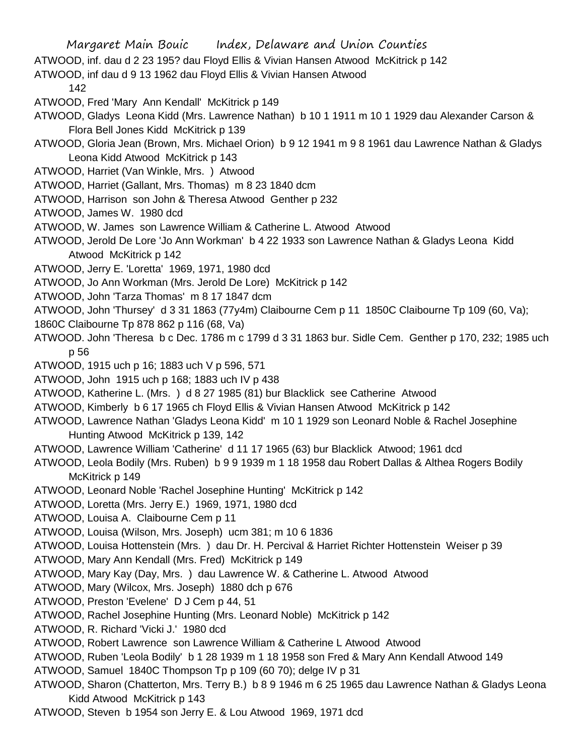ATWOOD, inf. dau d 2 23 195? dau Floyd Ellis & Vivian Hansen Atwood McKitrick p 142

ATWOOD, inf dau d 9 13 1962 dau Floyd Ellis & Vivian Hansen Atwood

142

- ATWOOD, Fred 'Mary Ann Kendall' McKitrick p 149
- ATWOOD, Gladys Leona Kidd (Mrs. Lawrence Nathan) b 10 1 1911 m 10 1 1929 dau Alexander Carson & Flora Bell Jones Kidd McKitrick p 139
- ATWOOD, Gloria Jean (Brown, Mrs. Michael Orion) b 9 12 1941 m 9 8 1961 dau Lawrence Nathan & Gladys Leona Kidd Atwood McKitrick p 143
- ATWOOD, Harriet (Van Winkle, Mrs. ) Atwood
- ATWOOD, Harriet (Gallant, Mrs. Thomas) m 8 23 1840 dcm
- ATWOOD, Harrison son John & Theresa Atwood Genther p 232
- ATWOOD, James W. 1980 dcd
- ATWOOD, W. James son Lawrence William & Catherine L. Atwood Atwood
- ATWOOD, Jerold De Lore 'Jo Ann Workman' b 4 22 1933 son Lawrence Nathan & Gladys Leona Kidd Atwood McKitrick p 142
- ATWOOD, Jerry E. 'Loretta' 1969, 1971, 1980 dcd
- ATWOOD, Jo Ann Workman (Mrs. Jerold De Lore) McKitrick p 142
- ATWOOD, John 'Tarza Thomas' m 8 17 1847 dcm
- ATWOOD, John 'Thursey' d 3 31 1863 (77y4m) Claibourne Cem p 11 1850C Claibourne Tp 109 (60, Va);
- 1860C Claibourne Tp 878 862 p 116 (68, Va)
- ATWOOD. John 'Theresa b c Dec. 1786 m c 1799 d 3 31 1863 bur. Sidle Cem. Genther p 170, 232; 1985 uch p 56
- ATWOOD, 1915 uch p 16; 1883 uch V p 596, 571
- ATWOOD, John 1915 uch p 168; 1883 uch IV p 438
- ATWOOD, Katherine L. (Mrs. ) d 8 27 1985 (81) bur Blacklick see Catherine Atwood
- ATWOOD, Kimberly b 6 17 1965 ch Floyd Ellis & Vivian Hansen Atwood McKitrick p 142
- ATWOOD, Lawrence Nathan 'Gladys Leona Kidd' m 10 1 1929 son Leonard Noble & Rachel Josephine Hunting Atwood McKitrick p 139, 142
- ATWOOD, Lawrence William 'Catherine' d 11 17 1965 (63) bur Blacklick Atwood; 1961 dcd
- ATWOOD, Leola Bodily (Mrs. Ruben) b 9 9 1939 m 1 18 1958 dau Robert Dallas & Althea Rogers Bodily McKitrick p 149
- ATWOOD, Leonard Noble 'Rachel Josephine Hunting' McKitrick p 142
- ATWOOD, Loretta (Mrs. Jerry E.) 1969, 1971, 1980 dcd
- ATWOOD, Louisa A. Claibourne Cem p 11
- ATWOOD, Louisa (Wilson, Mrs. Joseph) ucm 381; m 10 6 1836
- ATWOOD, Louisa Hottenstein (Mrs. ) dau Dr. H. Percival & Harriet Richter Hottenstein Weiser p 39
- ATWOOD, Mary Ann Kendall (Mrs. Fred) McKitrick p 149
- ATWOOD, Mary Kay (Day, Mrs. ) dau Lawrence W. & Catherine L. Atwood Atwood
- ATWOOD, Mary (Wilcox, Mrs. Joseph) 1880 dch p 676
- ATWOOD, Preston 'Evelene' D J Cem p 44, 51
- ATWOOD, Rachel Josephine Hunting (Mrs. Leonard Noble) McKitrick p 142
- ATWOOD, R. Richard 'Vicki J.' 1980 dcd
- ATWOOD, Robert Lawrence son Lawrence William & Catherine L Atwood Atwood
- ATWOOD, Ruben 'Leola Bodily' b 1 28 1939 m 1 18 1958 son Fred & Mary Ann Kendall Atwood 149
- ATWOOD, Samuel 1840C Thompson Tp p 109 (60 70); delge IV p 31
- ATWOOD, Sharon (Chatterton, Mrs. Terry B.) b 8 9 1946 m 6 25 1965 dau Lawrence Nathan & Gladys Leona Kidd Atwood McKitrick p 143
- ATWOOD, Steven b 1954 son Jerry E. & Lou Atwood 1969, 1971 dcd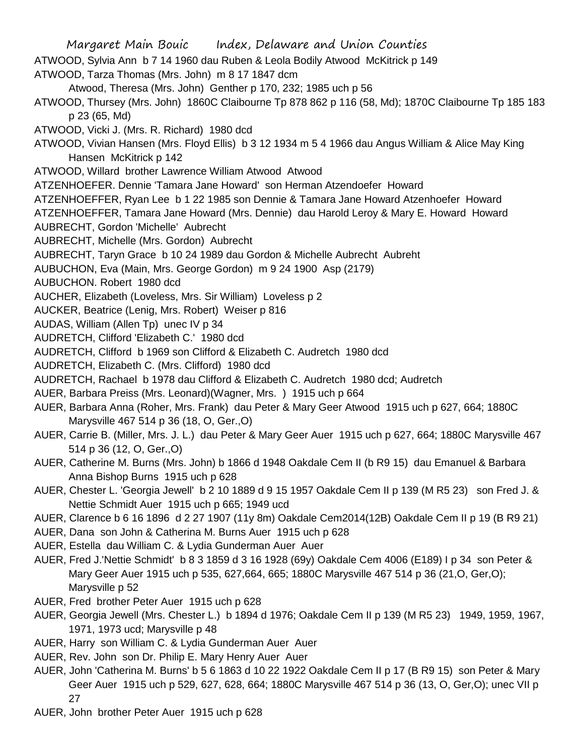- Margaret Main Bouic Index, Delaware and Union Counties ATWOOD, Sylvia Ann b 7 14 1960 dau Ruben & Leola Bodily Atwood McKitrick p 149 ATWOOD, Tarza Thomas (Mrs. John) m 8 17 1847 dcm Atwood, Theresa (Mrs. John) Genther p 170, 232; 1985 uch p 56 ATWOOD, Thursey (Mrs. John) 1860C Claibourne Tp 878 862 p 116 (58, Md); 1870C Claibourne Tp 185 183 p 23 (65, Md) ATWOOD, Vicki J. (Mrs. R. Richard) 1980 dcd ATWOOD, Vivian Hansen (Mrs. Floyd Ellis) b 3 12 1934 m 5 4 1966 dau Angus William & Alice May King Hansen McKitrick p 142 ATWOOD, Willard brother Lawrence William Atwood Atwood ATZENHOEFER. Dennie 'Tamara Jane Howard' son Herman Atzendoefer Howard ATZENHOEFFER, Ryan Lee b 1 22 1985 son Dennie & Tamara Jane Howard Atzenhoefer Howard ATZENHOEFFER, Tamara Jane Howard (Mrs. Dennie) dau Harold Leroy & Mary E. Howard Howard AUBRECHT, Gordon 'Michelle' Aubrecht AUBRECHT, Michelle (Mrs. Gordon) Aubrecht AUBRECHT, Taryn Grace b 10 24 1989 dau Gordon & Michelle Aubrecht Aubreht AUBUCHON, Eva (Main, Mrs. George Gordon) m 9 24 1900 Asp (2179) AUBUCHON. Robert 1980 dcd AUCHER, Elizabeth (Loveless, Mrs. Sir William) Loveless p 2 AUCKER, Beatrice (Lenig, Mrs. Robert) Weiser p 816 AUDAS, William (Allen Tp) unec IV p 34 AUDRETCH, Clifford 'Elizabeth C.' 1980 dcd AUDRETCH, Clifford b 1969 son Clifford & Elizabeth C. Audretch 1980 dcd AUDRETCH, Elizabeth C. (Mrs. Clifford) 1980 dcd AUDRETCH, Rachael b 1978 dau Clifford & Elizabeth C. Audretch 1980 dcd; Audretch AUER, Barbara Preiss (Mrs. Leonard)(Wagner, Mrs. ) 1915 uch p 664 AUER, Barbara Anna (Roher, Mrs. Frank) dau Peter & Mary Geer Atwood 1915 uch p 627, 664; 1880C Marysville 467 514 p 36 (18, O, Ger.,O) AUER, Carrie B. (Miller, Mrs. J. L.) dau Peter & Mary Geer Auer 1915 uch p 627, 664; 1880C Marysville 467 514 p 36 (12, O, Ger.,O) AUER, Catherine M. Burns (Mrs. John) b 1866 d 1948 Oakdale Cem II (b R9 15) dau Emanuel & Barbara Anna Bishop Burns 1915 uch p 628 AUER, Chester L. 'Georgia Jewell' b 2 10 1889 d 9 15 1957 Oakdale Cem II p 139 (M R5 23) son Fred J. & Nettie Schmidt Auer 1915 uch p 665; 1949 ucd AUER, Clarence b 6 16 1896 d 2 27 1907 (11y 8m) Oakdale Cem2014(12B) Oakdale Cem II p 19 (B R9 21) AUER, Dana son John & Catherina M. Burns Auer 1915 uch p 628 AUER, Estella dau William C. & Lydia Gunderman Auer Auer AUER, Fred J.'Nettie Schmidt' b 8 3 1859 d 3 16 1928 (69y) Oakdale Cem 4006 (E189) I p 34 son Peter & Mary Geer Auer 1915 uch p 535, 627,664, 665; 1880C Marysville 467 514 p 36 (21,O, Ger,O); Marysville p 52 AUER, Fred brother Peter Auer 1915 uch p 628 AUER, Georgia Jewell (Mrs. Chester L.) b 1894 d 1976; Oakdale Cem II p 139 (M R5 23) 1949, 1959, 1967, 1971, 1973 ucd; Marysville p 48
- AUER, Harry son William C. & Lydia Gunderman Auer Auer
- AUER, Rev. John son Dr. Philip E. Mary Henry Auer Auer
- AUER, John 'Catherina M. Burns' b 5 6 1863 d 10 22 1922 Oakdale Cem II p 17 (B R9 15) son Peter & Mary Geer Auer 1915 uch p 529, 627, 628, 664; 1880C Marysville 467 514 p 36 (13, O, Ger,O); unec VII p 27
- AUER, John brother Peter Auer 1915 uch p 628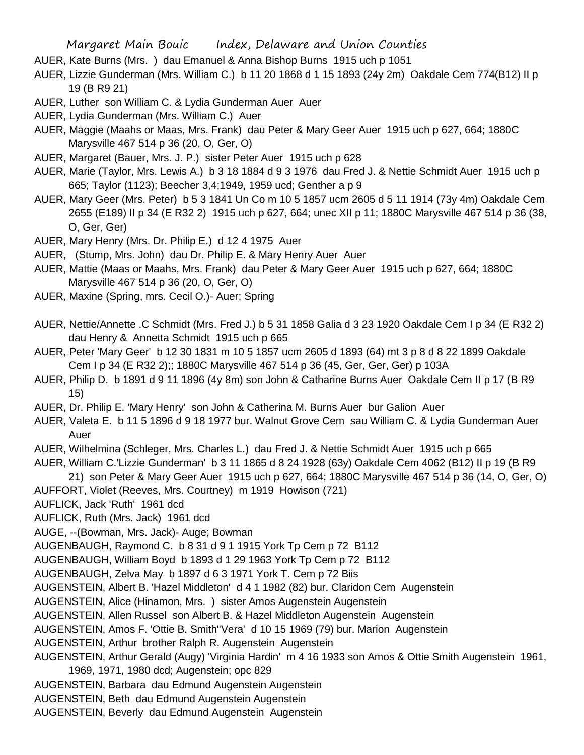- AUER, Kate Burns (Mrs. ) dau Emanuel & Anna Bishop Burns 1915 uch p 1051
- AUER, Lizzie Gunderman (Mrs. William C.) b 11 20 1868 d 1 15 1893 (24y 2m) Oakdale Cem 774(B12) II p 19 (B R9 21)
- AUER, Luther son William C. & Lydia Gunderman Auer Auer
- AUER, Lydia Gunderman (Mrs. William C.) Auer
- AUER, Maggie (Maahs or Maas, Mrs. Frank) dau Peter & Mary Geer Auer 1915 uch p 627, 664; 1880C Marysville 467 514 p 36 (20, O, Ger, O)
- AUER, Margaret (Bauer, Mrs. J. P.) sister Peter Auer 1915 uch p 628
- AUER, Marie (Taylor, Mrs. Lewis A.) b 3 18 1884 d 9 3 1976 dau Fred J. & Nettie Schmidt Auer 1915 uch p 665; Taylor (1123); Beecher 3,4;1949, 1959 ucd; Genther a p 9
- AUER, Mary Geer (Mrs. Peter) b 5 3 1841 Un Co m 10 5 1857 ucm 2605 d 5 11 1914 (73y 4m) Oakdale Cem 2655 (E189) II p 34 (E R32 2) 1915 uch p 627, 664; unec XII p 11; 1880C Marysville 467 514 p 36 (38, O, Ger, Ger)
- AUER, Mary Henry (Mrs. Dr. Philip E.) d 12 4 1975 Auer
- AUER, (Stump, Mrs. John) dau Dr. Philip E. & Mary Henry Auer Auer
- AUER, Mattie (Maas or Maahs, Mrs. Frank) dau Peter & Mary Geer Auer 1915 uch p 627, 664; 1880C Marysville 467 514 p 36 (20, O, Ger, O)
- AUER, Maxine (Spring, mrs. Cecil O.)- Auer; Spring
- AUER, Nettie/Annette .C Schmidt (Mrs. Fred J.) b 5 31 1858 Galia d 3 23 1920 Oakdale Cem I p 34 (E R32 2) dau Henry & Annetta Schmidt 1915 uch p 665
- AUER, Peter 'Mary Geer' b 12 30 1831 m 10 5 1857 ucm 2605 d 1893 (64) mt 3 p 8 d 8 22 1899 Oakdale Cem I p 34 (E R32 2);; 1880C Marysville 467 514 p 36 (45, Ger, Ger, Ger) p 103A
- AUER, Philip D. b 1891 d 9 11 1896 (4y 8m) son John & Catharine Burns Auer Oakdale Cem II p 17 (B R9 15)
- AUER, Dr. Philip E. 'Mary Henry' son John & Catherina M. Burns Auer bur Galion Auer
- AUER, Valeta E. b 11 5 1896 d 9 18 1977 bur. Walnut Grove Cem sau William C. & Lydia Gunderman Auer Auer
- AUER, Wilhelmina (Schleger, Mrs. Charles L.) dau Fred J. & Nettie Schmidt Auer 1915 uch p 665
- AUER, William C.'Lizzie Gunderman' b 3 11 1865 d 8 24 1928 (63y) Oakdale Cem 4062 (B12) II p 19 (B R9
- 21) son Peter & Mary Geer Auer 1915 uch p 627, 664; 1880C Marysville 467 514 p 36 (14, O, Ger, O)
- AUFFORT, Violet (Reeves, Mrs. Courtney) m 1919 Howison (721)
- AUFLICK, Jack 'Ruth' 1961 dcd
- AUFLICK, Ruth (Mrs. Jack) 1961 dcd
- AUGE, --(Bowman, Mrs. Jack)- Auge; Bowman
- AUGENBAUGH, Raymond C. b 8 31 d 9 1 1915 York Tp Cem p 72 B112
- AUGENBAUGH, William Boyd b 1893 d 1 29 1963 York Tp Cem p 72 B112
- AUGENBAUGH, Zelva May b 1897 d 6 3 1971 York T. Cem p 72 Biis
- AUGENSTEIN, Albert B. 'Hazel Middleton' d 4 1 1982 (82) bur. Claridon Cem Augenstein
- AUGENSTEIN, Alice (Hinamon, Mrs. ) sister Amos Augenstein Augenstein
- AUGENSTEIN, Allen Russel son Albert B. & Hazel Middleton Augenstein Augenstein
- AUGENSTEIN, Amos F. 'Ottie B. Smith''Vera' d 10 15 1969 (79) bur. Marion Augenstein
- AUGENSTEIN, Arthur brother Ralph R. Augenstein Augenstein
- AUGENSTEIN, Arthur Gerald (Augy) 'Virginia Hardin' m 4 16 1933 son Amos & Ottie Smith Augenstein 1961, 1969, 1971, 1980 dcd; Augenstein; opc 829
- AUGENSTEIN, Barbara dau Edmund Augenstein Augenstein
- AUGENSTEIN, Beth dau Edmund Augenstein Augenstein
- AUGENSTEIN, Beverly dau Edmund Augenstein Augenstein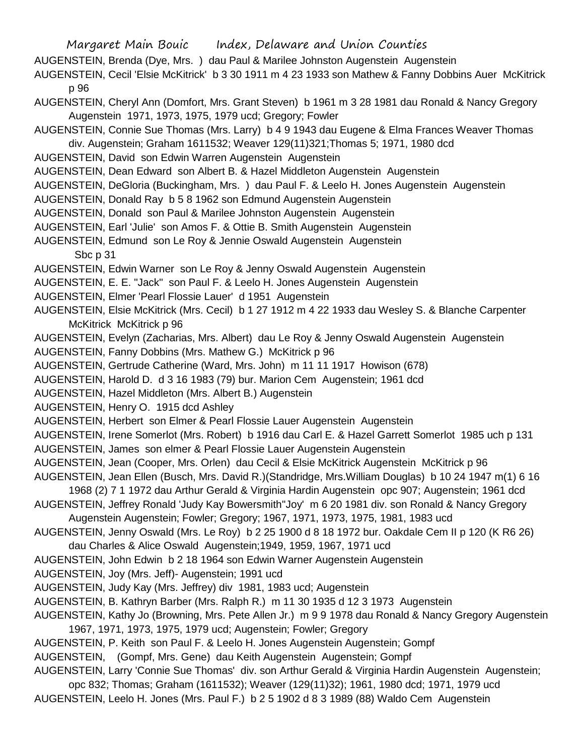AUGENSTEIN, Brenda (Dye, Mrs. ) dau Paul & Marilee Johnston Augenstein Augenstein

AUGENSTEIN, Cecil 'Elsie McKitrick' b 3 30 1911 m 4 23 1933 son Mathew & Fanny Dobbins Auer McKitrick p 96

- AUGENSTEIN, Cheryl Ann (Domfort, Mrs. Grant Steven) b 1961 m 3 28 1981 dau Ronald & Nancy Gregory Augenstein 1971, 1973, 1975, 1979 ucd; Gregory; Fowler
- AUGENSTEIN, Connie Sue Thomas (Mrs. Larry) b 4 9 1943 dau Eugene & Elma Frances Weaver Thomas div. Augenstein; Graham 1611532; Weaver 129(11)321;Thomas 5; 1971, 1980 dcd
- AUGENSTEIN, David son Edwin Warren Augenstein Augenstein
- AUGENSTEIN, Dean Edward son Albert B. & Hazel Middleton Augenstein Augenstein
- AUGENSTEIN, DeGloria (Buckingham, Mrs. ) dau Paul F. & Leelo H. Jones Augenstein Augenstein
- AUGENSTEIN, Donald Ray b 5 8 1962 son Edmund Augenstein Augenstein
- AUGENSTEIN, Donald son Paul & Marilee Johnston Augenstein Augenstein
- AUGENSTEIN, Earl 'Julie' son Amos F. & Ottie B. Smith Augenstein Augenstein
- AUGENSTEIN, Edmund son Le Roy & Jennie Oswald Augenstein Augenstein

Sbc p 31

- AUGENSTEIN, Edwin Warner son Le Roy & Jenny Oswald Augenstein Augenstein
- AUGENSTEIN, E. E. "Jack" son Paul F. & Leelo H. Jones Augenstein Augenstein
- AUGENSTEIN, Elmer 'Pearl Flossie Lauer' d 1951 Augenstein
- AUGENSTEIN, Elsie McKitrick (Mrs. Cecil) b 1 27 1912 m 4 22 1933 dau Wesley S. & Blanche Carpenter McKitrick McKitrick p 96
- AUGENSTEIN, Evelyn (Zacharias, Mrs. Albert) dau Le Roy & Jenny Oswald Augenstein Augenstein
- AUGENSTEIN, Fanny Dobbins (Mrs. Mathew G.) McKitrick p 96
- AUGENSTEIN, Gertrude Catherine (Ward, Mrs. John) m 11 11 1917 Howison (678)
- AUGENSTEIN, Harold D. d 3 16 1983 (79) bur. Marion Cem Augenstein; 1961 dcd
- AUGENSTEIN, Hazel Middleton (Mrs. Albert B.) Augenstein
- AUGENSTEIN, Henry O. 1915 dcd Ashley
- AUGENSTEIN, Herbert son Elmer & Pearl Flossie Lauer Augenstein Augenstein
- AUGENSTEIN, Irene Somerlot (Mrs. Robert) b 1916 dau Carl E. & Hazel Garrett Somerlot 1985 uch p 131
- AUGENSTEIN, James son elmer & Pearl Flossie Lauer Augenstein Augenstein
- AUGENSTEIN, Jean (Cooper, Mrs. Orlen) dau Cecil & Elsie McKitrick Augenstein McKitrick p 96
- AUGENSTEIN, Jean Ellen (Busch, Mrs. David R.)(Standridge, Mrs.William Douglas) b 10 24 1947 m(1) 6 16
- 1968 (2) 7 1 1972 dau Arthur Gerald & Virginia Hardin Augenstein opc 907; Augenstein; 1961 dcd
- AUGENSTEIN, Jeffrey Ronald 'Judy Kay Bowersmith''Joy' m 6 20 1981 div. son Ronald & Nancy Gregory Augenstein Augenstein; Fowler; Gregory; 1967, 1971, 1973, 1975, 1981, 1983 ucd
- AUGENSTEIN, Jenny Oswald (Mrs. Le Roy) b 2 25 1900 d 8 18 1972 bur. Oakdale Cem II p 120 (K R6 26)
- dau Charles & Alice Oswald Augenstein;1949, 1959, 1967, 1971 ucd
- AUGENSTEIN, John Edwin b 2 18 1964 son Edwin Warner Augenstein Augenstein
- AUGENSTEIN, Joy (Mrs. Jeff)- Augenstein; 1991 ucd
- AUGENSTEIN, Judy Kay (Mrs. Jeffrey) div 1981, 1983 ucd; Augenstein
- AUGENSTEIN, B. Kathryn Barber (Mrs. Ralph R.) m 11 30 1935 d 12 3 1973 Augenstein
- AUGENSTEIN, Kathy Jo (Browning, Mrs. Pete Allen Jr.) m 9 9 1978 dau Ronald & Nancy Gregory Augenstein 1967, 1971, 1973, 1975, 1979 ucd; Augenstein; Fowler; Gregory
- AUGENSTEIN, P. Keith son Paul F. & Leelo H. Jones Augenstein Augenstein; Gompf
- AUGENSTEIN, (Gompf, Mrs. Gene) dau Keith Augenstein Augenstein; Gompf

AUGENSTEIN, Larry 'Connie Sue Thomas' div. son Arthur Gerald & Virginia Hardin Augenstein Augenstein;

opc 832; Thomas; Graham (1611532); Weaver (129(11)32); 1961, 1980 dcd; 1971, 1979 ucd AUGENSTEIN, Leelo H. Jones (Mrs. Paul F.) b 2 5 1902 d 8 3 1989 (88) Waldo Cem Augenstein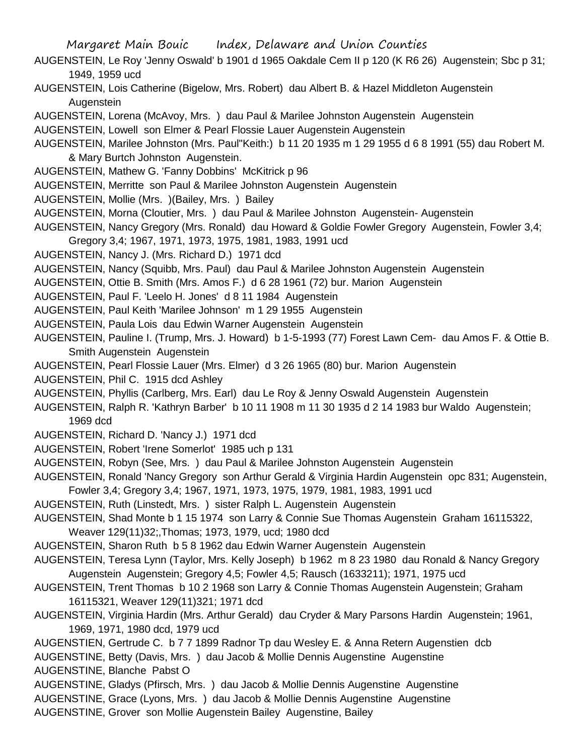- AUGENSTEIN, Le Roy 'Jenny Oswald' b 1901 d 1965 Oakdale Cem II p 120 (K R6 26) Augenstein; Sbc p 31; 1949, 1959 ucd
- AUGENSTEIN, Lois Catherine (Bigelow, Mrs. Robert) dau Albert B. & Hazel Middleton Augenstein Augenstein
- AUGENSTEIN, Lorena (McAvoy, Mrs. ) dau Paul & Marilee Johnston Augenstein Augenstein
- AUGENSTEIN, Lowell son Elmer & Pearl Flossie Lauer Augenstein Augenstein
- AUGENSTEIN, Marilee Johnston (Mrs. Paul"Keith:) b 11 20 1935 m 1 29 1955 d 6 8 1991 (55) dau Robert M. & Mary Burtch Johnston Augenstein.
- AUGENSTEIN, Mathew G. 'Fanny Dobbins' McKitrick p 96
- AUGENSTEIN, Merritte son Paul & Marilee Johnston Augenstein Augenstein
- AUGENSTEIN, Mollie (Mrs. )(Bailey, Mrs. ) Bailey
- AUGENSTEIN, Morna (Cloutier, Mrs. ) dau Paul & Marilee Johnston Augenstein- Augenstein
- AUGENSTEIN, Nancy Gregory (Mrs. Ronald) dau Howard & Goldie Fowler Gregory Augenstein, Fowler 3,4; Gregory 3,4; 1967, 1971, 1973, 1975, 1981, 1983, 1991 ucd
- AUGENSTEIN, Nancy J. (Mrs. Richard D.) 1971 dcd
- AUGENSTEIN, Nancy (Squibb, Mrs. Paul) dau Paul & Marilee Johnston Augenstein Augenstein
- AUGENSTEIN, Ottie B. Smith (Mrs. Amos F.) d 6 28 1961 (72) bur. Marion Augenstein
- AUGENSTEIN, Paul F. 'Leelo H. Jones' d 8 11 1984 Augenstein
- AUGENSTEIN, Paul Keith 'Marilee Johnson' m 1 29 1955 Augenstein
- AUGENSTEIN, Paula Lois dau Edwin Warner Augenstein Augenstein
- AUGENSTEIN, Pauline I. (Trump, Mrs. J. Howard) b 1-5-1993 (77) Forest Lawn Cem- dau Amos F. & Ottie B. Smith Augenstein Augenstein
- AUGENSTEIN, Pearl Flossie Lauer (Mrs. Elmer) d 3 26 1965 (80) bur. Marion Augenstein
- AUGENSTEIN, Phil C. 1915 dcd Ashley
- AUGENSTEIN, Phyllis (Carlberg, Mrs. Earl) dau Le Roy & Jenny Oswald Augenstein Augenstein
- AUGENSTEIN, Ralph R. 'Kathryn Barber' b 10 11 1908 m 11 30 1935 d 2 14 1983 bur Waldo Augenstein; 1969 dcd
- AUGENSTEIN, Richard D. 'Nancy J.) 1971 dcd
- AUGENSTEIN, Robert 'Irene Somerlot' 1985 uch p 131
- AUGENSTEIN, Robyn (See, Mrs. ) dau Paul & Marilee Johnston Augenstein Augenstein
- AUGENSTEIN, Ronald 'Nancy Gregory son Arthur Gerald & Virginia Hardin Augenstein opc 831; Augenstein, Fowler 3,4; Gregory 3,4; 1967, 1971, 1973, 1975, 1979, 1981, 1983, 1991 ucd
- AUGENSTEIN, Ruth (Linstedt, Mrs. ) sister Ralph L. Augenstein Augenstein
- AUGENSTEIN, Shad Monte b 1 15 1974 son Larry & Connie Sue Thomas Augenstein Graham 16115322, Weaver 129(11)32;,Thomas; 1973, 1979, ucd; 1980 dcd
- AUGENSTEIN, Sharon Ruth b 5 8 1962 dau Edwin Warner Augenstein Augenstein
- AUGENSTEIN, Teresa Lynn (Taylor, Mrs. Kelly Joseph) b 1962 m 8 23 1980 dau Ronald & Nancy Gregory Augenstein Augenstein; Gregory 4,5; Fowler 4,5; Rausch (1633211); 1971, 1975 ucd
- AUGENSTEIN, Trent Thomas b 10 2 1968 son Larry & Connie Thomas Augenstein Augenstein; Graham 16115321, Weaver 129(11)321; 1971 dcd
- AUGENSTEIN, Virginia Hardin (Mrs. Arthur Gerald) dau Cryder & Mary Parsons Hardin Augenstein; 1961, 1969, 1971, 1980 dcd, 1979 ucd
- AUGENSTIEN, Gertrude C. b 7 7 1899 Radnor Tp dau Wesley E. & Anna Retern Augenstien dcb
- AUGENSTINE, Betty (Davis, Mrs. ) dau Jacob & Mollie Dennis Augenstine Augenstine
- AUGENSTINE, Blanche Pabst O
- AUGENSTINE, Gladys (Pfirsch, Mrs. ) dau Jacob & Mollie Dennis Augenstine Augenstine
- AUGENSTINE, Grace (Lyons, Mrs. ) dau Jacob & Mollie Dennis Augenstine Augenstine
- AUGENSTINE, Grover son Mollie Augenstein Bailey Augenstine, Bailey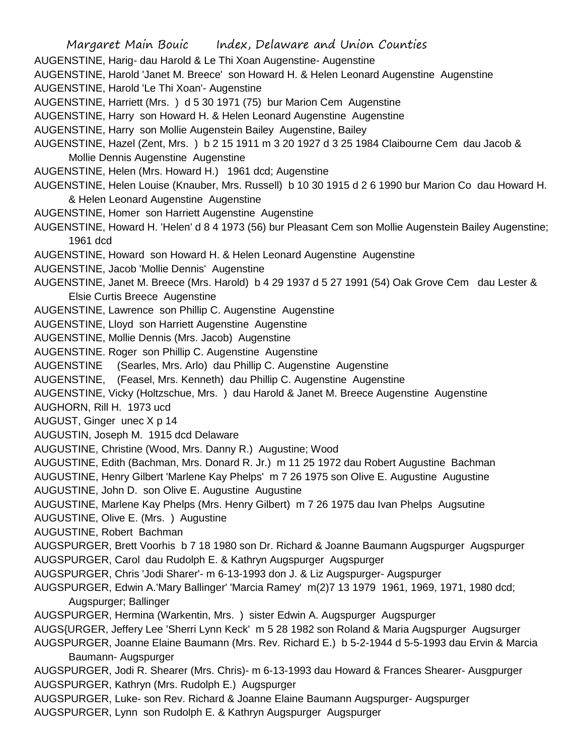Margaret Main Bouic Index, Delaware and Union Counties AUGENSTINE, Harig- dau Harold & Le Thi Xoan Augenstine- Augenstine AUGENSTINE, Harold 'Janet M. Breece' son Howard H. & Helen Leonard Augenstine Augenstine AUGENSTINE, Harold 'Le Thi Xoan'- Augenstine AUGENSTINE, Harriett (Mrs. ) d 5 30 1971 (75) bur Marion Cem Augenstine AUGENSTINE, Harry son Howard H. & Helen Leonard Augenstine Augenstine AUGENSTINE, Harry son Mollie Augenstein Bailey Augenstine, Bailey AUGENSTINE, Hazel (Zent, Mrs. ) b 2 15 1911 m 3 20 1927 d 3 25 1984 Claibourne Cem dau Jacob & Mollie Dennis Augenstine Augenstine AUGENSTINE, Helen (Mrs. Howard H.) 1961 dcd; Augenstine AUGENSTINE, Helen Louise (Knauber, Mrs. Russell) b 10 30 1915 d 2 6 1990 bur Marion Co dau Howard H. & Helen Leonard Augenstine Augenstine AUGENSTINE, Homer son Harriett Augenstine Augenstine AUGENSTINE, Howard H. 'Helen' d 8 4 1973 (56) bur Pleasant Cem son Mollie Augenstein Bailey Augenstine; 1961 dcd AUGENSTINE, Howard son Howard H. & Helen Leonard Augenstine Augenstine AUGENSTINE, Jacob 'Mollie Dennis' Augenstine AUGENSTINE, Janet M. Breece (Mrs. Harold) b 4 29 1937 d 5 27 1991 (54) Oak Grove Cem dau Lester & Elsie Curtis Breece Augenstine AUGENSTINE, Lawrence son Phillip C. Augenstine Augenstine AUGENSTINE, Lloyd son Harriett Augenstine Augenstine AUGENSTINE, Mollie Dennis (Mrs. Jacob) Augenstine AUGENSTINE. Roger son Phillip C. Augenstine Augenstine AUGENSTINE (Searles, Mrs. Arlo) dau Phillip C. Augenstine Augenstine AUGENSTINE, (Feasel, Mrs. Kenneth) dau Phillip C. Augenstine Augenstine AUGENSTINE, Vicky (Holtzschue, Mrs. ) dau Harold & Janet M. Breece Augenstine Augenstine AUGHORN, Rill H. 1973 ucd AUGUST, Ginger unec X p 14 AUGUSTIN, Joseph M. 1915 dcd Delaware AUGUSTINE, Christine (Wood, Mrs. Danny R.) Augustine; Wood AUGUSTINE, Edith (Bachman, Mrs. Donard R. Jr.) m 11 25 1972 dau Robert Augustine Bachman AUGUSTINE, Henry Gilbert 'Marlene Kay Phelps' m 7 26 1975 son Olive E. Augustine Augustine AUGUSTINE, John D. son Olive E. Augustine Augustine AUGUSTINE, Marlene Kay Phelps (Mrs. Henry Gilbert) m 7 26 1975 dau Ivan Phelps Augsutine AUGUSTINE, Olive E. (Mrs. ) Augustine AUGUSTINE, Robert Bachman AUGSPURGER, Brett Voorhis b 7 18 1980 son Dr. Richard & Joanne Baumann Augspurger Augspurger AUGSPURGER, Carol dau Rudolph E. & Kathryn Augspurger Augspurger AUGSPURGER, Chris 'Jodi Sharer'- m 6-13-1993 don J. & Liz Augspurger- Augspurger AUGSPURGER, Edwin A.'Mary Ballinger' 'Marcia Ramey' m(2)7 13 1979 1961, 1969, 1971, 1980 dcd; Augspurger; Ballinger AUGSPURGER, Hermina (Warkentin, Mrs. ) sister Edwin A. Augspurger Augspurger AUGS{URGER, Jeffery Lee 'Sherri Lynn Keck' m 5 28 1982 son Roland & Maria Augspurger Augsurger AUGSPURGER, Joanne Elaine Baumann (Mrs. Rev. Richard E.) b 5-2-1944 d 5-5-1993 dau Ervin & Marcia Baumann- Augspurger AUGSPURGER, Jodi R. Shearer (Mrs. Chris)- m 6-13-1993 dau Howard & Frances Shearer- Ausgpurger AUGSPURGER, Kathryn (Mrs. Rudolph E.) Augspurger AUGSPURGER, Luke- son Rev. Richard & Joanne Elaine Baumann Augspurger- Augspurger AUGSPURGER, Lynn son Rudolph E. & Kathryn Augspurger Augspurger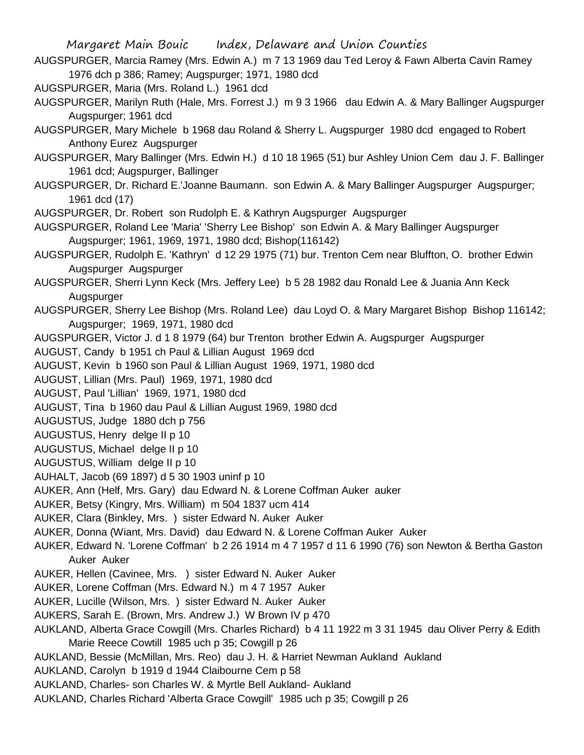Margaret Main Bouic Index, Delaware and Union Counties AUGSPURGER, Marcia Ramey (Mrs. Edwin A.) m 7 13 1969 dau Ted Leroy & Fawn Alberta Cavin Ramey 1976 dch p 386; Ramey; Augspurger; 1971, 1980 dcd AUGSPURGER, Maria (Mrs. Roland L.) 1961 dcd AUGSPURGER, Marilyn Ruth (Hale, Mrs. Forrest J.) m 9 3 1966 dau Edwin A. & Mary Ballinger Augspurger Augspurger; 1961 dcd AUGSPURGER, Mary Michele b 1968 dau Roland & Sherry L. Augspurger 1980 dcd engaged to Robert Anthony Eurez Augspurger AUGSPURGER, Mary Ballinger (Mrs. Edwin H.) d 10 18 1965 (51) bur Ashley Union Cem dau J. F. Ballinger 1961 dcd; Augspurger, Ballinger AUGSPURGER, Dr. Richard E.'Joanne Baumann. son Edwin A. & Mary Ballinger Augspurger Augspurger; 1961 dcd (17) AUGSPURGER, Dr. Robert son Rudolph E. & Kathryn Augspurger Augspurger AUGSPURGER, Roland Lee 'Maria' 'Sherry Lee Bishop' son Edwin A. & Mary Ballinger Augspurger Augspurger; 1961, 1969, 1971, 1980 dcd; Bishop(116142) AUGSPURGER, Rudolph E. 'Kathryn' d 12 29 1975 (71) bur. Trenton Cem near Bluffton, O. brother Edwin Augspurger Augspurger AUGSPURGER, Sherri Lynn Keck (Mrs. Jeffery Lee) b 5 28 1982 dau Ronald Lee & Juania Ann Keck Augspurger AUGSPURGER, Sherry Lee Bishop (Mrs. Roland Lee) dau Loyd O. & Mary Margaret Bishop Bishop 116142; Augspurger; 1969, 1971, 1980 dcd AUGSPURGER, Victor J. d 1 8 1979 (64) bur Trenton brother Edwin A. Augspurger Augspurger AUGUST, Candy b 1951 ch Paul & Lillian August 1969 dcd AUGUST, Kevin b 1960 son Paul & Lillian August 1969, 1971, 1980 dcd AUGUST, Lillian (Mrs. Paul) 1969, 1971, 1980 dcd AUGUST, Paul 'Lillian' 1969, 1971, 1980 dcd AUGUST, Tina b 1960 dau Paul & Lillian August 1969, 1980 dcd AUGUSTUS, Judge 1880 dch p 756 AUGUSTUS, Henry delge II p 10 AUGUSTUS, Michael delge II p 10 AUGUSTUS, William delge II p 10 AUHALT, Jacob (69 1897) d 5 30 1903 uninf p 10 AUKER, Ann (Helf, Mrs. Gary) dau Edward N. & Lorene Coffman Auker auker AUKER, Betsy (Kingry, Mrs. William) m 504 1837 ucm 414 AUKER, Clara (Binkley, Mrs. ) sister Edward N. Auker Auker AUKER, Donna (Wiant, Mrs. David) dau Edward N. & Lorene Coffman Auker Auker AUKER, Edward N. 'Lorene Coffman' b 2 26 1914 m 4 7 1957 d 11 6 1990 (76) son Newton & Bertha Gaston Auker Auker AUKER, Hellen (Cavinee, Mrs. ) sister Edward N. Auker Auker AUKER, Lorene Coffman (Mrs. Edward N.) m 4 7 1957 Auker AUKER, Lucille (Wilson, Mrs. ) sister Edward N. Auker Auker AUKERS, Sarah E. (Brown, Mrs. Andrew J.) W Brown IV p 470 AUKLAND, Alberta Grace Cowgill (Mrs. Charles Richard) b 4 11 1922 m 3 31 1945 dau Oliver Perry & Edith Marie Reece Cowtill 1985 uch p 35; Cowgill p 26 AUKLAND, Bessie (McMillan, Mrs. Reo) dau J. H. & Harriet Newman Aukland Aukland AUKLAND, Carolyn b 1919 d 1944 Claibourne Cem p 58

AUKLAND, Charles- son Charles W. & Myrtle Bell Aukland- Aukland

AUKLAND, Charles Richard 'Alberta Grace Cowgill' 1985 uch p 35; Cowgill p 26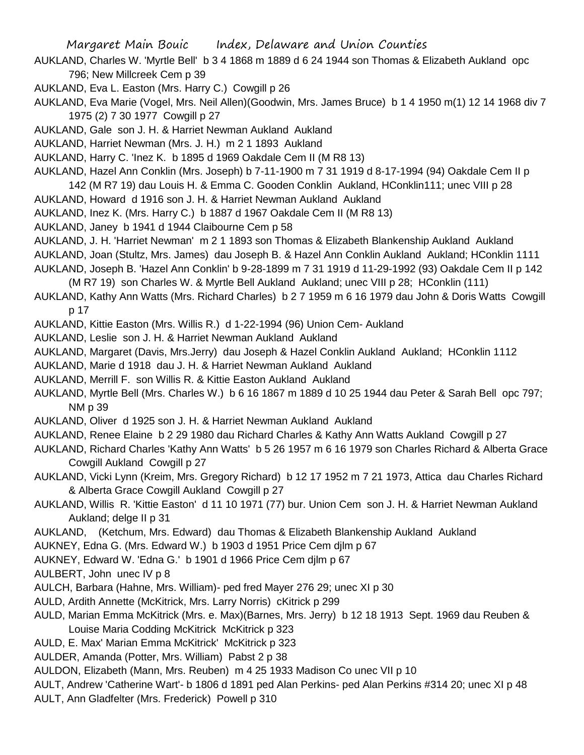- AUKLAND, Charles W. 'Myrtle Bell' b 3 4 1868 m 1889 d 6 24 1944 son Thomas & Elizabeth Aukland opc 796; New Millcreek Cem p 39
- AUKLAND, Eva L. Easton (Mrs. Harry C.) Cowgill p 26
- AUKLAND, Eva Marie (Vogel, Mrs. Neil Allen)(Goodwin, Mrs. James Bruce) b 1 4 1950 m(1) 12 14 1968 div 7 1975 (2) 7 30 1977 Cowgill p 27
- AUKLAND, Gale son J. H. & Harriet Newman Aukland Aukland
- AUKLAND, Harriet Newman (Mrs. J. H.) m 2 1 1893 Aukland
- AUKLAND, Harry C. 'Inez K. b 1895 d 1969 Oakdale Cem II (M R8 13)
- AUKLAND, Hazel Ann Conklin (Mrs. Joseph) b 7-11-1900 m 7 31 1919 d 8-17-1994 (94) Oakdale Cem II p 142 (M R7 19) dau Louis H. & Emma C. Gooden Conklin Aukland, HConklin111; unec VIII p 28
- AUKLAND, Howard d 1916 son J. H. & Harriet Newman Aukland Aukland
- AUKLAND, Inez K. (Mrs. Harry C.) b 1887 d 1967 Oakdale Cem II (M R8 13)
- AUKLAND, Janey b 1941 d 1944 Claibourne Cem p 58
- AUKLAND, J. H. 'Harriet Newman' m 2 1 1893 son Thomas & Elizabeth Blankenship Aukland Aukland
- AUKLAND, Joan (Stultz, Mrs. James) dau Joseph B. & Hazel Ann Conklin Aukland Aukland; HConklin 1111
- AUKLAND, Joseph B. 'Hazel Ann Conklin' b 9-28-1899 m 7 31 1919 d 11-29-1992 (93) Oakdale Cem II p 142
- (M R7 19) son Charles W. & Myrtle Bell Aukland Aukland; unec VIII p 28; HConklin (111)
- AUKLAND, Kathy Ann Watts (Mrs. Richard Charles) b 2 7 1959 m 6 16 1979 dau John & Doris Watts Cowgill p 17
- AUKLAND, Kittie Easton (Mrs. Willis R.) d 1-22-1994 (96) Union Cem- Aukland
- AUKLAND, Leslie son J. H. & Harriet Newman Aukland Aukland
- AUKLAND, Margaret (Davis, Mrs.Jerry) dau Joseph & Hazel Conklin Aukland Aukland; HConklin 1112
- AUKLAND, Marie d 1918 dau J. H. & Harriet Newman Aukland Aukland
- AUKLAND, Merrill F. son Willis R. & Kittie Easton Aukland Aukland
- AUKLAND, Myrtle Bell (Mrs. Charles W.) b 6 16 1867 m 1889 d 10 25 1944 dau Peter & Sarah Bell opc 797; NM p 39
- AUKLAND, Oliver d 1925 son J. H. & Harriet Newman Aukland Aukland
- AUKLAND, Renee Elaine b 2 29 1980 dau Richard Charles & Kathy Ann Watts Aukland Cowgill p 27
- AUKLAND, Richard Charles 'Kathy Ann Watts' b 5 26 1957 m 6 16 1979 son Charles Richard & Alberta Grace Cowgill Aukland Cowgill p 27
- AUKLAND, Vicki Lynn (Kreim, Mrs. Gregory Richard) b 12 17 1952 m 7 21 1973, Attica dau Charles Richard & Alberta Grace Cowgill Aukland Cowgill p 27
- AUKLAND, Willis R. 'Kittie Easton' d 11 10 1971 (77) bur. Union Cem son J. H. & Harriet Newman Aukland Aukland; delge II p 31
- AUKLAND, (Ketchum, Mrs. Edward) dau Thomas & Elizabeth Blankenship Aukland Aukland
- AUKNEY, Edna G. (Mrs. Edward W.) b 1903 d 1951 Price Cem djlm p 67
- AUKNEY, Edward W. 'Edna G.' b 1901 d 1966 Price Cem djlm p 67
- AULBERT, John unec IV p 8
- AULCH, Barbara (Hahne, Mrs. William)- ped fred Mayer 276 29; unec XI p 30
- AULD, Ardith Annette (McKitrick, Mrs. Larry Norris) cKitrick p 299
- AULD, Marian Emma McKitrick (Mrs. e. Max)(Barnes, Mrs. Jerry) b 12 18 1913 Sept. 1969 dau Reuben & Louise Maria Codding McKitrick McKitrick p 323
- AULD, E. Max' Marian Emma McKitrick' McKitrick p 323
- AULDER, Amanda (Potter, Mrs. William) Pabst 2 p 38
- AULDON, Elizabeth (Mann, Mrs. Reuben) m 4 25 1933 Madison Co unec VII p 10
- AULT, Andrew 'Catherine Wart'- b 1806 d 1891 ped Alan Perkins- ped Alan Perkins #314 20; unec XI p 48
- AULT, Ann Gladfelter (Mrs. Frederick) Powell p 310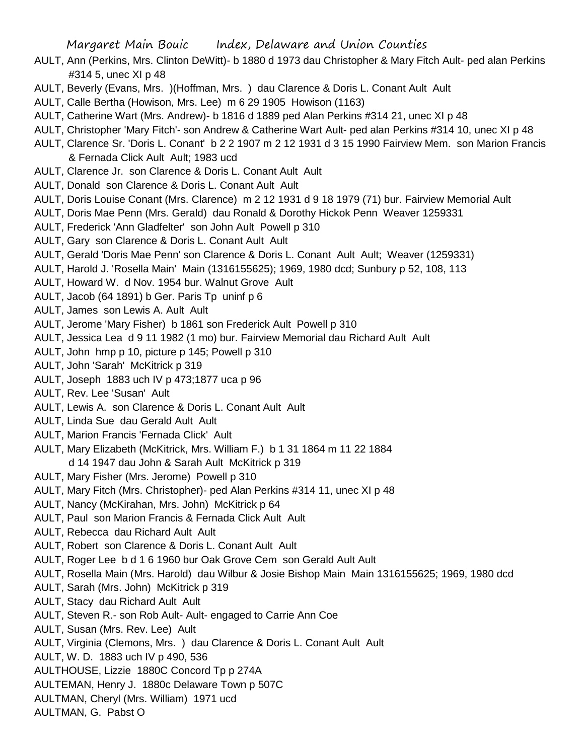- AULT, Ann (Perkins, Mrs. Clinton DeWitt)- b 1880 d 1973 dau Christopher & Mary Fitch Ault- ped alan Perkins #314 5, unec XI p 48
- AULT, Beverly (Evans, Mrs. )(Hoffman, Mrs. ) dau Clarence & Doris L. Conant Ault Ault
- AULT, Calle Bertha (Howison, Mrs. Lee) m 6 29 1905 Howison (1163)
- AULT, Catherine Wart (Mrs. Andrew)- b 1816 d 1889 ped Alan Perkins #314 21, unec XI p 48
- AULT, Christopher 'Mary Fitch'- son Andrew & Catherine Wart Ault- ped alan Perkins #314 10, unec XI p 48
- AULT, Clarence Sr. 'Doris L. Conant' b 2 2 1907 m 2 12 1931 d 3 15 1990 Fairview Mem. son Marion Francis & Fernada Click Ault Ault; 1983 ucd
- AULT, Clarence Jr. son Clarence & Doris L. Conant Ault Ault
- AULT, Donald son Clarence & Doris L. Conant Ault Ault
- AULT, Doris Louise Conant (Mrs. Clarence) m 2 12 1931 d 9 18 1979 (71) bur. Fairview Memorial Ault
- AULT, Doris Mae Penn (Mrs. Gerald) dau Ronald & Dorothy Hickok Penn Weaver 1259331
- AULT, Frederick 'Ann Gladfelter' son John Ault Powell p 310
- AULT, Gary son Clarence & Doris L. Conant Ault Ault
- AULT, Gerald 'Doris Mae Penn' son Clarence & Doris L. Conant Ault Ault; Weaver (1259331)
- AULT, Harold J. 'Rosella Main' Main (1316155625); 1969, 1980 dcd; Sunbury p 52, 108, 113
- AULT, Howard W. d Nov. 1954 bur. Walnut Grove Ault
- AULT, Jacob (64 1891) b Ger. Paris Tp uninf p 6
- AULT, James son Lewis A. Ault Ault
- AULT, Jerome 'Mary Fisher) b 1861 son Frederick Ault Powell p 310
- AULT, Jessica Lea d 9 11 1982 (1 mo) bur. Fairview Memorial dau Richard Ault Ault
- AULT, John hmp p 10, picture p 145; Powell p 310
- AULT, John 'Sarah' McKitrick p 319
- AULT, Joseph 1883 uch IV p 473;1877 uca p 96
- AULT, Rev. Lee 'Susan' Ault
- AULT, Lewis A. son Clarence & Doris L. Conant Ault Ault
- AULT, Linda Sue dau Gerald Ault Ault
- AULT, Marion Francis 'Fernada Click' Ault
- AULT, Mary Elizabeth (McKitrick, Mrs. William F.) b 1 31 1864 m 11 22 1884 d 14 1947 dau John & Sarah Ault McKitrick p 319
- AULT, Mary Fisher (Mrs. Jerome) Powell p 310
- AULT, Mary Fitch (Mrs. Christopher)- ped Alan Perkins #314 11, unec XI p 48
- AULT, Nancy (McKirahan, Mrs. John) McKitrick p 64
- AULT, Paul son Marion Francis & Fernada Click Ault Ault
- AULT, Rebecca dau Richard Ault Ault
- AULT, Robert son Clarence & Doris L. Conant Ault Ault
- AULT, Roger Lee b d 1 6 1960 bur Oak Grove Cem son Gerald Ault Ault
- AULT, Rosella Main (Mrs. Harold) dau Wilbur & Josie Bishop Main Main 1316155625; 1969, 1980 dcd
- AULT, Sarah (Mrs. John) McKitrick p 319
- AULT, Stacy dau Richard Ault Ault
- AULT, Steven R.- son Rob Ault- Ault- engaged to Carrie Ann Coe
- AULT, Susan (Mrs. Rev. Lee) Ault
- AULT, Virginia (Clemons, Mrs. ) dau Clarence & Doris L. Conant Ault Ault
- AULT, W. D. 1883 uch IV p 490, 536
- AULTHOUSE, Lizzie 1880C Concord Tp p 274A
- AULTEMAN, Henry J. 1880c Delaware Town p 507C
- AULTMAN, Cheryl (Mrs. William) 1971 ucd
- AULTMAN, G. Pabst O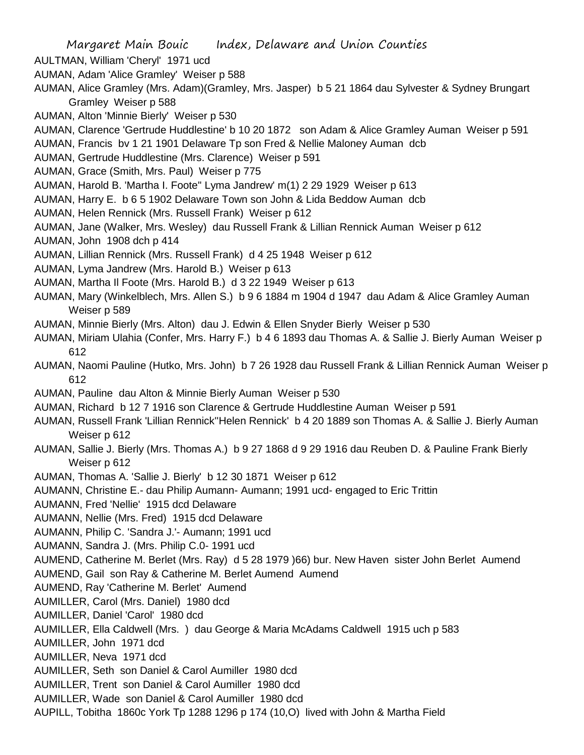AULTMAN, William 'Cheryl' 1971 ucd

AUMAN, Adam 'Alice Gramley' Weiser p 588

AUMAN, Alice Gramley (Mrs. Adam)(Gramley, Mrs. Jasper) b 5 21 1864 dau Sylvester & Sydney Brungart Gramley Weiser p 588

AUMAN, Alton 'Minnie Bierly' Weiser p 530

- AUMAN, Clarence 'Gertrude Huddlestine' b 10 20 1872 son Adam & Alice Gramley Auman Weiser p 591
- AUMAN, Francis bv 1 21 1901 Delaware Tp son Fred & Nellie Maloney Auman dcb
- AUMAN, Gertrude Huddlestine (Mrs. Clarence) Weiser p 591
- AUMAN, Grace (Smith, Mrs. Paul) Weiser p 775
- AUMAN, Harold B. 'Martha I. Foote'' Lyma Jandrew' m(1) 2 29 1929 Weiser p 613
- AUMAN, Harry E. b 6 5 1902 Delaware Town son John & Lida Beddow Auman dcb
- AUMAN, Helen Rennick (Mrs. Russell Frank) Weiser p 612
- AUMAN, Jane (Walker, Mrs. Wesley) dau Russell Frank & Lillian Rennick Auman Weiser p 612
- AUMAN, John 1908 dch p 414
- AUMAN, Lillian Rennick (Mrs. Russell Frank) d 4 25 1948 Weiser p 612
- AUMAN, Lyma Jandrew (Mrs. Harold B.) Weiser p 613
- AUMAN, Martha Il Foote (Mrs. Harold B.) d 3 22 1949 Weiser p 613
- AUMAN, Mary (Winkelblech, Mrs. Allen S.) b 9 6 1884 m 1904 d 1947 dau Adam & Alice Gramley Auman Weiser p 589
- AUMAN, Minnie Bierly (Mrs. Alton) dau J. Edwin & Ellen Snyder Bierly Weiser p 530
- AUMAN, Miriam Ulahia (Confer, Mrs. Harry F.) b 4 6 1893 dau Thomas A. & Sallie J. Bierly Auman Weiser p 612
- AUMAN, Naomi Pauline (Hutko, Mrs. John) b 7 26 1928 dau Russell Frank & Lillian Rennick Auman Weiser p 612
- AUMAN, Pauline dau Alton & Minnie Bierly Auman Weiser p 530
- AUMAN, Richard b 12 7 1916 son Clarence & Gertrude Huddlestine Auman Weiser p 591
- AUMAN, Russell Frank 'Lillian Rennick''Helen Rennick' b 4 20 1889 son Thomas A. & Sallie J. Bierly Auman Weiser p 612
- AUMAN, Sallie J. Bierly (Mrs. Thomas A.) b 9 27 1868 d 9 29 1916 dau Reuben D. & Pauline Frank Bierly Weiser p 612
- AUMAN, Thomas A. 'Sallie J. Bierly' b 12 30 1871 Weiser p 612
- AUMANN, Christine E.- dau Philip Aumann- Aumann; 1991 ucd- engaged to Eric Trittin
- AUMANN, Fred 'Nellie' 1915 dcd Delaware
- AUMANN, Nellie (Mrs. Fred) 1915 dcd Delaware
- AUMANN, Philip C. 'Sandra J.'- Aumann; 1991 ucd
- AUMANN, Sandra J. (Mrs. Philip C.0- 1991 ucd
- AUMEND, Catherine M. Berlet (Mrs. Ray) d 5 28 1979 )66) bur. New Haven sister John Berlet Aumend
- AUMEND, Gail son Ray & Catherine M. Berlet Aumend Aumend
- AUMEND, Ray 'Catherine M. Berlet' Aumend
- AUMILLER, Carol (Mrs. Daniel) 1980 dcd
- AUMILLER, Daniel 'Carol' 1980 dcd
- AUMILLER, Ella Caldwell (Mrs. ) dau George & Maria McAdams Caldwell 1915 uch p 583
- AUMILLER, John 1971 dcd
- AUMILLER, Neva 1971 dcd
- AUMILLER, Seth son Daniel & Carol Aumiller 1980 dcd
- AUMILLER, Trent son Daniel & Carol Aumiller 1980 dcd
- AUMILLER, Wade son Daniel & Carol Aumiller 1980 dcd
- AUPILL, Tobitha 1860c York Tp 1288 1296 p 174 (10,O) lived with John & Martha Field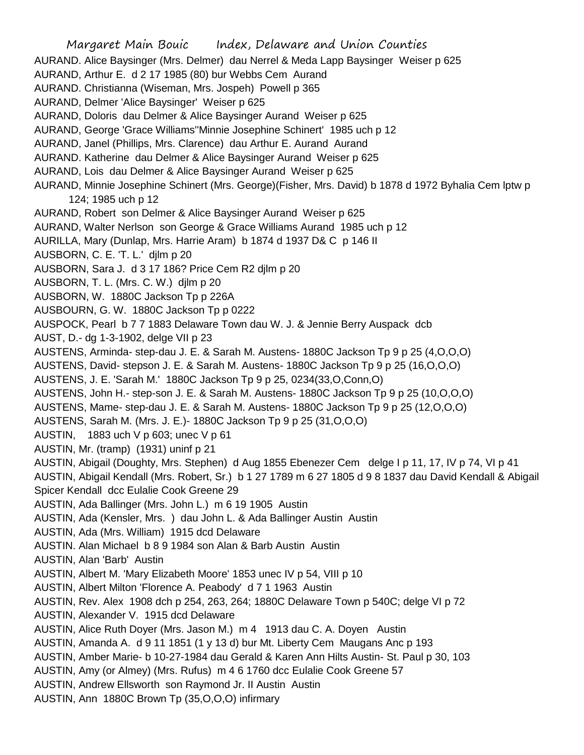Margaret Main Bouic Index, Delaware and Union Counties AURAND. Alice Baysinger (Mrs. Delmer) dau Nerrel & Meda Lapp Baysinger Weiser p 625 AURAND, Arthur E. d 2 17 1985 (80) bur Webbs Cem Aurand AURAND. Christianna (Wiseman, Mrs. Jospeh) Powell p 365 AURAND, Delmer 'Alice Baysinger' Weiser p 625 AURAND, Doloris dau Delmer & Alice Baysinger Aurand Weiser p 625 AURAND, George 'Grace Williams''Minnie Josephine Schinert' 1985 uch p 12 AURAND, Janel (Phillips, Mrs. Clarence) dau Arthur E. Aurand Aurand AURAND. Katherine dau Delmer & Alice Baysinger Aurand Weiser p 625 AURAND, Lois dau Delmer & Alice Baysinger Aurand Weiser p 625 AURAND, Minnie Josephine Schinert (Mrs. George)(Fisher, Mrs. David) b 1878 d 1972 Byhalia Cem lptw p 124; 1985 uch p 12 AURAND, Robert son Delmer & Alice Baysinger Aurand Weiser p 625 AURAND, Walter Nerlson son George & Grace Williams Aurand 1985 uch p 12 AURILLA, Mary (Dunlap, Mrs. Harrie Aram) b 1874 d 1937 D& C p 146 II AUSBORN, C. E. 'T. L.' djlm p 20 AUSBORN, Sara J. d 3 17 186? Price Cem R2 djlm p 20 AUSBORN, T. L. (Mrs. C. W.) djlm p 20 AUSBORN, W. 1880C Jackson Tp p 226A AUSBOURN, G. W. 1880C Jackson Tp p 0222 AUSPOCK, Pearl b 7 7 1883 Delaware Town dau W. J. & Jennie Berry Auspack dcb AUST, D.- dg 1-3-1902, delge VII p 23 AUSTENS, Arminda- step-dau J. E. & Sarah M. Austens- 1880C Jackson Tp 9 p 25 (4,O,O,O) AUSTENS, David- stepson J. E. & Sarah M. Austens- 1880C Jackson Tp 9 p 25 (16,O,O,O) AUSTENS, J. E. 'Sarah M.' 1880C Jackson Tp 9 p 25, 0234(33,O,Conn,O) AUSTENS, John H.- step-son J. E. & Sarah M. Austens- 1880C Jackson Tp 9 p 25 (10,O,O,O) AUSTENS, Mame- step-dau J. E. & Sarah M. Austens- 1880C Jackson Tp 9 p 25 (12,O,O,O) AUSTENS, Sarah M. (Mrs. J. E.)- 1880C Jackson Tp 9 p 25 (31,O,O,O) AUSTIN, 1883 uch V p 603; unec V p 61 AUSTIN, Mr. (tramp) (1931) uninf p 21 AUSTIN, Abigail (Doughty, Mrs. Stephen) d Aug 1855 Ebenezer Cem delge I p 11, 17, IV p 74, VI p 41 AUSTIN, Abigail Kendall (Mrs. Robert, Sr.) b 1 27 1789 m 6 27 1805 d 9 8 1837 dau David Kendall & Abigail Spicer Kendall dcc Eulalie Cook Greene 29 AUSTIN, Ada Ballinger (Mrs. John L.) m 6 19 1905 Austin AUSTIN, Ada (Kensler, Mrs. ) dau John L. & Ada Ballinger Austin Austin AUSTIN, Ada (Mrs. William) 1915 dcd Delaware AUSTIN. Alan Michael b 8 9 1984 son Alan & Barb Austin Austin AUSTIN, Alan 'Barb' Austin AUSTIN, Albert M. 'Mary Elizabeth Moore' 1853 unec IV p 54, VIII p 10 AUSTIN, Albert Milton 'Florence A. Peabody' d 7 1 1963 Austin AUSTIN, Rev. Alex 1908 dch p 254, 263, 264; 1880C Delaware Town p 540C; delge VI p 72 AUSTIN, Alexander V. 1915 dcd Delaware AUSTIN, Alice Ruth Doyer (Mrs. Jason M.) m 4 1913 dau C. A. Doyen Austin AUSTIN, Amanda A. d 9 11 1851 (1 y 13 d) bur Mt. Liberty Cem Maugans Anc p 193 AUSTIN, Amber Marie- b 10-27-1984 dau Gerald & Karen Ann Hilts Austin- St. Paul p 30, 103 AUSTIN, Amy (or Almey) (Mrs. Rufus) m 4 6 1760 dcc Eulalie Cook Greene 57 AUSTIN, Andrew Ellsworth son Raymond Jr. II Austin Austin AUSTIN, Ann 1880C Brown Tp (35,O,O,O) infirmary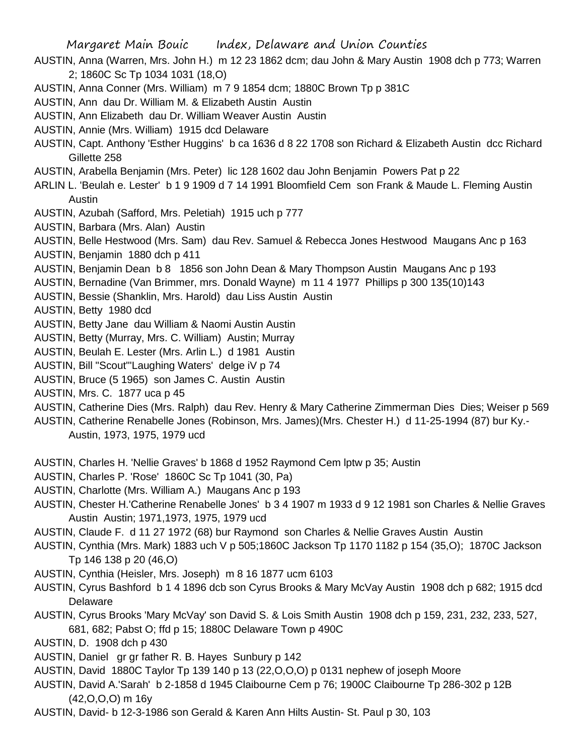- AUSTIN, Anna (Warren, Mrs. John H.) m 12 23 1862 dcm; dau John & Mary Austin 1908 dch p 773; Warren 2; 1860C Sc Tp 1034 1031 (18,O)
- AUSTIN, Anna Conner (Mrs. William) m 7 9 1854 dcm; 1880C Brown Tp p 381C
- AUSTIN, Ann dau Dr. William M. & Elizabeth Austin Austin
- AUSTIN, Ann Elizabeth dau Dr. William Weaver Austin Austin
- AUSTIN, Annie (Mrs. William) 1915 dcd Delaware
- AUSTIN, Capt. Anthony 'Esther Huggins' b ca 1636 d 8 22 1708 son Richard & Elizabeth Austin dcc Richard Gillette 258
- AUSTIN, Arabella Benjamin (Mrs. Peter) lic 128 1602 dau John Benjamin Powers Pat p 22
- ARLIN L. 'Beulah e. Lester' b 1 9 1909 d 7 14 1991 Bloomfield Cem son Frank & Maude L. Fleming Austin Austin
- AUSTIN, Azubah (Safford, Mrs. Peletiah) 1915 uch p 777
- AUSTIN, Barbara (Mrs. Alan) Austin
- AUSTIN, Belle Hestwood (Mrs. Sam) dau Rev. Samuel & Rebecca Jones Hestwood Maugans Anc p 163
- AUSTIN, Benjamin 1880 dch p 411
- AUSTIN, Benjamin Dean b 8 1856 son John Dean & Mary Thompson Austin Maugans Anc p 193
- AUSTIN, Bernadine (Van Brimmer, mrs. Donald Wayne) m 11 4 1977 Phillips p 300 135(10)143
- AUSTIN, Bessie (Shanklin, Mrs. Harold) dau Liss Austin Austin
- AUSTIN, Betty 1980 dcd
- AUSTIN, Betty Jane dau William & Naomi Austin Austin
- AUSTIN, Betty (Murray, Mrs. C. William) Austin; Murray
- AUSTIN, Beulah E. Lester (Mrs. Arlin L.) d 1981 Austin
- AUSTIN, Bill "Scout"'Laughing Waters' delge iV p 74
- AUSTIN, Bruce (5 1965) son James C. Austin Austin
- AUSTIN, Mrs. C. 1877 uca p 45
- AUSTIN, Catherine Dies (Mrs. Ralph) dau Rev. Henry & Mary Catherine Zimmerman Dies Dies; Weiser p 569
- AUSTIN, Catherine Renabelle Jones (Robinson, Mrs. James)(Mrs. Chester H.) d 11-25-1994 (87) bur Ky.-
	- Austin, 1973, 1975, 1979 ucd
- AUSTIN, Charles H. 'Nellie Graves' b 1868 d 1952 Raymond Cem lptw p 35; Austin
- AUSTIN, Charles P. 'Rose' 1860C Sc Tp 1041 (30, Pa)
- AUSTIN, Charlotte (Mrs. William A.) Maugans Anc p 193
- AUSTIN, Chester H.'Catherine Renabelle Jones' b 3 4 1907 m 1933 d 9 12 1981 son Charles & Nellie Graves Austin Austin; 1971,1973, 1975, 1979 ucd
- AUSTIN, Claude F. d 11 27 1972 (68) bur Raymond son Charles & Nellie Graves Austin Austin
- AUSTIN, Cynthia (Mrs. Mark) 1883 uch V p 505;1860C Jackson Tp 1170 1182 p 154 (35,O); 1870C Jackson Tp 146 138 p 20 (46,O)
- AUSTIN, Cynthia (Heisler, Mrs. Joseph) m 8 16 1877 ucm 6103
- AUSTIN, Cyrus Bashford b 1 4 1896 dcb son Cyrus Brooks & Mary McVay Austin 1908 dch p 682; 1915 dcd Delaware
- AUSTIN, Cyrus Brooks 'Mary McVay' son David S. & Lois Smith Austin 1908 dch p 159, 231, 232, 233, 527, 681, 682; Pabst O; ffd p 15; 1880C Delaware Town p 490C
- AUSTIN, D. 1908 dch p 430
- AUSTIN, Daniel gr gr father R. B. Hayes Sunbury p 142
- AUSTIN, David 1880C Taylor Tp 139 140 p 13 (22,O,O,O) p 0131 nephew of joseph Moore
- AUSTIN, David A.'Sarah' b 2-1858 d 1945 Claibourne Cem p 76; 1900C Claibourne Tp 286-302 p 12B (42,O,O,O) m 16y
- AUSTIN, David- b 12-3-1986 son Gerald & Karen Ann Hilts Austin- St. Paul p 30, 103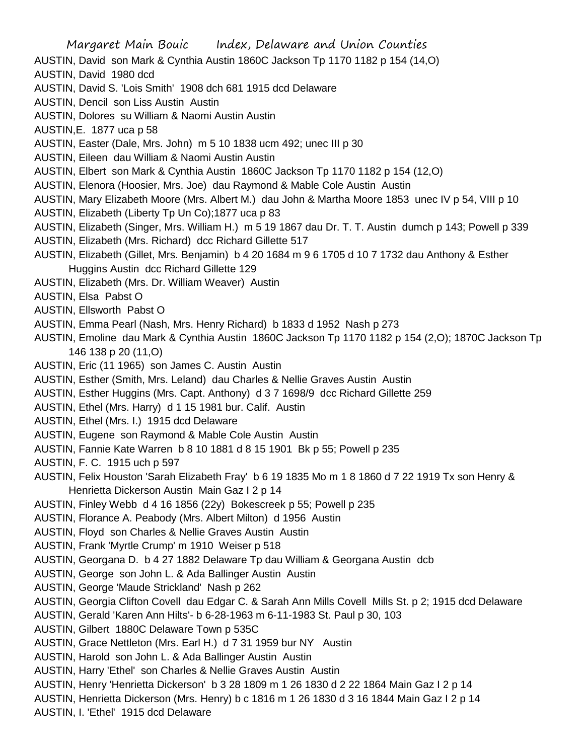Margaret Main Bouic Index, Delaware and Union Counties AUSTIN, David son Mark & Cynthia Austin 1860C Jackson Tp 1170 1182 p 154 (14,O) AUSTIN, David 1980 dcd AUSTIN, David S. 'Lois Smith' 1908 dch 681 1915 dcd Delaware AUSTIN, Dencil son Liss Austin Austin AUSTIN, Dolores su William & Naomi Austin Austin AUSTIN,E. 1877 uca p 58 AUSTIN, Easter (Dale, Mrs. John) m 5 10 1838 ucm 492; unec III p 30 AUSTIN, Eileen dau William & Naomi Austin Austin AUSTIN, Elbert son Mark & Cynthia Austin 1860C Jackson Tp 1170 1182 p 154 (12,O) AUSTIN, Elenora (Hoosier, Mrs. Joe) dau Raymond & Mable Cole Austin Austin AUSTIN, Mary Elizabeth Moore (Mrs. Albert M.) dau John & Martha Moore 1853 unec IV p 54, VIII p 10 AUSTIN, Elizabeth (Liberty Tp Un Co);1877 uca p 83 AUSTIN, Elizabeth (Singer, Mrs. William H.) m 5 19 1867 dau Dr. T. T. Austin dumch p 143; Powell p 339 AUSTIN, Elizabeth (Mrs. Richard) dcc Richard Gillette 517 AUSTIN, Elizabeth (Gillet, Mrs. Benjamin) b 4 20 1684 m 9 6 1705 d 10 7 1732 dau Anthony & Esther Huggins Austin dcc Richard Gillette 129 AUSTIN, Elizabeth (Mrs. Dr. William Weaver) Austin AUSTIN, Elsa Pabst O AUSTIN, Ellsworth Pabst O AUSTIN, Emma Pearl (Nash, Mrs. Henry Richard) b 1833 d 1952 Nash p 273 AUSTIN, Emoline dau Mark & Cynthia Austin 1860C Jackson Tp 1170 1182 p 154 (2,O); 1870C Jackson Tp 146 138 p 20 (11,O) AUSTIN, Eric (11 1965) son James C. Austin Austin AUSTIN, Esther (Smith, Mrs. Leland) dau Charles & Nellie Graves Austin Austin AUSTIN, Esther Huggins (Mrs. Capt. Anthony) d 3 7 1698/9 dcc Richard Gillette 259 AUSTIN, Ethel (Mrs. Harry) d 1 15 1981 bur. Calif. Austin AUSTIN, Ethel (Mrs. I.) 1915 dcd Delaware AUSTIN, Eugene son Raymond & Mable Cole Austin Austin AUSTIN, Fannie Kate Warren b 8 10 1881 d 8 15 1901 Bk p 55; Powell p 235 AUSTIN, F. C. 1915 uch p 597 AUSTIN, Felix Houston 'Sarah Elizabeth Fray' b 6 19 1835 Mo m 1 8 1860 d 7 22 1919 Tx son Henry & Henrietta Dickerson Austin Main Gaz I 2 p 14 AUSTIN, Finley Webb d 4 16 1856 (22y) Bokescreek p 55; Powell p 235 AUSTIN, Florance A. Peabody (Mrs. Albert Milton) d 1956 Austin AUSTIN, Floyd son Charles & Nellie Graves Austin Austin AUSTIN, Frank 'Myrtle Crump' m 1910 Weiser p 518 AUSTIN, Georgana D. b 4 27 1882 Delaware Tp dau William & Georgana Austin dcb AUSTIN, George son John L. & Ada Ballinger Austin Austin AUSTIN, George 'Maude Strickland' Nash p 262 AUSTIN, Georgia Clifton Covell dau Edgar C. & Sarah Ann Mills Covell Mills St. p 2; 1915 dcd Delaware AUSTIN, Gerald 'Karen Ann Hilts'- b 6-28-1963 m 6-11-1983 St. Paul p 30, 103 AUSTIN, Gilbert 1880C Delaware Town p 535C AUSTIN, Grace Nettleton (Mrs. Earl H.) d 7 31 1959 bur NY Austin AUSTIN, Harold son John L. & Ada Ballinger Austin Austin AUSTIN, Harry 'Ethel' son Charles & Nellie Graves Austin Austin AUSTIN, Henry 'Henrietta Dickerson' b 3 28 1809 m 1 26 1830 d 2 22 1864 Main Gaz I 2 p 14 AUSTIN, Henrietta Dickerson (Mrs. Henry) b c 1816 m 1 26 1830 d 3 16 1844 Main Gaz I 2 p 14 AUSTIN, I. 'Ethel' 1915 dcd Delaware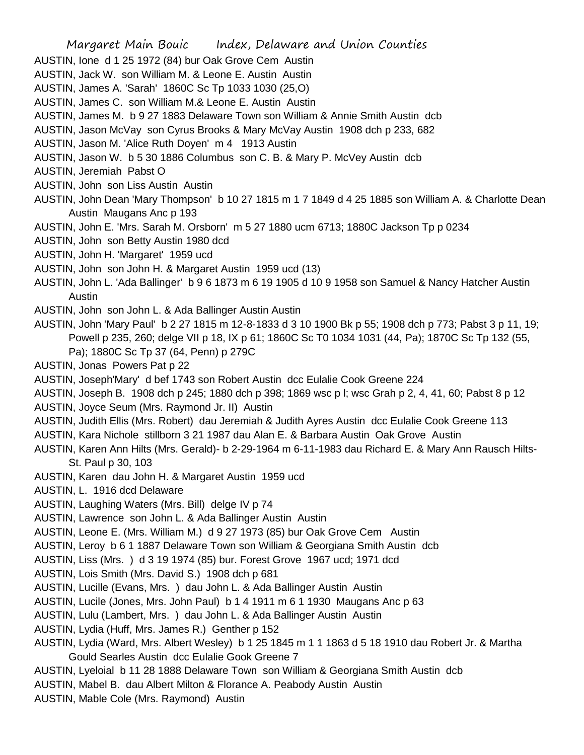Margaret Main Bouic Index, Delaware and Union Counties AUSTIN, Ione d 1 25 1972 (84) bur Oak Grove Cem Austin AUSTIN, Jack W. son William M. & Leone E. Austin Austin AUSTIN, James A. 'Sarah' 1860C Sc Tp 1033 1030 (25,O) AUSTIN, James C. son William M.& Leone E. Austin Austin AUSTIN, James M. b 9 27 1883 Delaware Town son William & Annie Smith Austin dcb AUSTIN, Jason McVay son Cyrus Brooks & Mary McVay Austin 1908 dch p 233, 682 AUSTIN, Jason M. 'Alice Ruth Doyen' m 4 1913 Austin AUSTIN, Jason W. b 5 30 1886 Columbus son C. B. & Mary P. McVey Austin dcb AUSTIN, Jeremiah Pabst O AUSTIN, John son Liss Austin Austin AUSTIN, John Dean 'Mary Thompson' b 10 27 1815 m 1 7 1849 d 4 25 1885 son William A. & Charlotte Dean Austin Maugans Anc p 193 AUSTIN, John E. 'Mrs. Sarah M. Orsborn' m 5 27 1880 ucm 6713; 1880C Jackson Tp p 0234 AUSTIN, John son Betty Austin 1980 dcd AUSTIN, John H. 'Margaret' 1959 ucd AUSTIN, John son John H. & Margaret Austin 1959 ucd (13) AUSTIN, John L. 'Ada Ballinger' b 9 6 1873 m 6 19 1905 d 10 9 1958 son Samuel & Nancy Hatcher Austin Austin AUSTIN, John son John L. & Ada Ballinger Austin Austin AUSTIN, John 'Mary Paul' b 2 27 1815 m 12-8-1833 d 3 10 1900 Bk p 55; 1908 dch p 773; Pabst 3 p 11, 19; Powell p 235, 260; delge VII p 18, IX p 61; 1860C Sc T0 1034 1031 (44, Pa); 1870C Sc Tp 132 (55, Pa); 1880C Sc Tp 37 (64, Penn) p 279C AUSTIN, Jonas Powers Pat p 22 AUSTIN, Joseph'Mary' d bef 1743 son Robert Austin dcc Eulalie Cook Greene 224 AUSTIN, Joseph B. 1908 dch p 245; 1880 dch p 398; 1869 wsc p l; wsc Grah p 2, 4, 41, 60; Pabst 8 p 12 AUSTIN, Joyce Seum (Mrs. Raymond Jr. II) Austin AUSTIN, Judith Ellis (Mrs. Robert) dau Jeremiah & Judith Ayres Austin dcc Eulalie Cook Greene 113 AUSTIN, Kara Nichole stillborn 3 21 1987 dau Alan E. & Barbara Austin Oak Grove Austin AUSTIN, Karen Ann Hilts (Mrs. Gerald)- b 2-29-1964 m 6-11-1983 dau Richard E. & Mary Ann Rausch Hilts-St. Paul p 30, 103 AUSTIN, Karen dau John H. & Margaret Austin 1959 ucd AUSTIN, L. 1916 dcd Delaware AUSTIN, Laughing Waters (Mrs. Bill) delge IV p 74 AUSTIN, Lawrence son John L. & Ada Ballinger Austin Austin AUSTIN, Leone E. (Mrs. William M.) d 9 27 1973 (85) bur Oak Grove Cem Austin AUSTIN, Leroy b 6 1 1887 Delaware Town son William & Georgiana Smith Austin dcb AUSTIN, Liss (Mrs. ) d 3 19 1974 (85) bur. Forest Grove 1967 ucd; 1971 dcd AUSTIN, Lois Smith (Mrs. David S.) 1908 dch p 681 AUSTIN, Lucille (Evans, Mrs. ) dau John L. & Ada Ballinger Austin Austin AUSTIN, Lucile (Jones, Mrs. John Paul) b 1 4 1911 m 6 1 1930 Maugans Anc p 63 AUSTIN, Lulu (Lambert, Mrs. ) dau John L. & Ada Ballinger Austin Austin AUSTIN, Lydia (Huff, Mrs. James R.) Genther p 152 AUSTIN, Lydia (Ward, Mrs. Albert Wesley) b 1 25 1845 m 1 1 1863 d 5 18 1910 dau Robert Jr. & Martha Gould Searles Austin dcc Eulalie Gook Greene 7 AUSTIN, Lyeloial b 11 28 1888 Delaware Town son William & Georgiana Smith Austin dcb AUSTIN, Mabel B. dau Albert Milton & Florance A. Peabody Austin Austin AUSTIN, Mable Cole (Mrs. Raymond) Austin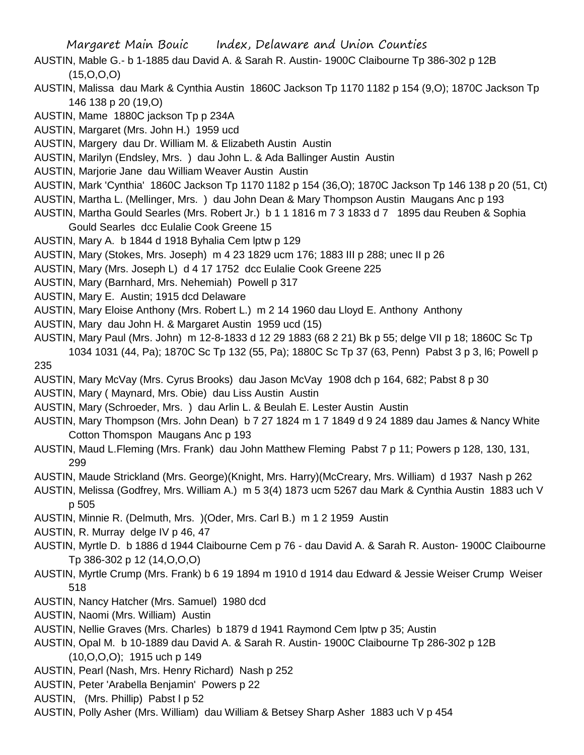- AUSTIN, Mable G.- b 1-1885 dau David A. & Sarah R. Austin- 1900C Claibourne Tp 386-302 p 12B  $(15,0,0,0)$
- AUSTIN, Malissa dau Mark & Cynthia Austin 1860C Jackson Tp 1170 1182 p 154 (9,O); 1870C Jackson Tp 146 138 p 20 (19,O)
- AUSTIN, Mame 1880C jackson Tp p 234A
- AUSTIN, Margaret (Mrs. John H.) 1959 ucd
- AUSTIN, Margery dau Dr. William M. & Elizabeth Austin Austin
- AUSTIN, Marilyn (Endsley, Mrs. ) dau John L. & Ada Ballinger Austin Austin
- AUSTIN, Marjorie Jane dau William Weaver Austin Austin
- AUSTIN, Mark 'Cynthia' 1860C Jackson Tp 1170 1182 p 154 (36,O); 1870C Jackson Tp 146 138 p 20 (51, Ct)
- AUSTIN, Martha L. (Mellinger, Mrs. ) dau John Dean & Mary Thompson Austin Maugans Anc p 193
- AUSTIN, Martha Gould Searles (Mrs. Robert Jr.) b 1 1 1816 m 7 3 1833 d 7 1895 dau Reuben & Sophia Gould Searles dcc Eulalie Cook Greene 15
- AUSTIN, Mary A. b 1844 d 1918 Byhalia Cem lptw p 129
- AUSTIN, Mary (Stokes, Mrs. Joseph) m 4 23 1829 ucm 176; 1883 III p 288; unec II p 26
- AUSTIN, Mary (Mrs. Joseph L) d 4 17 1752 dcc Eulalie Cook Greene 225
- AUSTIN, Mary (Barnhard, Mrs. Nehemiah) Powell p 317
- AUSTIN, Mary E. Austin; 1915 dcd Delaware
- AUSTIN, Mary Eloise Anthony (Mrs. Robert L.) m 2 14 1960 dau Lloyd E. Anthony Anthony
- AUSTIN, Mary dau John H. & Margaret Austin 1959 ucd (15)
- AUSTIN, Mary Paul (Mrs. John) m 12-8-1833 d 12 29 1883 (68 2 21) Bk p 55; delge VII p 18; 1860C Sc Tp 1034 1031 (44, Pa); 1870C Sc Tp 132 (55, Pa); 1880C Sc Tp 37 (63, Penn) Pabst 3 p 3, l6; Powell p 235
- AUSTIN, Mary McVay (Mrs. Cyrus Brooks) dau Jason McVay 1908 dch p 164, 682; Pabst 8 p 30
- AUSTIN, Mary ( Maynard, Mrs. Obie) dau Liss Austin Austin
- AUSTIN, Mary (Schroeder, Mrs. ) dau Arlin L. & Beulah E. Lester Austin Austin
- AUSTIN, Mary Thompson (Mrs. John Dean) b 7 27 1824 m 1 7 1849 d 9 24 1889 dau James & Nancy White Cotton Thomspon Maugans Anc p 193
- AUSTIN, Maud L.Fleming (Mrs. Frank) dau John Matthew Fleming Pabst 7 p 11; Powers p 128, 130, 131, 299
- AUSTIN, Maude Strickland (Mrs. George)(Knight, Mrs. Harry)(McCreary, Mrs. William) d 1937 Nash p 262
- AUSTIN, Melissa (Godfrey, Mrs. William A.) m 5 3(4) 1873 ucm 5267 dau Mark & Cynthia Austin 1883 uch V p 505
- AUSTIN, Minnie R. (Delmuth, Mrs. )(Oder, Mrs. Carl B.) m 1 2 1959 Austin
- AUSTIN, R. Murray delge IV p 46, 47
- AUSTIN, Myrtle D. b 1886 d 1944 Claibourne Cem p 76 dau David A. & Sarah R. Auston- 1900C Claibourne Tp 386-302 p 12 (14,O,O,O)
- AUSTIN, Myrtle Crump (Mrs. Frank) b 6 19 1894 m 1910 d 1914 dau Edward & Jessie Weiser Crump Weiser 518
- AUSTIN, Nancy Hatcher (Mrs. Samuel) 1980 dcd
- AUSTIN, Naomi (Mrs. William) Austin
- AUSTIN, Nellie Graves (Mrs. Charles) b 1879 d 1941 Raymond Cem lptw p 35; Austin
- AUSTIN, Opal M. b 10-1889 dau David A. & Sarah R. Austin- 1900C Claibourne Tp 286-302 p 12B (10,O,O,O); 1915 uch p 149
- AUSTIN, Pearl (Nash, Mrs. Henry Richard) Nash p 252
- AUSTIN, Peter 'Arabella Benjamin' Powers p 22
- AUSTIN, (Mrs. Phillip) Pabst l p 52
- AUSTIN, Polly Asher (Mrs. William) dau William & Betsey Sharp Asher 1883 uch V p 454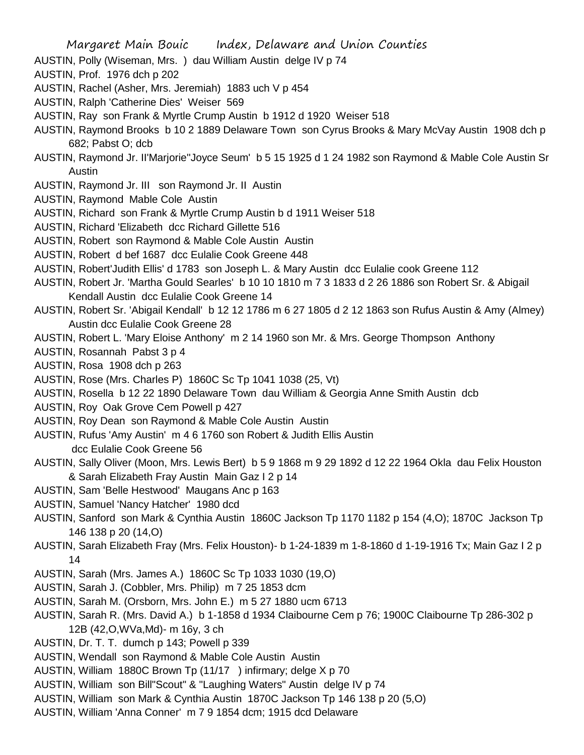- AUSTIN, Polly (Wiseman, Mrs. ) dau William Austin delge IV p 74
- AUSTIN, Prof. 1976 dch p 202
- AUSTIN, Rachel (Asher, Mrs. Jeremiah) 1883 uch V p 454
- AUSTIN, Ralph 'Catherine Dies' Weiser 569
- AUSTIN, Ray son Frank & Myrtle Crump Austin b 1912 d 1920 Weiser 518
- AUSTIN, Raymond Brooks b 10 2 1889 Delaware Town son Cyrus Brooks & Mary McVay Austin 1908 dch p 682; Pabst O; dcb
- AUSTIN, Raymond Jr. II'Marjorie''Joyce Seum' b 5 15 1925 d 1 24 1982 son Raymond & Mable Cole Austin Sr Austin
- AUSTIN, Raymond Jr. III son Raymond Jr. II Austin
- AUSTIN, Raymond Mable Cole Austin
- AUSTIN, Richard son Frank & Myrtle Crump Austin b d 1911 Weiser 518
- AUSTIN, Richard 'Elizabeth dcc Richard Gillette 516
- AUSTIN, Robert son Raymond & Mable Cole Austin Austin
- AUSTIN, Robert d bef 1687 dcc Eulalie Cook Greene 448
- AUSTIN, Robert'Judith Ellis' d 1783 son Joseph L. & Mary Austin dcc Eulalie cook Greene 112
- AUSTIN, Robert Jr. 'Martha Gould Searles' b 10 10 1810 m 7 3 1833 d 2 26 1886 son Robert Sr. & Abigail Kendall Austin dcc Eulalie Cook Greene 14
- AUSTIN, Robert Sr. 'Abigail Kendall' b 12 12 1786 m 6 27 1805 d 2 12 1863 son Rufus Austin & Amy (Almey) Austin dcc Eulalie Cook Greene 28
- AUSTIN, Robert L. 'Mary Eloise Anthony' m 2 14 1960 son Mr. & Mrs. George Thompson Anthony
- AUSTIN, Rosannah Pabst 3 p 4
- AUSTIN, Rosa 1908 dch p 263
- AUSTIN, Rose (Mrs. Charles P) 1860C Sc Tp 1041 1038 (25, Vt)
- AUSTIN, Rosella b 12 22 1890 Delaware Town dau William & Georgia Anne Smith Austin dcb
- AUSTIN, Roy Oak Grove Cem Powell p 427
- AUSTIN, Roy Dean son Raymond & Mable Cole Austin Austin
- AUSTIN, Rufus 'Amy Austin' m 4 6 1760 son Robert & Judith Ellis Austin
	- dcc Eulalie Cook Greene 56
- AUSTIN, Sally Oliver (Moon, Mrs. Lewis Bert) b 5 9 1868 m 9 29 1892 d 12 22 1964 Okla dau Felix Houston & Sarah Elizabeth Fray Austin Main Gaz I 2 p 14
- AUSTIN, Sam 'Belle Hestwood' Maugans Anc p 163
- AUSTIN, Samuel 'Nancy Hatcher' 1980 dcd
- AUSTIN, Sanford son Mark & Cynthia Austin 1860C Jackson Tp 1170 1182 p 154 (4,O); 1870C Jackson Tp 146 138 p 20 (14,O)
- AUSTIN, Sarah Elizabeth Fray (Mrs. Felix Houston)- b 1-24-1839 m 1-8-1860 d 1-19-1916 Tx; Main Gaz I 2 p 14
- AUSTIN, Sarah (Mrs. James A.) 1860C Sc Tp 1033 1030 (19,O)
- AUSTIN, Sarah J. (Cobbler, Mrs. Philip) m 7 25 1853 dcm
- AUSTIN, Sarah M. (Orsborn, Mrs. John E.) m 5 27 1880 ucm 6713
- AUSTIN, Sarah R. (Mrs. David A.) b 1-1858 d 1934 Claibourne Cem p 76; 1900C Claibourne Tp 286-302 p 12B (42,O,WVa,Md)- m 16y, 3 ch
- AUSTIN, Dr. T. T. dumch p 143; Powell p 339
- AUSTIN, Wendall son Raymond & Mable Cole Austin Austin
- AUSTIN, William 1880C Brown Tp (11/17 ) infirmary; delge X p 70
- AUSTIN, William son Bill"Scout" & "Laughing Waters" Austin delge IV p 74
- AUSTIN, William son Mark & Cynthia Austin 1870C Jackson Tp 146 138 p 20 (5,O)
- AUSTIN, William 'Anna Conner' m 7 9 1854 dcm; 1915 dcd Delaware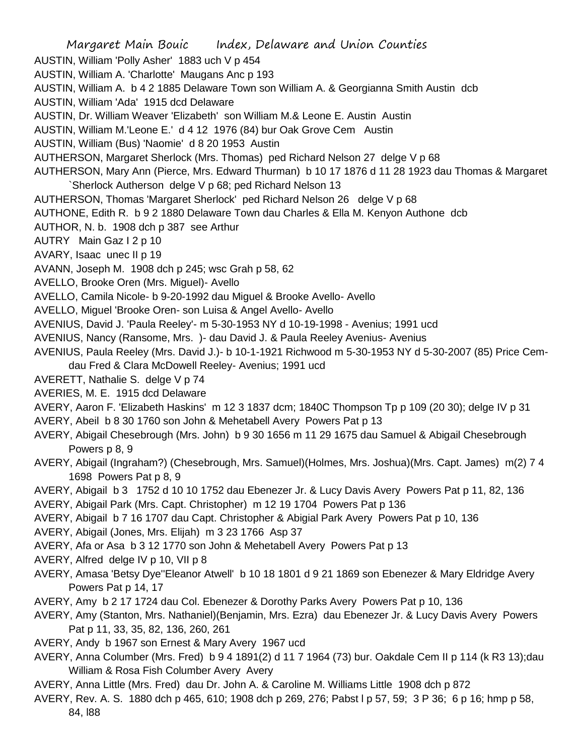Margaret Main Bouic Index, Delaware and Union Counties AUSTIN, William 'Polly Asher' 1883 uch V p 454 AUSTIN, William A. 'Charlotte' Maugans Anc p 193 AUSTIN, William A. b 4 2 1885 Delaware Town son William A. & Georgianna Smith Austin dcb AUSTIN, William 'Ada' 1915 dcd Delaware AUSTIN, Dr. William Weaver 'Elizabeth' son William M.& Leone E. Austin Austin AUSTIN, William M.'Leone E.' d 4 12 1976 (84) bur Oak Grove Cem Austin AUSTIN, William (Bus) 'Naomie' d 8 20 1953 Austin AUTHERSON, Margaret Sherlock (Mrs. Thomas) ped Richard Nelson 27 delge V p 68 AUTHERSON, Mary Ann (Pierce, Mrs. Edward Thurman) b 10 17 1876 d 11 28 1923 dau Thomas & Margaret `Sherlock Autherson delge V p 68; ped Richard Nelson 13 AUTHERSON, Thomas 'Margaret Sherlock' ped Richard Nelson 26 delge V p 68 AUTHONE, Edith R. b 9 2 1880 Delaware Town dau Charles & Ella M. Kenyon Authone dcb AUTHOR, N. b. 1908 dch p 387 see Arthur AUTRY Main Gaz I 2 p 10 AVARY, Isaac unec II p 19 AVANN, Joseph M. 1908 dch p 245; wsc Grah p 58, 62 AVELLO, Brooke Oren (Mrs. Miguel)- Avello AVELLO, Camila Nicole- b 9-20-1992 dau Miguel & Brooke Avello- Avello AVELLO, Miguel 'Brooke Oren- son Luisa & Angel Avello- Avello AVENIUS, David J. 'Paula Reeley'- m 5-30-1953 NY d 10-19-1998 - Avenius; 1991 ucd AVENIUS, Nancy (Ransome, Mrs. )- dau David J. & Paula Reeley Avenius- Avenius AVENIUS, Paula Reeley (Mrs. David J.)- b 10-1-1921 Richwood m 5-30-1953 NY d 5-30-2007 (85) Price Cemdau Fred & Clara McDowell Reeley- Avenius; 1991 ucd AVERETT, Nathalie S. delge V p 74 AVERIES, M. E. 1915 dcd Delaware AVERY, Aaron F. 'Elizabeth Haskins' m 12 3 1837 dcm; 1840C Thompson Tp p 109 (20 30); delge IV p 31 AVERY, Abeil b 8 30 1760 son John & Mehetabell Avery Powers Pat p 13 AVERY, Abigail Chesebrough (Mrs. John) b 9 30 1656 m 11 29 1675 dau Samuel & Abigail Chesebrough Powers p 8, 9 AVERY, Abigail (Ingraham?) (Chesebrough, Mrs. Samuel)(Holmes, Mrs. Joshua)(Mrs. Capt. James) m(2) 7 4 1698 Powers Pat p 8, 9 AVERY, Abigail b 3 1752 d 10 10 1752 dau Ebenezer Jr. & Lucy Davis Avery Powers Pat p 11, 82, 136 AVERY, Abigail Park (Mrs. Capt. Christopher) m 12 19 1704 Powers Pat p 136 AVERY, Abigail b 7 16 1707 dau Capt. Christopher & Abigial Park Avery Powers Pat p 10, 136 AVERY, Abigail (Jones, Mrs. Elijah) m 3 23 1766 Asp 37 AVERY, Afa or Asa b 3 12 1770 son John & Mehetabell Avery Powers Pat p 13 AVERY, Alfred delge IV p 10, VII p 8 AVERY, Amasa 'Betsy Dye''Eleanor Atwell' b 10 18 1801 d 9 21 1869 son Ebenezer & Mary Eldridge Avery Powers Pat p 14, 17 AVERY, Amy b 2 17 1724 dau Col. Ebenezer & Dorothy Parks Avery Powers Pat p 10, 136 AVERY, Amy (Stanton, Mrs. Nathaniel)(Benjamin, Mrs. Ezra) dau Ebenezer Jr. & Lucy Davis Avery Powers Pat p 11, 33, 35, 82, 136, 260, 261 AVERY, Andy b 1967 son Ernest & Mary Avery 1967 ucd AVERY, Anna Columber (Mrs. Fred) b 9 4 1891(2) d 11 7 1964 (73) bur. Oakdale Cem II p 114 (k R3 13);dau William & Rosa Fish Columber Avery Avery

AVERY, Anna Little (Mrs. Fred) dau Dr. John A. & Caroline M. Williams Little 1908 dch p 872

AVERY, Rev. A. S. 1880 dch p 465, 610; 1908 dch p 269, 276; Pabst l p 57, 59; 3 P 36; 6 p 16; hmp p 58, 84, l88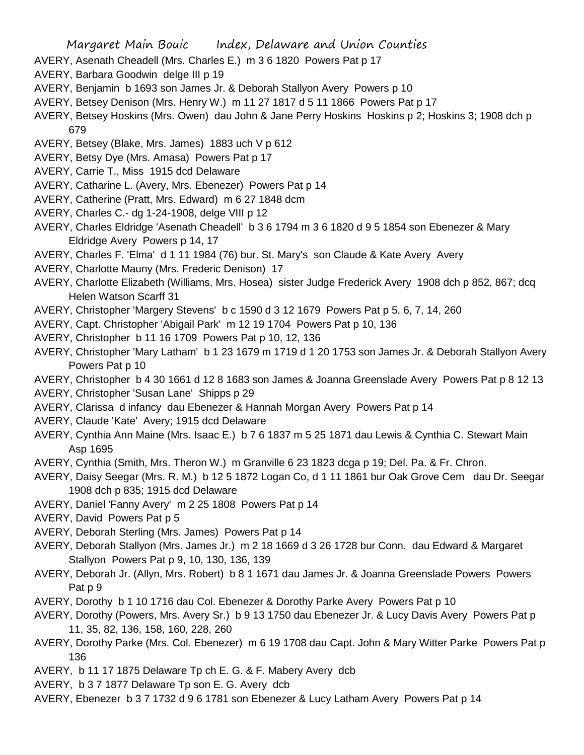- AVERY, Asenath Cheadell (Mrs. Charles E.) m 3 6 1820 Powers Pat p 17
- AVERY, Barbara Goodwin delge III p 19
- AVERY, Benjamin b 1693 son James Jr. & Deborah Stallyon Avery Powers p 10
- AVERY, Betsey Denison (Mrs. Henry W.) m 11 27 1817 d 5 11 1866 Powers Pat p 17
- AVERY, Betsey Hoskins (Mrs. Owen) dau John & Jane Perry Hoskins Hoskins p 2; Hoskins 3; 1908 dch p 679
- AVERY, Betsey (Blake, Mrs. James) 1883 uch V p 612
- AVERY, Betsy Dye (Mrs. Amasa) Powers Pat p 17
- AVERY, Carrie T., Miss 1915 dcd Delaware
- AVERY, Catharine L. (Avery, Mrs. Ebenezer) Powers Pat p 14
- AVERY, Catherine (Pratt, Mrs. Edward) m 6 27 1848 dcm
- AVERY, Charles C.- dg 1-24-1908, delge VIII p 12
- AVERY, Charles Eldridge 'Asenath Cheadell' b 3 6 1794 m 3 6 1820 d 9 5 1854 son Ebenezer & Mary Eldridge Avery Powers p 14, 17
- AVERY, Charles F. 'Elma' d 1 11 1984 (76) bur. St. Mary's son Claude & Kate Avery Avery
- AVERY, Charlotte Mauny (Mrs. Frederic Denison) 17
- AVERY, Charlotte Elizabeth (Williams, Mrs. Hosea) sister Judge Frederick Avery 1908 dch p 852, 867; dcq Helen Watson Scarff 31
- AVERY, Christopher 'Margery Stevens' b c 1590 d 3 12 1679 Powers Pat p 5, 6, 7, 14, 260
- AVERY, Capt. Christopher 'Abigail Park' m 12 19 1704 Powers Pat p 10, 136
- AVERY, Christopher b 11 16 1709 Powers Pat p 10, 12, 136
- AVERY, Christopher 'Mary Latham' b 1 23 1679 m 1719 d 1 20 1753 son James Jr. & Deborah Stallyon Avery Powers Pat p 10
- AVERY, Christopher b 4 30 1661 d 12 8 1683 son James & Joanna Greenslade Avery Powers Pat p 8 12 13
- AVERY, Christopher 'Susan Lane' Shipps p 29
- AVERY, Clarissa d infancy dau Ebenezer & Hannah Morgan Avery Powers Pat p 14
- AVERY, Claude 'Kate' Avery; 1915 dcd Delaware
- AVERY, Cynthia Ann Maine (Mrs. Isaac E.) b 7 6 1837 m 5 25 1871 dau Lewis & Cynthia C. Stewart Main Asp 1695
- AVERY, Cynthia (Smith, Mrs. Theron W.) m Granville 6 23 1823 dcga p 19; Del. Pa. & Fr. Chron.
- AVERY, Daisy Seegar (Mrs. R. M.) b 12 5 1872 Logan Co, d 1 11 1861 bur Oak Grove Cem dau Dr. Seegar 1908 dch p 835; 1915 dcd Delaware
- AVERY, Daniel 'Fanny Avery' m 2 25 1808 Powers Pat p 14
- AVERY, David Powers Pat p 5
- AVERY, Deborah Sterling (Mrs. James) Powers Pat p 14
- AVERY, Deborah Stallyon (Mrs. James Jr.) m 2 18 1669 d 3 26 1728 bur Conn. dau Edward & Margaret Stallyon Powers Pat p 9, 10, 130, 136, 139
- AVERY, Deborah Jr. (Allyn, Mrs. Robert) b 8 1 1671 dau James Jr. & Joanna Greenslade Powers Powers Pat p 9
- AVERY, Dorothy b 1 10 1716 dau Col. Ebenezer & Dorothy Parke Avery Powers Pat p 10
- AVERY, Dorothy (Powers, Mrs. Avery Sr.) b 9 13 1750 dau Ebenezer Jr. & Lucy Davis Avery Powers Pat p 11, 35, 82, 136, 158, 160, 228, 260
- AVERY, Dorothy Parke (Mrs. Col. Ebenezer) m 6 19 1708 dau Capt. John & Mary Witter Parke Powers Pat p 136
- AVERY, b 11 17 1875 Delaware Tp ch E. G. & F. Mabery Avery dcb
- AVERY, b 3 7 1877 Delaware Tp son E. G. Avery dcb
- AVERY, Ebenezer b 3 7 1732 d 9 6 1781 son Ebenezer & Lucy Latham Avery Powers Pat p 14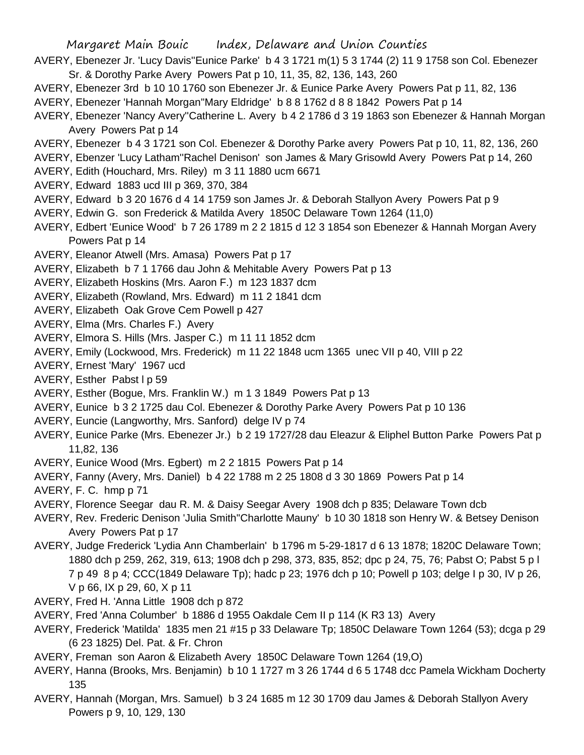- AVERY, Ebenezer Jr. 'Lucy Davis''Eunice Parke' b 4 3 1721 m(1) 5 3 1744 (2) 11 9 1758 son Col. Ebenezer Sr. & Dorothy Parke Avery Powers Pat p 10, 11, 35, 82, 136, 143, 260
- AVERY, Ebenezer 3rd b 10 10 1760 son Ebenezer Jr. & Eunice Parke Avery Powers Pat p 11, 82, 136 AVERY, Ebenezer 'Hannah Morgan''Mary Eldridge' b 8 8 1762 d 8 8 1842 Powers Pat p 14
- AVERY, Ebenezer 'Nancy Avery''Catherine L. Avery b 4 2 1786 d 3 19 1863 son Ebenezer & Hannah Morgan Avery Powers Pat p 14
- AVERY, Ebenezer b 4 3 1721 son Col. Ebenezer & Dorothy Parke avery Powers Pat p 10, 11, 82, 136, 260
- AVERY, Ebenzer 'Lucy Latham''Rachel Denison' son James & Mary Grisowld Avery Powers Pat p 14, 260
- AVERY, Edith (Houchard, Mrs. Riley) m 3 11 1880 ucm 6671
- AVERY, Edward 1883 ucd III p 369, 370, 384
- AVERY, Edward b 3 20 1676 d 4 14 1759 son James Jr. & Deborah Stallyon Avery Powers Pat p 9
- AVERY, Edwin G. son Frederick & Matilda Avery 1850C Delaware Town 1264 (11,0)
- AVERY, Edbert 'Eunice Wood' b 7 26 1789 m 2 2 1815 d 12 3 1854 son Ebenezer & Hannah Morgan Avery Powers Pat p 14
- AVERY, Eleanor Atwell (Mrs. Amasa) Powers Pat p 17
- AVERY, Elizabeth b 7 1 1766 dau John & Mehitable Avery Powers Pat p 13
- AVERY, Elizabeth Hoskins (Mrs. Aaron F.) m 123 1837 dcm
- AVERY, Elizabeth (Rowland, Mrs. Edward) m 11 2 1841 dcm
- AVERY, Elizabeth Oak Grove Cem Powell p 427
- AVERY, Elma (Mrs. Charles F.) Avery
- AVERY, Elmora S. Hills (Mrs. Jasper C.) m 11 11 1852 dcm
- AVERY, Emily (Lockwood, Mrs. Frederick) m 11 22 1848 ucm 1365 unec VII p 40, VIII p 22
- AVERY, Ernest 'Mary' 1967 ucd
- AVERY, Esther Pabst I p 59
- AVERY, Esther (Bogue, Mrs. Franklin W.) m 1 3 1849 Powers Pat p 13
- AVERY, Eunice b 3 2 1725 dau Col. Ebenezer & Dorothy Parke Avery Powers Pat p 10 136
- AVERY, Euncie (Langworthy, Mrs. Sanford) delge IV p 74
- AVERY, Eunice Parke (Mrs. Ebenezer Jr.) b 2 19 1727/28 dau Eleazur & Eliphel Button Parke Powers Pat p 11,82, 136
- AVERY, Eunice Wood (Mrs. Egbert) m 2 2 1815 Powers Pat p 14
- AVERY, Fanny (Avery, Mrs. Daniel) b 4 22 1788 m 2 25 1808 d 3 30 1869 Powers Pat p 14
- AVERY, F. C. hmp p 71
- AVERY, Florence Seegar dau R. M. & Daisy Seegar Avery 1908 dch p 835; Delaware Town dcb
- AVERY, Rev. Frederic Denison 'Julia Smith''Charlotte Mauny' b 10 30 1818 son Henry W. & Betsey Denison Avery Powers Pat p 17
- AVERY, Judge Frederick 'Lydia Ann Chamberlain' b 1796 m 5-29-1817 d 6 13 1878; 1820C Delaware Town; 1880 dch p 259, 262, 319, 613; 1908 dch p 298, 373, 835, 852; dpc p 24, 75, 76; Pabst O; Pabst 5 p l 7 p 49 8 p 4; CCC(1849 Delaware Tp); hadc p 23; 1976 dch p 10; Powell p 103; delge I p 30, IV p 26, V p 66, IX p 29, 60, X p 11
- AVERY, Fred H. 'Anna Little 1908 dch p 872
- AVERY, Fred 'Anna Columber' b 1886 d 1955 Oakdale Cem II p 114 (K R3 13) Avery
- AVERY, Frederick 'Matilda' 1835 men 21 #15 p 33 Delaware Tp; 1850C Delaware Town 1264 (53); dcga p 29 (6 23 1825) Del. Pat. & Fr. Chron
- AVERY, Freman son Aaron & Elizabeth Avery 1850C Delaware Town 1264 (19,O)
- AVERY, Hanna (Brooks, Mrs. Benjamin) b 10 1 1727 m 3 26 1744 d 6 5 1748 dcc Pamela Wickham Docherty 135
- AVERY, Hannah (Morgan, Mrs. Samuel) b 3 24 1685 m 12 30 1709 dau James & Deborah Stallyon Avery Powers p 9, 10, 129, 130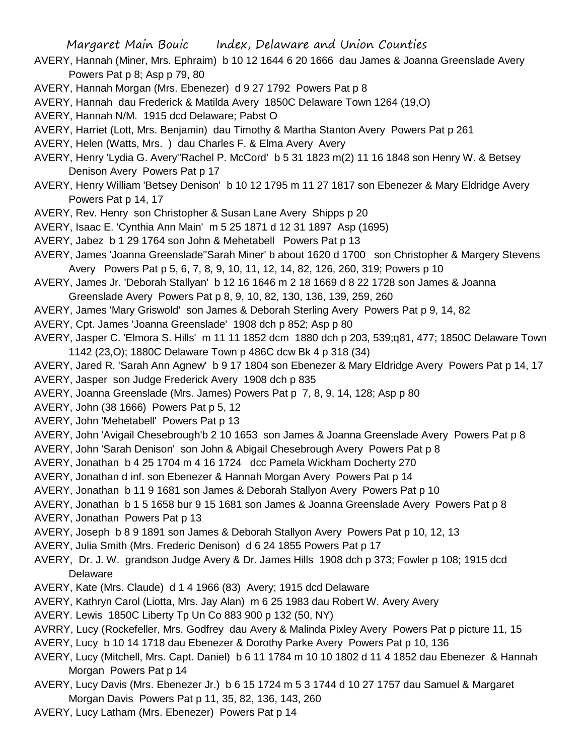- AVERY, Hannah (Miner, Mrs. Ephraim) b 10 12 1644 6 20 1666 dau James & Joanna Greenslade Avery Powers Pat p 8; Asp p 79, 80
- AVERY, Hannah Morgan (Mrs. Ebenezer) d 9 27 1792 Powers Pat p 8
- AVERY, Hannah dau Frederick & Matilda Avery 1850C Delaware Town 1264 (19,O)
- AVERY, Hannah N/M. 1915 dcd Delaware; Pabst O
- AVERY, Harriet (Lott, Mrs. Benjamin) dau Timothy & Martha Stanton Avery Powers Pat p 261
- AVERY, Helen (Watts, Mrs. ) dau Charles F. & Elma Avery Avery
- AVERY, Henry 'Lydia G. Avery''Rachel P. McCord' b 5 31 1823 m(2) 11 16 1848 son Henry W. & Betsey Denison Avery Powers Pat p 17
- AVERY, Henry William 'Betsey Denison' b 10 12 1795 m 11 27 1817 son Ebenezer & Mary Eldridge Avery Powers Pat p 14, 17
- AVERY, Rev. Henry son Christopher & Susan Lane Avery Shipps p 20
- AVERY, Isaac E. 'Cynthia Ann Main' m 5 25 1871 d 12 31 1897 Asp (1695)
- AVERY, Jabez b 1 29 1764 son John & Mehetabell Powers Pat p 13
- AVERY, James 'Joanna Greenslade''Sarah Miner' b about 1620 d 1700 son Christopher & Margery Stevens Avery Powers Pat p 5, 6, 7, 8, 9, 10, 11, 12, 14, 82, 126, 260, 319; Powers p 10
- AVERY, James Jr. 'Deborah Stallyan' b 12 16 1646 m 2 18 1669 d 8 22 1728 son James & Joanna
- Greenslade Avery Powers Pat p 8, 9, 10, 82, 130, 136, 139, 259, 260
- AVERY, James 'Mary Griswold' son James & Deborah Sterling Avery Powers Pat p 9, 14, 82
- AVERY, Cpt. James 'Joanna Greenslade' 1908 dch p 852; Asp p 80
- AVERY, Jasper C. 'Elmora S. Hills' m 11 11 1852 dcm 1880 dch p 203, 539;q81, 477; 1850C Delaware Town 1142 (23,O); 1880C Delaware Town p 486C dcw Bk 4 p 318 (34)
- AVERY, Jared R. 'Sarah Ann Agnew' b 9 17 1804 son Ebenezer & Mary Eldridge Avery Powers Pat p 14, 17
- AVERY, Jasper son Judge Frederick Avery 1908 dch p 835
- AVERY, Joanna Greenslade (Mrs. James) Powers Pat p 7, 8, 9, 14, 128; Asp p 80
- AVERY, John (38 1666) Powers Pat p 5, 12
- AVERY, John 'Mehetabell' Powers Pat p 13
- AVERY, John 'Avigail Chesebrough'b 2 10 1653 son James & Joanna Greenslade Avery Powers Pat p 8
- AVERY, John 'Sarah Denison' son John & Abigail Chesebrough Avery Powers Pat p 8
- AVERY, Jonathan b 4 25 1704 m 4 16 1724 dcc Pamela Wickham Docherty 270
- AVERY, Jonathan d inf. son Ebenezer & Hannah Morgan Avery Powers Pat p 14
- AVERY, Jonathan b 11 9 1681 son James & Deborah Stallyon Avery Powers Pat p 10
- AVERY, Jonathan b 1 5 1658 bur 9 15 1681 son James & Joanna Greenslade Avery Powers Pat p 8
- AVERY, Jonathan Powers Pat p 13
- AVERY, Joseph b 8 9 1891 son James & Deborah Stallyon Avery Powers Pat p 10, 12, 13
- AVERY, Julia Smith (Mrs. Frederic Denison) d 6 24 1855 Powers Pat p 17
- AVERY, Dr. J. W. grandson Judge Avery & Dr. James Hills 1908 dch p 373; Fowler p 108; 1915 dcd Delaware
- AVERY, Kate (Mrs. Claude) d 1 4 1966 (83) Avery; 1915 dcd Delaware
- AVERY, Kathryn Carol (Liotta, Mrs. Jay Alan) m 6 25 1983 dau Robert W. Avery Avery
- AVERY. Lewis 1850C Liberty Tp Un Co 883 900 p 132 (50, NY)
- AVRRY, Lucy (Rockefeller, Mrs. Godfrey dau Avery & Malinda Pixley Avery Powers Pat p picture 11, 15
- AVERY, Lucy b 10 14 1718 dau Ebenezer & Dorothy Parke Avery Powers Pat p 10, 136
- AVERY, Lucy (Mitchell, Mrs. Capt. Daniel) b 6 11 1784 m 10 10 1802 d 11 4 1852 dau Ebenezer & Hannah Morgan Powers Pat p 14
- AVERY, Lucy Davis (Mrs. Ebenezer Jr.) b 6 15 1724 m 5 3 1744 d 10 27 1757 dau Samuel & Margaret Morgan Davis Powers Pat p 11, 35, 82, 136, 143, 260
- AVERY, Lucy Latham (Mrs. Ebenezer) Powers Pat p 14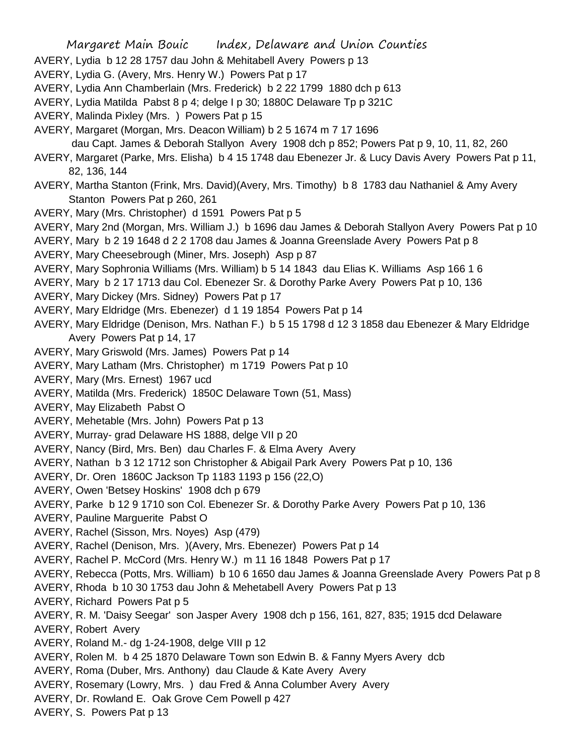- AVERY, Lydia b 12 28 1757 dau John & Mehitabell Avery Powers p 13
- AVERY, Lydia G. (Avery, Mrs. Henry W.) Powers Pat p 17
- AVERY, Lydia Ann Chamberlain (Mrs. Frederick) b 2 22 1799 1880 dch p 613
- AVERY, Lydia Matilda Pabst 8 p 4; delge I p 30; 1880C Delaware Tp p 321C
- AVERY, Malinda Pixley (Mrs. ) Powers Pat p 15
- AVERY, Margaret (Morgan, Mrs. Deacon William) b 2 5 1674 m 7 17 1696

dau Capt. James & Deborah Stallyon Avery 1908 dch p 852; Powers Pat p 9, 10, 11, 82, 260

- AVERY, Margaret (Parke, Mrs. Elisha) b 4 15 1748 dau Ebenezer Jr. & Lucy Davis Avery Powers Pat p 11, 82, 136, 144
- AVERY, Martha Stanton (Frink, Mrs. David)(Avery, Mrs. Timothy) b 8 1783 dau Nathaniel & Amy Avery Stanton Powers Pat p 260, 261
- AVERY, Mary (Mrs. Christopher) d 1591 Powers Pat p 5
- AVERY, Mary 2nd (Morgan, Mrs. William J.) b 1696 dau James & Deborah Stallyon Avery Powers Pat p 10
- AVERY, Mary b 2 19 1648 d 2 2 1708 dau James & Joanna Greenslade Avery Powers Pat p 8
- AVERY, Mary Cheesebrough (Miner, Mrs. Joseph) Asp p 87
- AVERY, Mary Sophronia Williams (Mrs. William) b 5 14 1843 dau Elias K. Williams Asp 166 1 6
- AVERY, Mary b 2 17 1713 dau Col. Ebenezer Sr. & Dorothy Parke Avery Powers Pat p 10, 136
- AVERY, Mary Dickey (Mrs. Sidney) Powers Pat p 17
- AVERY, Mary Eldridge (Mrs. Ebenezer) d 1 19 1854 Powers Pat p 14
- AVERY, Mary Eldridge (Denison, Mrs. Nathan F.) b 5 15 1798 d 12 3 1858 dau Ebenezer & Mary Eldridge Avery Powers Pat p 14, 17
- AVERY, Mary Griswold (Mrs. James) Powers Pat p 14
- AVERY, Mary Latham (Mrs. Christopher) m 1719 Powers Pat p 10
- AVERY, Mary (Mrs. Ernest) 1967 ucd
- AVERY, Matilda (Mrs. Frederick) 1850C Delaware Town (51, Mass)
- AVERY, May Elizabeth Pabst O
- AVERY, Mehetable (Mrs. John) Powers Pat p 13
- AVERY, Murray- grad Delaware HS 1888, delge VII p 20
- AVERY, Nancy (Bird, Mrs. Ben) dau Charles F. & Elma Avery Avery
- AVERY, Nathan b 3 12 1712 son Christopher & Abigail Park Avery Powers Pat p 10, 136
- AVERY, Dr. Oren 1860C Jackson Tp 1183 1193 p 156 (22,O)
- AVERY, Owen 'Betsey Hoskins' 1908 dch p 679
- AVERY, Parke b 12 9 1710 son Col. Ebenezer Sr. & Dorothy Parke Avery Powers Pat p 10, 136
- AVERY, Pauline Marguerite Pabst O
- AVERY, Rachel (Sisson, Mrs. Noyes) Asp (479)
- AVERY, Rachel (Denison, Mrs. )(Avery, Mrs. Ebenezer) Powers Pat p 14
- AVERY, Rachel P. McCord (Mrs. Henry W.) m 11 16 1848 Powers Pat p 17
- AVERY, Rebecca (Potts, Mrs. William) b 10 6 1650 dau James & Joanna Greenslade Avery Powers Pat p 8
- AVERY, Rhoda b 10 30 1753 dau John & Mehetabell Avery Powers Pat p 13
- AVERY, Richard Powers Pat p 5
- AVERY, R. M. 'Daisy Seegar' son Jasper Avery 1908 dch p 156, 161, 827, 835; 1915 dcd Delaware
- AVERY, Robert Avery
- AVERY, Roland M.- dg 1-24-1908, delge VIII p 12
- AVERY, Rolen M. b 4 25 1870 Delaware Town son Edwin B. & Fanny Myers Avery dcb
- AVERY, Roma (Duber, Mrs. Anthony) dau Claude & Kate Avery Avery
- AVERY, Rosemary (Lowry, Mrs. ) dau Fred & Anna Columber Avery Avery
- AVERY, Dr. Rowland E. Oak Grove Cem Powell p 427
- AVERY, S. Powers Pat p 13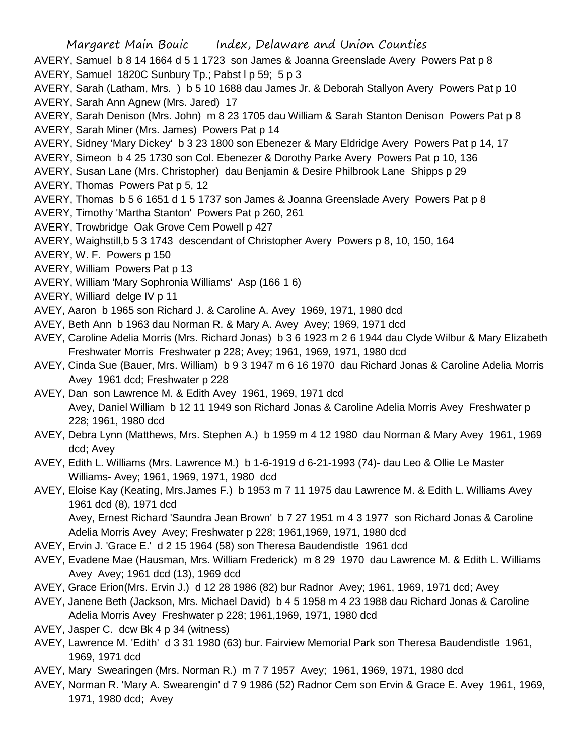- Margaret Main Bouic Index, Delaware and Union Counties AVERY, Samuel b 8 14 1664 d 5 1 1723 son James & Joanna Greenslade Avery Powers Pat p 8 AVERY, Samuel 1820C Sunbury Tp.; Pabst I p 59; 5 p 3 AVERY, Sarah (Latham, Mrs. ) b 5 10 1688 dau James Jr. & Deborah Stallyon Avery Powers Pat p 10 AVERY, Sarah Ann Agnew (Mrs. Jared) 17 AVERY, Sarah Denison (Mrs. John) m 8 23 1705 dau William & Sarah Stanton Denison Powers Pat p 8 AVERY, Sarah Miner (Mrs. James) Powers Pat p 14 AVERY, Sidney 'Mary Dickey' b 3 23 1800 son Ebenezer & Mary Eldridge Avery Powers Pat p 14, 17 AVERY, Simeon b 4 25 1730 son Col. Ebenezer & Dorothy Parke Avery Powers Pat p 10, 136 AVERY, Susan Lane (Mrs. Christopher) dau Benjamin & Desire Philbrook Lane Shipps p 29 AVERY, Thomas Powers Pat p 5, 12 AVERY, Thomas b 5 6 1651 d 1 5 1737 son James & Joanna Greenslade Avery Powers Pat p 8 AVERY, Timothy 'Martha Stanton' Powers Pat p 260, 261 AVERY, Trowbridge Oak Grove Cem Powell p 427 AVERY, Waighstill,b 5 3 1743 descendant of Christopher Avery Powers p 8, 10, 150, 164 AVERY, W. F. Powers p 150 AVERY, William Powers Pat p 13 AVERY, William 'Mary Sophronia Williams' Asp (166 1 6) AVERY, Williard delge IV p 11 AVEY, Aaron b 1965 son Richard J. & Caroline A. Avey 1969, 1971, 1980 dcd AVEY, Beth Ann b 1963 dau Norman R. & Mary A. Avey Avey; 1969, 1971 dcd AVEY, Caroline Adelia Morris (Mrs. Richard Jonas) b 3 6 1923 m 2 6 1944 dau Clyde Wilbur & Mary Elizabeth Freshwater Morris Freshwater p 228; Avey; 1961, 1969, 1971, 1980 dcd AVEY, Cinda Sue (Bauer, Mrs. William) b 9 3 1947 m 6 16 1970 dau Richard Jonas & Caroline Adelia Morris Avey 1961 dcd; Freshwater p 228 AVEY, Dan son Lawrence M. & Edith Avey 1961, 1969, 1971 dcd
	- Avey, Daniel William b 12 11 1949 son Richard Jonas & Caroline Adelia Morris Avey Freshwater p 228; 1961, 1980 dcd
- AVEY, Debra Lynn (Matthews, Mrs. Stephen A.) b 1959 m 4 12 1980 dau Norman & Mary Avey 1961, 1969 dcd; Avey
- AVEY, Edith L. Williams (Mrs. Lawrence M.) b 1-6-1919 d 6-21-1993 (74)- dau Leo & Ollie Le Master Williams- Avey; 1961, 1969, 1971, 1980 dcd
- AVEY, Eloise Kay (Keating, Mrs.James F.) b 1953 m 7 11 1975 dau Lawrence M. & Edith L. Williams Avey 1961 dcd (8), 1971 dcd Avey, Ernest Richard 'Saundra Jean Brown' b 7 27 1951 m 4 3 1977 son Richard Jonas & Caroline Adelia Morris Avey Avey; Freshwater p 228; 1961,1969, 1971, 1980 dcd
- AVEY, Ervin J. 'Grace E.' d 2 15 1964 (58) son Theresa Baudendistle 1961 dcd
- AVEY, Evadene Mae (Hausman, Mrs. William Frederick) m 8 29 1970 dau Lawrence M. & Edith L. Williams Avey Avey; 1961 dcd (13), 1969 dcd
- AVEY, Grace Erion(Mrs. Ervin J.) d 12 28 1986 (82) bur Radnor Avey; 1961, 1969, 1971 dcd; Avey
- AVEY, Janene Beth (Jackson, Mrs. Michael David) b 4 5 1958 m 4 23 1988 dau Richard Jonas & Caroline Adelia Morris Avey Freshwater p 228; 1961,1969, 1971, 1980 dcd
- AVEY, Jasper C. dcw Bk 4 p 34 (witness)
- AVEY, Lawrence M. 'Edith' d 3 31 1980 (63) bur. Fairview Memorial Park son Theresa Baudendistle 1961, 1969, 1971 dcd
- AVEY, Mary Swearingen (Mrs. Norman R.) m 7 7 1957 Avey; 1961, 1969, 1971, 1980 dcd
- AVEY, Norman R. 'Mary A. Swearengin' d 7 9 1986 (52) Radnor Cem son Ervin & Grace E. Avey 1961, 1969, 1971, 1980 dcd; Avey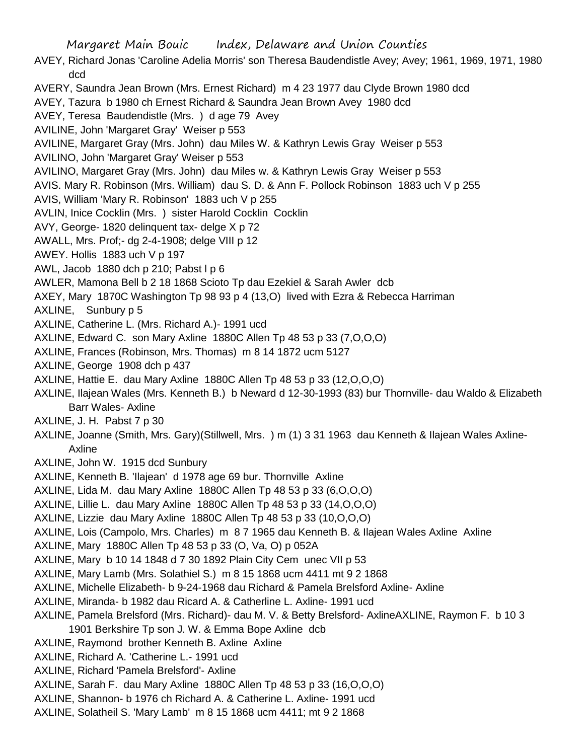Margaret Main Bouic Index, Delaware and Union Counties AVEY, Richard Jonas 'Caroline Adelia Morris' son Theresa Baudendistle Avey; Avey; 1961, 1969, 1971, 1980 dcd AVERY, Saundra Jean Brown (Mrs. Ernest Richard) m 4 23 1977 dau Clyde Brown 1980 dcd AVEY, Tazura b 1980 ch Ernest Richard & Saundra Jean Brown Avey 1980 dcd AVEY, Teresa Baudendistle (Mrs. ) d age 79 Avey AVILINE, John 'Margaret Gray' Weiser p 553 AVILINE, Margaret Gray (Mrs. John) dau Miles W. & Kathryn Lewis Gray Weiser p 553 AVILINO, John 'Margaret Gray' Weiser p 553 AVILINO, Margaret Gray (Mrs. John) dau Miles w. & Kathryn Lewis Gray Weiser p 553 AVIS. Mary R. Robinson (Mrs. William) dau S. D. & Ann F. Pollock Robinson 1883 uch V p 255 AVIS, William 'Mary R. Robinson' 1883 uch V p 255 AVLIN, Inice Cocklin (Mrs. ) sister Harold Cocklin Cocklin AVY, George- 1820 delinquent tax- delge X p 72 AWALL, Mrs. Prof;- dg 2-4-1908; delge VIII p 12 AWEY. Hollis 1883 uch V p 197 AWL, Jacob 1880 dch p 210; Pabst l p 6 AWLER, Mamona Bell b 2 18 1868 Scioto Tp dau Ezekiel & Sarah Awler dcb AXEY, Mary 1870C Washington Tp 98 93 p 4 (13,O) lived with Ezra & Rebecca Harriman AXLINE, Sunbury p 5 AXLINE, Catherine L. (Mrs. Richard A.)- 1991 ucd AXLINE, Edward C. son Mary Axline 1880C Allen Tp 48 53 p 33 (7,O,O,O) AXLINE, Frances (Robinson, Mrs. Thomas) m 8 14 1872 ucm 5127 AXLINE, George 1908 dch p 437 AXLINE, Hattie E. dau Mary Axline 1880C Allen Tp 48 53 p 33 (12,O,O,O) AXLINE, Ilajean Wales (Mrs. Kenneth B.) b Neward d 12-30-1993 (83) bur Thornville- dau Waldo & Elizabeth Barr Wales- Axline AXLINE, J. H. Pabst 7 p 30 AXLINE, Joanne (Smith, Mrs. Gary)(Stillwell, Mrs. ) m (1) 3 31 1963 dau Kenneth & Ilajean Wales Axline-Axline AXLINE, John W. 1915 dcd Sunbury AXLINE, Kenneth B. 'Ilajean' d 1978 age 69 bur. Thornville Axline AXLINE, Lida M. dau Mary Axline 1880C Allen Tp 48 53 p 33 (6,O,O,O) AXLINE, Lillie L. dau Mary Axline 1880C Allen Tp 48 53 p 33 (14,O,O,O) AXLINE, Lizzie dau Mary Axline 1880C Allen Tp 48 53 p 33 (10,O,O,O) AXLINE, Lois (Campolo, Mrs. Charles) m 8 7 1965 dau Kenneth B. & Ilajean Wales Axline Axline AXLINE, Mary 1880C Allen Tp 48 53 p 33 (O, Va, O) p 052A AXLINE, Mary b 10 14 1848 d 7 30 1892 Plain City Cem unec VII p 53 AXLINE, Mary Lamb (Mrs. Solathiel S.) m 8 15 1868 ucm 4411 mt 9 2 1868 AXLINE, Michelle Elizabeth- b 9-24-1968 dau Richard & Pamela Brelsford Axline- Axline AXLINE, Miranda- b 1982 dau Ricard A. & Catherline L. Axline- 1991 ucd AXLINE, Pamela Brelsford (Mrs. Richard)- dau M. V. & Betty Brelsford- AxlineAXLINE, Raymon F. b 10 3 1901 Berkshire Tp son J. W. & Emma Bope Axline dcb AXLINE, Raymond brother Kenneth B. Axline Axline AXLINE, Richard A. 'Catherine L.- 1991 ucd AXLINE, Richard 'Pamela Brelsford'- Axline AXLINE, Sarah F. dau Mary Axline 1880C Allen Tp 48 53 p 33 (16,O,O,O)

AXLINE, Shannon- b 1976 ch Richard A. & Catherine L. Axline- 1991 ucd AXLINE, Solatheil S. 'Mary Lamb' m 8 15 1868 ucm 4411; mt 9 2 1868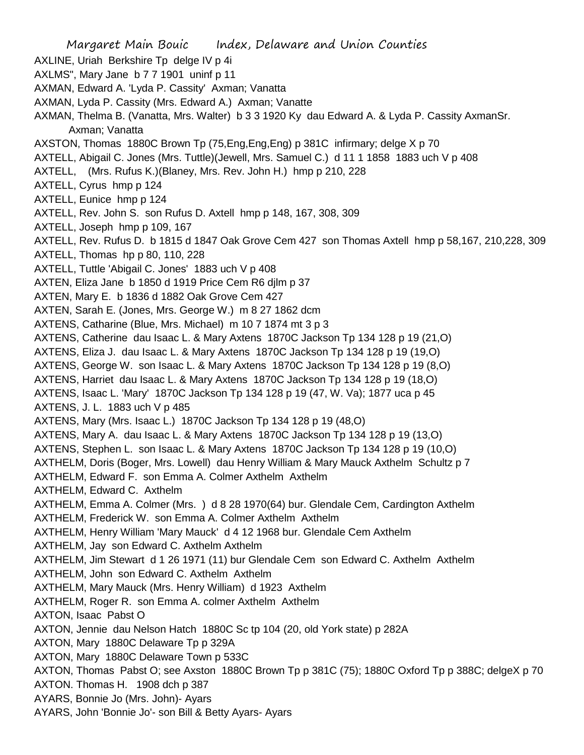Margaret Main Bouic Index, Delaware and Union Counties AXLINE, Uriah Berkshire Tp delge IV p 4i AXLMS", Mary Jane b 7 7 1901 uninf p 11 AXMAN, Edward A. 'Lyda P. Cassity' Axman; Vanatta AXMAN, Lyda P. Cassity (Mrs. Edward A.) Axman; Vanatte AXMAN, Thelma B. (Vanatta, Mrs. Walter) b 3 3 1920 Ky dau Edward A. & Lyda P. Cassity AxmanSr. Axman; Vanatta AXSTON, Thomas 1880C Brown Tp (75,Eng,Eng,Eng) p 381C infirmary; delge X p 70 AXTELL, Abigail C. Jones (Mrs. Tuttle)(Jewell, Mrs. Samuel C.) d 11 1 1858 1883 uch V p 408 AXTELL, (Mrs. Rufus K.)(Blaney, Mrs. Rev. John H.) hmp p 210, 228 AXTELL, Cyrus hmp p 124 AXTELL, Eunice hmp p 124 AXTELL, Rev. John S. son Rufus D. Axtell hmp p 148, 167, 308, 309 AXTELL, Joseph hmp p 109, 167 AXTELL, Rev. Rufus D. b 1815 d 1847 Oak Grove Cem 427 son Thomas Axtell hmp p 58,167, 210,228, 309 AXTELL, Thomas hp p 80, 110, 228 AXTELL, Tuttle 'Abigail C. Jones' 1883 uch V p 408 AXTEN, Eliza Jane b 1850 d 1919 Price Cem R6 djlm p 37 AXTEN, Mary E. b 1836 d 1882 Oak Grove Cem 427 AXTEN, Sarah E. (Jones, Mrs. George W.) m 8 27 1862 dcm AXTENS, Catharine (Blue, Mrs. Michael) m 10 7 1874 mt 3 p 3 AXTENS, Catherine dau Isaac L. & Mary Axtens 1870C Jackson Tp 134 128 p 19 (21,O) AXTENS, Eliza J. dau Isaac L. & Mary Axtens 1870C Jackson Tp 134 128 p 19 (19,O) AXTENS, George W. son Isaac L. & Mary Axtens 1870C Jackson Tp 134 128 p 19 (8,O) AXTENS, Harriet dau Isaac L. & Mary Axtens 1870C Jackson Tp 134 128 p 19 (18,O) AXTENS, Isaac L. 'Mary' 1870C Jackson Tp 134 128 p 19 (47, W. Va); 1877 uca p 45 AXTENS, J. L. 1883 uch V p 485 AXTENS, Mary (Mrs. Isaac L.) 1870C Jackson Tp 134 128 p 19 (48,O) AXTENS, Mary A. dau Isaac L. & Mary Axtens 1870C Jackson Tp 134 128 p 19 (13,O) AXTENS, Stephen L. son Isaac L. & Mary Axtens 1870C Jackson Tp 134 128 p 19 (10,O) AXTHELM, Doris (Boger, Mrs. Lowell) dau Henry William & Mary Mauck Axthelm Schultz p 7 AXTHELM, Edward F. son Emma A. Colmer Axthelm Axthelm AXTHELM, Edward C. Axthelm AXTHELM, Emma A. Colmer (Mrs. ) d 8 28 1970(64) bur. Glendale Cem, Cardington Axthelm AXTHELM, Frederick W. son Emma A. Colmer Axthelm Axthelm AXTHELM, Henry William 'Mary Mauck' d 4 12 1968 bur. Glendale Cem Axthelm AXTHELM, Jay son Edward C. Axthelm Axthelm AXTHELM, Jim Stewart d 1 26 1971 (11) bur Glendale Cem son Edward C. Axthelm Axthelm AXTHELM, John son Edward C. Axthelm Axthelm AXTHELM, Mary Mauck (Mrs. Henry William) d 1923 Axthelm AXTHELM, Roger R. son Emma A. colmer Axthelm Axthelm AXTON, Isaac Pabst O AXTON, Jennie dau Nelson Hatch 1880C Sc tp 104 (20, old York state) p 282A AXTON, Mary 1880C Delaware Tp p 329A AXTON, Mary 1880C Delaware Town p 533C AXTON, Thomas Pabst O; see Axston 1880C Brown Tp p 381C (75); 1880C Oxford Tp p 388C; delgeX p 70 AXTON. Thomas H. 1908 dch p 387 AYARS, Bonnie Jo (Mrs. John)- Ayars AYARS, John 'Bonnie Jo'- son Bill & Betty Ayars- Ayars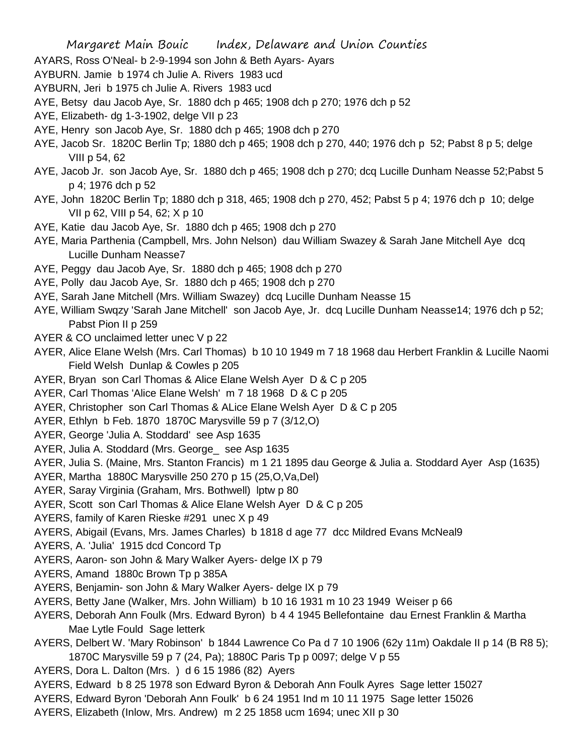- AYARS, Ross O'Neal- b 2-9-1994 son John & Beth Ayars- Ayars
- AYBURN. Jamie b 1974 ch Julie A. Rivers 1983 ucd
- AYBURN, Jeri b 1975 ch Julie A. Rivers 1983 ucd
- AYE, Betsy dau Jacob Aye, Sr. 1880 dch p 465; 1908 dch p 270; 1976 dch p 52
- AYE, Elizabeth- dg 1-3-1902, delge VII p 23
- AYE, Henry son Jacob Aye, Sr. 1880 dch p 465; 1908 dch p 270
- AYE, Jacob Sr. 1820C Berlin Tp; 1880 dch p 465; 1908 dch p 270, 440; 1976 dch p 52; Pabst 8 p 5; delge VIII p 54, 62
- AYE, Jacob Jr. son Jacob Aye, Sr. 1880 dch p 465; 1908 dch p 270; dcq Lucille Dunham Neasse 52;Pabst 5 p 4; 1976 dch p 52
- AYE, John 1820C Berlin Tp; 1880 dch p 318, 465; 1908 dch p 270, 452; Pabst 5 p 4; 1976 dch p 10; delge VII p 62, VIII p 54, 62; X p 10
- AYE, Katie dau Jacob Aye, Sr. 1880 dch p 465; 1908 dch p 270
- AYE, Maria Parthenia (Campbell, Mrs. John Nelson) dau William Swazey & Sarah Jane Mitchell Aye dcq Lucille Dunham Neasse7
- AYE, Peggy dau Jacob Aye, Sr. 1880 dch p 465; 1908 dch p 270
- AYE, Polly dau Jacob Aye, Sr. 1880 dch p 465; 1908 dch p 270
- AYE, Sarah Jane Mitchell (Mrs. William Swazey) dcq Lucille Dunham Neasse 15
- AYE, William Swqzy 'Sarah Jane Mitchell' son Jacob Aye, Jr. dcq Lucille Dunham Neasse14; 1976 dch p 52; Pabst Pion II p 259
- AYER & CO unclaimed letter unec V p 22
- AYER, Alice Elane Welsh (Mrs. Carl Thomas) b 10 10 1949 m 7 18 1968 dau Herbert Franklin & Lucille Naomi Field Welsh Dunlap & Cowles p 205
- AYER, Bryan son Carl Thomas & Alice Elane Welsh Ayer D & C p 205
- AYER, Carl Thomas 'Alice Elane Welsh' m 7 18 1968 D & C p 205
- AYER, Christopher son Carl Thomas & ALice Elane Welsh Ayer D & C p 205
- AYER, Ethlyn b Feb. 1870 1870C Marysville 59 p 7 (3/12,O)
- AYER, George 'Julia A. Stoddard' see Asp 1635
- AYER, Julia A. Stoddard (Mrs. George\_ see Asp 1635
- AYER, Julia S. (Maine, Mrs. Stanton Francis) m 1 21 1895 dau George & Julia a. Stoddard Ayer Asp (1635)
- AYER, Martha 1880C Marysville 250 270 p 15 (25,O,Va,Del)
- AYER, Saray Virginia (Graham, Mrs. Bothwell) lptw p 80
- AYER, Scott son Carl Thomas & Alice Elane Welsh Ayer D & C p 205
- AYERS, family of Karen Rieske #291 unec X p 49
- AYERS, Abigail (Evans, Mrs. James Charles) b 1818 d age 77 dcc Mildred Evans McNeal9
- AYERS, A. 'Julia' 1915 dcd Concord Tp
- AYERS, Aaron- son John & Mary Walker Ayers- delge IX p 79
- AYERS, Amand 1880c Brown Tp p 385A
- AYERS, Benjamin- son John & Mary Walker Ayers- delge IX p 79
- AYERS, Betty Jane (Walker, Mrs. John William) b 10 16 1931 m 10 23 1949 Weiser p 66
- AYERS, Deborah Ann Foulk (Mrs. Edward Byron) b 4 4 1945 Bellefontaine dau Ernest Franklin & Martha Mae Lytle Fould Sage letterk
- AYERS, Delbert W. 'Mary Robinson' b 1844 Lawrence Co Pa d 7 10 1906 (62y 11m) Oakdale II p 14 (B R8 5); 1870C Marysville 59 p 7 (24, Pa); 1880C Paris Tp p 0097; delge V p 55
- AYERS, Dora L. Dalton (Mrs. ) d 6 15 1986 (82) Ayers
- AYERS, Edward b 8 25 1978 son Edward Byron & Deborah Ann Foulk Ayres Sage letter 15027
- AYERS, Edward Byron 'Deborah Ann Foulk' b 6 24 1951 Ind m 10 11 1975 Sage letter 15026
- AYERS, Elizabeth (Inlow, Mrs. Andrew) m 2 25 1858 ucm 1694; unec XII p 30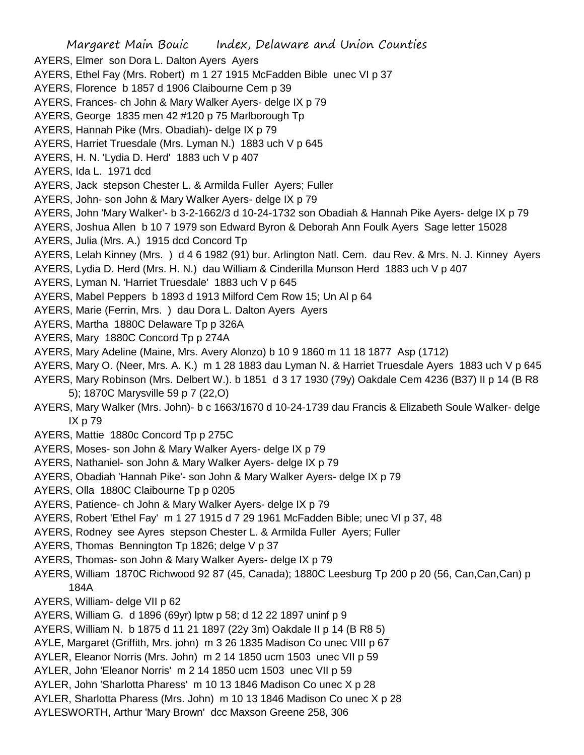Margaret Main Bouic Index, Delaware and Union Counties AYERS, Elmer son Dora L. Dalton Ayers Ayers AYERS, Ethel Fay (Mrs. Robert) m 1 27 1915 McFadden Bible unec VI p 37 AYERS, Florence b 1857 d 1906 Claibourne Cem p 39 AYERS, Frances- ch John & Mary Walker Ayers- delge IX p 79 AYERS, George 1835 men 42 #120 p 75 Marlborough Tp AYERS, Hannah Pike (Mrs. Obadiah)- delge IX p 79 AYERS, Harriet Truesdale (Mrs. Lyman N.) 1883 uch V p 645 AYERS, H. N. 'Lydia D. Herd' 1883 uch V p 407 AYERS, Ida L. 1971 dcd AYERS, Jack stepson Chester L. & Armilda Fuller Ayers; Fuller AYERS, John- son John & Mary Walker Ayers- delge IX p 79 AYERS, John 'Mary Walker'- b 3-2-1662/3 d 10-24-1732 son Obadiah & Hannah Pike Ayers- delge IX p 79 AYERS, Joshua Allen b 10 7 1979 son Edward Byron & Deborah Ann Foulk Ayers Sage letter 15028 AYERS, Julia (Mrs. A.) 1915 dcd Concord Tp AYERS, Lelah Kinney (Mrs. ) d 4 6 1982 (91) bur. Arlington Natl. Cem. dau Rev. & Mrs. N. J. Kinney Ayers AYERS, Lydia D. Herd (Mrs. H. N.) dau William & Cinderilla Munson Herd 1883 uch V p 407 AYERS, Lyman N. 'Harriet Truesdale' 1883 uch V p 645 AYERS, Mabel Peppers b 1893 d 1913 Milford Cem Row 15; Un Al p 64 AYERS, Marie (Ferrin, Mrs. ) dau Dora L. Dalton Ayers Ayers AYERS, Martha 1880C Delaware Tp p 326A AYERS, Mary 1880C Concord Tp p 274A AYERS, Mary Adeline (Maine, Mrs. Avery Alonzo) b 10 9 1860 m 11 18 1877 Asp (1712) AYERS, Mary O. (Neer, Mrs. A. K.) m 1 28 1883 dau Lyman N. & Harriet Truesdale Ayers 1883 uch V p 645 AYERS, Mary Robinson (Mrs. Delbert W.). b 1851 d 3 17 1930 (79y) Oakdale Cem 4236 (B37) II p 14 (B R8 5); 1870C Marysville 59 p 7 (22,O) AYERS, Mary Walker (Mrs. John)- b c 1663/1670 d 10-24-1739 dau Francis & Elizabeth Soule Walker- delge IX p 79 AYERS, Mattie 1880c Concord Tp p 275C AYERS, Moses- son John & Mary Walker Ayers- delge IX p 79 AYERS, Nathaniel- son John & Mary Walker Ayers- delge IX p 79 AYERS, Obadiah 'Hannah Pike'- son John & Mary Walker Ayers- delge IX p 79 AYERS, Olla 1880C Claibourne Tp p 0205 AYERS, Patience- ch John & Mary Walker Ayers- delge IX p 79 AYERS, Robert 'Ethel Fay' m 1 27 1915 d 7 29 1961 McFadden Bible; unec VI p 37, 48 AYERS, Rodney see Ayres stepson Chester L. & Armilda Fuller Ayers; Fuller AYERS, Thomas Bennington Tp 1826; delge V p 37 AYERS, Thomas- son John & Mary Walker Ayers- delge IX p 79 AYERS, William 1870C Richwood 92 87 (45, Canada); 1880C Leesburg Tp 200 p 20 (56, Can,Can,Can) p 184A AYERS, William- delge VII p 62 AYERS, William G. d 1896 (69yr) lptw p 58; d 12 22 1897 uninf p 9 AYERS, William N. b 1875 d 11 21 1897 (22y 3m) Oakdale II p 14 (B R8 5) AYLE, Margaret (Griffith, Mrs. john) m 3 26 1835 Madison Co unec VIII p 67 AYLER, Eleanor Norris (Mrs. John) m 2 14 1850 ucm 1503 unec VII p 59 AYLER, John 'Eleanor Norris' m 2 14 1850 ucm 1503 unec VII p 59 AYLER, John 'Sharlotta Pharess' m 10 13 1846 Madison Co unec X p 28 AYLER, Sharlotta Pharess (Mrs. John) m 10 13 1846 Madison Co unec X p 28 AYLESWORTH, Arthur 'Mary Brown' dcc Maxson Greene 258, 306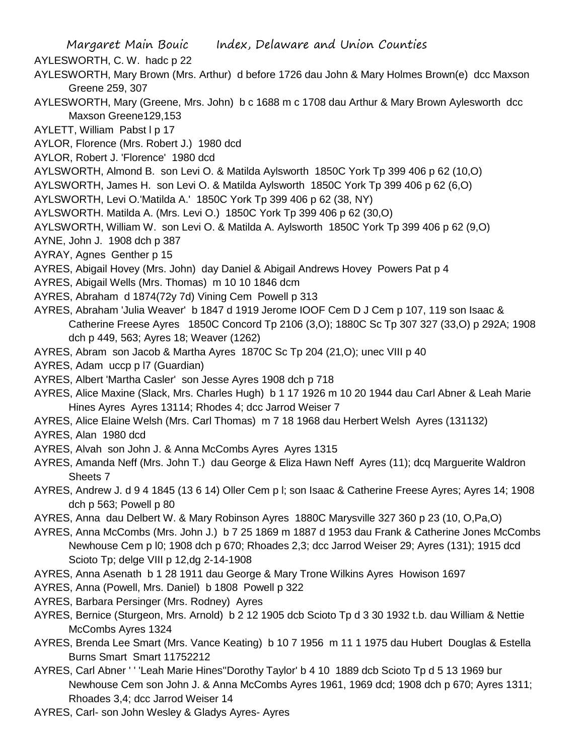Margaret Main Bouic Index, Delaware and Union Counties AYLESWORTH, C. W. hadc p 22 AYLESWORTH, Mary Brown (Mrs. Arthur) d before 1726 dau John & Mary Holmes Brown(e) dcc Maxson Greene 259, 307 AYLESWORTH, Mary (Greene, Mrs. John) b c 1688 m c 1708 dau Arthur & Mary Brown Aylesworth dcc Maxson Greene129,153 AYLETT, William Pabst I p 17 AYLOR, Florence (Mrs. Robert J.) 1980 dcd AYLOR, Robert J. 'Florence' 1980 dcd AYLSWORTH, Almond B. son Levi O. & Matilda Aylsworth 1850C York Tp 399 406 p 62 (10,O) AYLSWORTH, James H. son Levi O. & Matilda Aylsworth 1850C York Tp 399 406 p 62 (6,O) AYLSWORTH, Levi O.'Matilda A.' 1850C York Tp 399 406 p 62 (38, NY) AYLSWORTH. Matilda A. (Mrs. Levi O.) 1850C York Tp 399 406 p 62 (30,O) AYLSWORTH, William W. son Levi O. & Matilda A. Aylsworth 1850C York Tp 399 406 p 62 (9,O) AYNE, John J. 1908 dch p 387 AYRAY, Agnes Genther p 15 AYRES, Abigail Hovey (Mrs. John) day Daniel & Abigail Andrews Hovey Powers Pat p 4 AYRES, Abigail Wells (Mrs. Thomas) m 10 10 1846 dcm AYRES, Abraham d 1874(72y 7d) Vining Cem Powell p 313 AYRES, Abraham 'Julia Weaver' b 1847 d 1919 Jerome IOOF Cem D J Cem p 107, 119 son Isaac & Catherine Freese Ayres 1850C Concord Tp 2106 (3,O); 1880C Sc Tp 307 327 (33,O) p 292A; 1908 dch p 449, 563; Ayres 18; Weaver (1262) AYRES, Abram son Jacob & Martha Ayres 1870C Sc Tp 204 (21,O); unec VIII p 40 AYRES, Adam uccp p l7 (Guardian) AYRES, Albert 'Martha Casler' son Jesse Ayres 1908 dch p 718 AYRES, Alice Maxine (Slack, Mrs. Charles Hugh) b 1 17 1926 m 10 20 1944 dau Carl Abner & Leah Marie Hines Ayres Ayres 13114; Rhodes 4; dcc Jarrod Weiser 7 AYRES, Alice Elaine Welsh (Mrs. Carl Thomas) m 7 18 1968 dau Herbert Welsh Ayres (131132) AYRES, Alan 1980 dcd AYRES, Alvah son John J. & Anna McCombs Ayres Ayres 1315 AYRES, Amanda Neff (Mrs. John T.) dau George & Eliza Hawn Neff Ayres (11); dcq Marguerite Waldron Sheets 7 AYRES, Andrew J. d 9 4 1845 (13 6 14) Oller Cem p l; son Isaac & Catherine Freese Ayres; Ayres 14; 1908 dch p 563; Powell p 80 AYRES, Anna dau Delbert W. & Mary Robinson Ayres 1880C Marysville 327 360 p 23 (10, O,Pa,O) AYRES, Anna McCombs (Mrs. John J.) b 7 25 1869 m 1887 d 1953 dau Frank & Catherine Jones McCombs Newhouse Cem p l0; 1908 dch p 670; Rhoades 2,3; dcc Jarrod Weiser 29; Ayres (131); 1915 dcd Scioto Tp; delge VIII p 12,dg 2-14-1908 AYRES, Anna Asenath b 1 28 1911 dau George & Mary Trone Wilkins Ayres Howison 1697 AYRES, Anna (Powell, Mrs. Daniel) b 1808 Powell p 322 AYRES, Barbara Persinger (Mrs. Rodney) Ayres

- AYRES, Bernice (Sturgeon, Mrs. Arnold) b 2 12 1905 dcb Scioto Tp d 3 30 1932 t.b. dau William & Nettie McCombs Ayres 1324
- AYRES, Brenda Lee Smart (Mrs. Vance Keating) b 10 7 1956 m 11 1 1975 dau Hubert Douglas & Estella Burns Smart Smart 11752212
- AYRES, Carl Abner ' ' 'Leah Marie Hines''Dorothy Taylor' b 4 10 1889 dcb Scioto Tp d 5 13 1969 bur Newhouse Cem son John J. & Anna McCombs Ayres 1961, 1969 dcd; 1908 dch p 670; Ayres 1311; Rhoades 3,4; dcc Jarrod Weiser 14
- AYRES, Carl- son John Wesley & Gladys Ayres- Ayres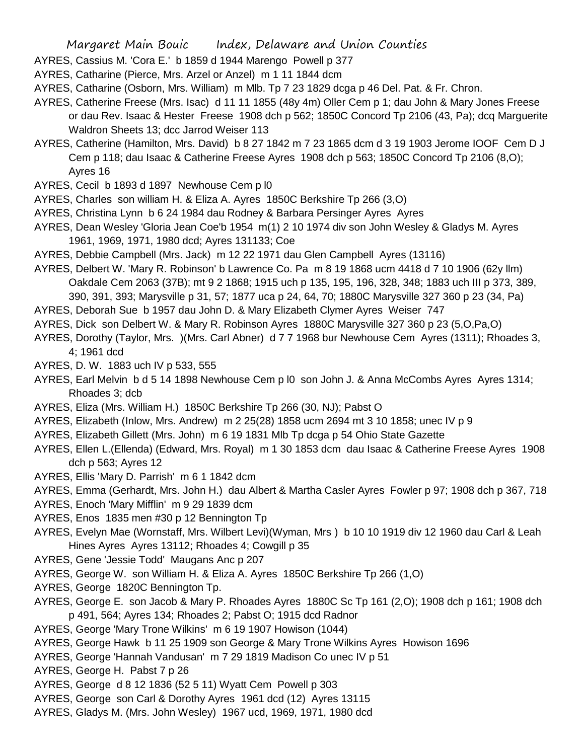- AYRES, Cassius M. 'Cora E.' b 1859 d 1944 Marengo Powell p 377
- AYRES, Catharine (Pierce, Mrs. Arzel or Anzel) m 1 11 1844 dcm
- AYRES, Catharine (Osborn, Mrs. William) m Mlb. Tp 7 23 1829 dcga p 46 Del. Pat. & Fr. Chron.
- AYRES, Catherine Freese (Mrs. Isac) d 11 11 1855 (48y 4m) Oller Cem p 1; dau John & Mary Jones Freese or dau Rev. Isaac & Hester Freese 1908 dch p 562; 1850C Concord Tp 2106 (43, Pa); dcq Marguerite Waldron Sheets 13; dcc Jarrod Weiser 113
- AYRES, Catherine (Hamilton, Mrs. David) b 8 27 1842 m 7 23 1865 dcm d 3 19 1903 Jerome IOOF Cem D J Cem p 118; dau Isaac & Catherine Freese Ayres 1908 dch p 563; 1850C Concord Tp 2106 (8,O); Ayres 16
- AYRES, Cecil b 1893 d 1897 Newhouse Cem p l0
- AYRES, Charles son william H. & Eliza A. Ayres 1850C Berkshire Tp 266 (3,O)
- AYRES, Christina Lynn b 6 24 1984 dau Rodney & Barbara Persinger Ayres Ayres
- AYRES, Dean Wesley 'Gloria Jean Coe'b 1954 m(1) 2 10 1974 div son John Wesley & Gladys M. Ayres 1961, 1969, 1971, 1980 dcd; Ayres 131133; Coe
- AYRES, Debbie Campbell (Mrs. Jack) m 12 22 1971 dau Glen Campbell Ayres (13116)

AYRES, Delbert W. 'Mary R. Robinson' b Lawrence Co. Pa m 8 19 1868 ucm 4418 d 7 10 1906 (62y llm) Oakdale Cem 2063 (37B); mt 9 2 1868; 1915 uch p 135, 195, 196, 328, 348; 1883 uch III p 373, 389, 390, 391, 393; Marysville p 31, 57; 1877 uca p 24, 64, 70; 1880C Marysville 327 360 p 23 (34, Pa)

- AYRES, Deborah Sue b 1957 dau John D. & Mary Elizabeth Clymer Ayres Weiser 747
- AYRES, Dick son Delbert W. & Mary R. Robinson Ayres 1880C Marysville 327 360 p 23 (5,O,Pa,O)
- AYRES, Dorothy (Taylor, Mrs. )(Mrs. Carl Abner) d 7 7 1968 bur Newhouse Cem Ayres (1311); Rhoades 3, 4; 1961 dcd
- AYRES, D. W. 1883 uch IV p 533, 555
- AYRES, Earl Melvin b d 5 14 1898 Newhouse Cem p l0 son John J. & Anna McCombs Ayres Ayres 1314; Rhoades 3; dcb
- AYRES, Eliza (Mrs. William H.) 1850C Berkshire Tp 266 (30, NJ); Pabst O
- AYRES, Elizabeth (Inlow, Mrs. Andrew) m 2 25(28) 1858 ucm 2694 mt 3 10 1858; unec IV p 9
- AYRES, Elizabeth Gillett (Mrs. John) m 6 19 1831 Mlb Tp dcga p 54 Ohio State Gazette
- AYRES, Ellen L.(Ellenda) (Edward, Mrs. Royal) m 1 30 1853 dcm dau Isaac & Catherine Freese Ayres 1908 dch p 563; Ayres 12
- AYRES, Ellis 'Mary D. Parrish' m 6 1 1842 dcm
- AYRES, Emma (Gerhardt, Mrs. John H.) dau Albert & Martha Casler Ayres Fowler p 97; 1908 dch p 367, 718
- AYRES, Enoch 'Mary Mifflin' m 9 29 1839 dcm
- AYRES, Enos 1835 men #30 p 12 Bennington Tp
- AYRES, Evelyn Mae (Wornstaff, Mrs. Wilbert Levi)(Wyman, Mrs ) b 10 10 1919 div 12 1960 dau Carl & Leah Hines Ayres Ayres 13112; Rhoades 4; Cowgill p 35
- AYRES, Gene 'Jessie Todd' Maugans Anc p 207
- AYRES, George W. son William H. & Eliza A. Ayres 1850C Berkshire Tp 266 (1,O)
- AYRES, George 1820C Bennington Tp.
- AYRES, George E. son Jacob & Mary P. Rhoades Ayres 1880C Sc Tp 161 (2,O); 1908 dch p 161; 1908 dch p 491, 564; Ayres 134; Rhoades 2; Pabst O; 1915 dcd Radnor
- AYRES, George 'Mary Trone Wilkins' m 6 19 1907 Howison (1044)
- AYRES, George Hawk b 11 25 1909 son George & Mary Trone Wilkins Ayres Howison 1696
- AYRES, George 'Hannah Vandusan' m 7 29 1819 Madison Co unec IV p 51
- AYRES, George H. Pabst 7 p 26
- AYRES, George d 8 12 1836 (52 5 11) Wyatt Cem Powell p 303
- AYRES, George son Carl & Dorothy Ayres 1961 dcd (12) Ayres 13115
- AYRES, Gladys M. (Mrs. John Wesley) 1967 ucd, 1969, 1971, 1980 dcd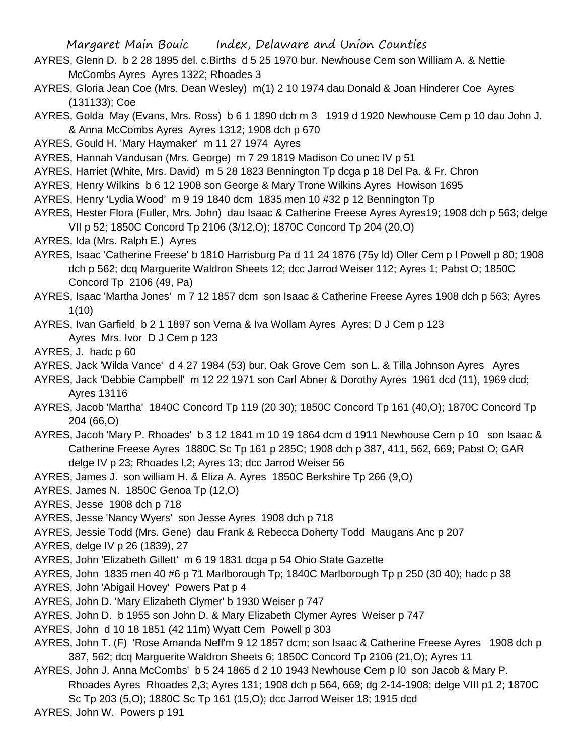- AYRES, Glenn D. b 2 28 1895 del. c.Births d 5 25 1970 bur. Newhouse Cem son William A. & Nettie McCombs Ayres Ayres 1322; Rhoades 3
- AYRES, Gloria Jean Coe (Mrs. Dean Wesley) m(1) 2 10 1974 dau Donald & Joan Hinderer Coe Ayres (131133); Coe
- AYRES, Golda May (Evans, Mrs. Ross) b 6 1 1890 dcb m 3 1919 d 1920 Newhouse Cem p 10 dau John J. & Anna McCombs Ayres Ayres 1312; 1908 dch p 670
- AYRES, Gould H. 'Mary Haymaker' m 11 27 1974 Ayres

AYRES, Hannah Vandusan (Mrs. George) m 7 29 1819 Madison Co unec IV p 51

- AYRES, Harriet (White, Mrs. David) m 5 28 1823 Bennington Tp dcga p 18 Del Pa. & Fr. Chron
- AYRES, Henry Wilkins b 6 12 1908 son George & Mary Trone Wilkins Ayres Howison 1695
- AYRES, Henry 'Lydia Wood' m 9 19 1840 dcm 1835 men 10 #32 p 12 Bennington Tp
- AYRES, Hester Flora (Fuller, Mrs. John) dau Isaac & Catherine Freese Ayres Ayres19; 1908 dch p 563; delge VII p 52; 1850C Concord Tp 2106 (3/12,O); 1870C Concord Tp 204 (20,O)
- AYRES, Ida (Mrs. Ralph E.) Ayres
- AYRES, Isaac 'Catherine Freese' b 1810 Harrisburg Pa d 11 24 1876 (75y ld) Oller Cem p l Powell p 80; 1908 dch p 562; dcq Marguerite Waldron Sheets 12; dcc Jarrod Weiser 112; Ayres 1; Pabst O; 1850C Concord Tp 2106 (49, Pa)
- AYRES, Isaac 'Martha Jones' m 7 12 1857 dcm son Isaac & Catherine Freese Ayres 1908 dch p 563; Ayres 1(10)
- AYRES, Ivan Garfield b 2 1 1897 son Verna & Iva Wollam Ayres Ayres; D J Cem p 123 Ayres Mrs. Ivor D J Cem p 123
- AYRES, J. hadc p 60

AYRES, Jack 'Wilda Vance' d 4 27 1984 (53) bur. Oak Grove Cem son L. & Tilla Johnson Ayres Ayres

- AYRES, Jack 'Debbie Campbell' m 12 22 1971 son Carl Abner & Dorothy Ayres 1961 dcd (11), 1969 dcd; Ayres 13116
- AYRES, Jacob 'Martha' 1840C Concord Tp 119 (20 30); 1850C Concord Tp 161 (40,O); 1870C Concord Tp 204 (66,O)
- AYRES, Jacob 'Mary P. Rhoades' b 3 12 1841 m 10 19 1864 dcm d 1911 Newhouse Cem p 10 son Isaac & Catherine Freese Ayres 1880C Sc Tp 161 p 285C; 1908 dch p 387, 411, 562, 669; Pabst O; GAR delge IV p 23; Rhoades l,2; Ayres 13; dcc Jarrod Weiser 56
- AYRES, James J. son william H. & Eliza A. Ayres 1850C Berkshire Tp 266 (9,O)
- AYRES, James N. 1850C Genoa Tp (12,O)
- AYRES, Jesse 1908 dch p 718
- AYRES, Jesse 'Nancy Wyers' son Jesse Ayres 1908 dch p 718
- AYRES, Jessie Todd (Mrs. Gene) dau Frank & Rebecca Doherty Todd Maugans Anc p 207
- AYRES, delge IV p 26 (1839), 27
- AYRES, John 'Elizabeth Gillett' m 6 19 1831 dcga p 54 Ohio State Gazette
- AYRES, John 1835 men 40 #6 p 71 Marlborough Tp; 1840C Marlborough Tp p 250 (30 40); hadc p 38
- AYRES, John 'Abigail Hovey' Powers Pat p 4
- AYRES, John D. 'Mary Elizabeth Clymer' b 1930 Weiser p 747
- AYRES, John D. b 1955 son John D. & Mary Elizabeth Clymer Ayres Weiser p 747
- AYRES, John d 10 18 1851 (42 11m) Wyatt Cem Powell p 303
- AYRES, John T. (F) 'Rose Amanda Neff'm 9 12 1857 dcm; son Isaac & Catherine Freese Ayres 1908 dch p 387, 562; dcq Marguerite Waldron Sheets 6; 1850C Concord Tp 2106 (21,O); Ayres 11
- AYRES, John J. Anna McCombs' b 5 24 1865 d 2 10 1943 Newhouse Cem p l0 son Jacob & Mary P. Rhoades Ayres Rhoades 2,3; Ayres 131; 1908 dch p 564, 669; dg 2-14-1908; delge VIII p1 2; 1870C Sc Tp 203 (5,O); 1880C Sc Tp 161 (15,O); dcc Jarrod Weiser 18; 1915 dcd
- AYRES, John W. Powers p 191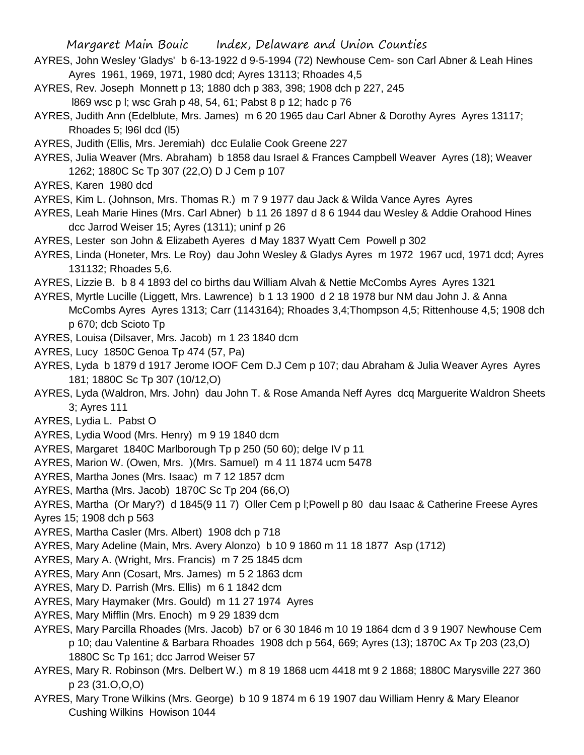- AYRES, John Wesley 'Gladys' b 6-13-1922 d 9-5-1994 (72) Newhouse Cem- son Carl Abner & Leah Hines Ayres 1961, 1969, 1971, 1980 dcd; Ayres 13113; Rhoades 4,5
- AYRES, Rev. Joseph Monnett p 13; 1880 dch p 383, 398; 1908 dch p 227, 245 l869 wsc p l; wsc Grah p 48, 54, 61; Pabst 8 p 12; hadc p 76
- AYRES, Judith Ann (Edelblute, Mrs. James) m 6 20 1965 dau Carl Abner & Dorothy Ayres Ayres 13117; Rhoades 5; l96l dcd (l5)
- AYRES, Judith (Ellis, Mrs. Jeremiah) dcc Eulalie Cook Greene 227
- AYRES, Julia Weaver (Mrs. Abraham) b 1858 dau Israel & Frances Campbell Weaver Ayres (18); Weaver 1262; 1880C Sc Tp 307 (22,O) D J Cem p 107
- AYRES, Karen 1980 dcd
- AYRES, Kim L. (Johnson, Mrs. Thomas R.) m 7 9 1977 dau Jack & Wilda Vance Ayres Ayres
- AYRES, Leah Marie Hines (Mrs. Carl Abner) b 11 26 1897 d 8 6 1944 dau Wesley & Addie Orahood Hines dcc Jarrod Weiser 15; Ayres (1311); uninf p 26
- AYRES, Lester son John & Elizabeth Ayeres d May 1837 Wyatt Cem Powell p 302
- AYRES, Linda (Honeter, Mrs. Le Roy) dau John Wesley & Gladys Ayres m 1972 1967 ucd, 1971 dcd; Ayres 131132; Rhoades 5,6.
- AYRES, Lizzie B. b 8 4 1893 del co births dau William Alvah & Nettie McCombs Ayres Ayres 1321
- AYRES, Myrtle Lucille (Liggett, Mrs. Lawrence) b 1 13 1900 d 2 18 1978 bur NM dau John J. & Anna McCombs Ayres Ayres 1313; Carr (1143164); Rhoades 3,4;Thompson 4,5; Rittenhouse 4,5; 1908 dch p 670; dcb Scioto Tp
- AYRES, Louisa (Dilsaver, Mrs. Jacob) m 1 23 1840 dcm
- AYRES, Lucy 1850C Genoa Tp 474 (57, Pa)
- AYRES, Lyda b 1879 d 1917 Jerome IOOF Cem D.J Cem p 107; dau Abraham & Julia Weaver Ayres Ayres 181; 1880C Sc Tp 307 (10/12,O)
- AYRES, Lyda (Waldron, Mrs. John) dau John T. & Rose Amanda Neff Ayres dcq Marguerite Waldron Sheets 3; Ayres 111
- AYRES, Lydia L. Pabst O
- AYRES, Lydia Wood (Mrs. Henry) m 9 19 1840 dcm
- AYRES, Margaret 1840C Marlborough Tp p 250 (50 60); delge IV p 11
- AYRES, Marion W. (Owen, Mrs. )(Mrs. Samuel) m 4 11 1874 ucm 5478
- AYRES, Martha Jones (Mrs. Isaac) m 7 12 1857 dcm
- AYRES, Martha (Mrs. Jacob) 1870C Sc Tp 204 (66,O)
- AYRES, Martha (Or Mary?) d 1845(9 11 7) Oller Cem p l;Powell p 80 dau Isaac & Catherine Freese Ayres Ayres 15; 1908 dch p 563
- AYRES, Martha Casler (Mrs. Albert) 1908 dch p 718
- AYRES, Mary Adeline (Main, Mrs. Avery Alonzo) b 10 9 1860 m 11 18 1877 Asp (1712)
- AYRES, Mary A. (Wright, Mrs. Francis) m 7 25 1845 dcm
- AYRES, Mary Ann (Cosart, Mrs. James) m 5 2 1863 dcm
- AYRES, Mary D. Parrish (Mrs. Ellis) m 6 1 1842 dcm
- AYRES, Mary Haymaker (Mrs. Gould) m 11 27 1974 Ayres
- AYRES, Mary Mifflin (Mrs. Enoch) m 9 29 1839 dcm
- AYRES, Mary Parcilla Rhoades (Mrs. Jacob) b7 or 6 30 1846 m 10 19 1864 dcm d 3 9 1907 Newhouse Cem p 10; dau Valentine & Barbara Rhoades 1908 dch p 564, 669; Ayres (13); 1870C Ax Tp 203 (23,O) 1880C Sc Tp 161; dcc Jarrod Weiser 57
- AYRES, Mary R. Robinson (Mrs. Delbert W.) m 8 19 1868 ucm 4418 mt 9 2 1868; 1880C Marysville 227 360 p 23 (31.O,O,O)
- AYRES, Mary Trone Wilkins (Mrs. George) b 10 9 1874 m 6 19 1907 dau William Henry & Mary Eleanor Cushing Wilkins Howison 1044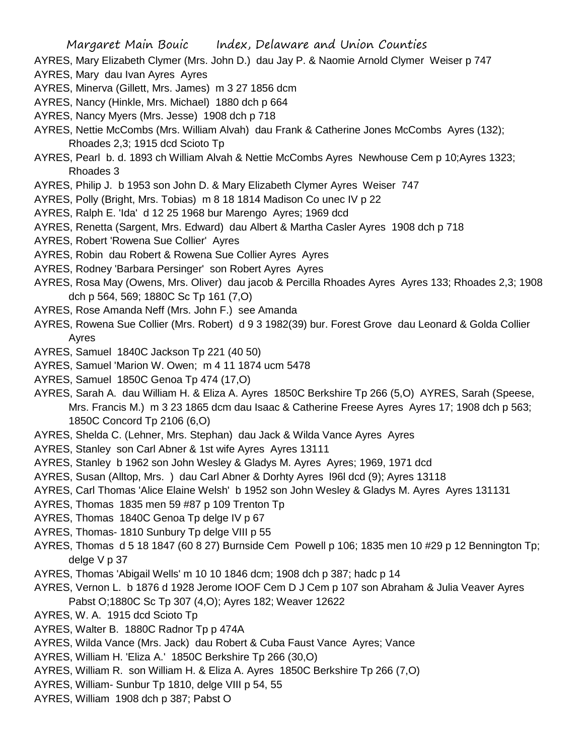- AYRES, Mary Elizabeth Clymer (Mrs. John D.) dau Jay P. & Naomie Arnold Clymer Weiser p 747
- AYRES, Mary dau Ivan Ayres Ayres
- AYRES, Minerva (Gillett, Mrs. James) m 3 27 1856 dcm
- AYRES, Nancy (Hinkle, Mrs. Michael) 1880 dch p 664
- AYRES, Nancy Myers (Mrs. Jesse) 1908 dch p 718
- AYRES, Nettie McCombs (Mrs. William Alvah) dau Frank & Catherine Jones McCombs Ayres (132); Rhoades 2,3; 1915 dcd Scioto Tp
- AYRES, Pearl b. d. 1893 ch William Alvah & Nettie McCombs Ayres Newhouse Cem p 10;Ayres 1323; Rhoades 3
- AYRES, Philip J. b 1953 son John D. & Mary Elizabeth Clymer Ayres Weiser 747
- AYRES, Polly (Bright, Mrs. Tobias) m 8 18 1814 Madison Co unec IV p 22
- AYRES, Ralph E. 'Ida' d 12 25 1968 bur Marengo Ayres; 1969 dcd
- AYRES, Renetta (Sargent, Mrs. Edward) dau Albert & Martha Casler Ayres 1908 dch p 718
- AYRES, Robert 'Rowena Sue Collier' Ayres
- AYRES, Robin dau Robert & Rowena Sue Collier Ayres Ayres
- AYRES, Rodney 'Barbara Persinger' son Robert Ayres Ayres
- AYRES, Rosa May (Owens, Mrs. Oliver) dau jacob & Percilla Rhoades Ayres Ayres 133; Rhoades 2,3; 1908 dch p 564, 569; 1880C Sc Tp 161 (7,O)
- AYRES, Rose Amanda Neff (Mrs. John F.) see Amanda
- AYRES, Rowena Sue Collier (Mrs. Robert) d 9 3 1982(39) bur. Forest Grove dau Leonard & Golda Collier Ayres
- AYRES, Samuel 1840C Jackson Tp 221 (40 50)
- AYRES, Samuel 'Marion W. Owen; m 4 11 1874 ucm 5478
- AYRES, Samuel 1850C Genoa Tp 474 (17,O)
- AYRES, Sarah A. dau William H. & Eliza A. Ayres 1850C Berkshire Tp 266 (5,O) AYRES, Sarah (Speese, Mrs. Francis M.) m 3 23 1865 dcm dau Isaac & Catherine Freese Ayres Ayres 17; 1908 dch p 563; 1850C Concord Tp 2106 (6,O)
- AYRES, Shelda C. (Lehner, Mrs. Stephan) dau Jack & Wilda Vance Ayres Ayres
- AYRES, Stanley son Carl Abner & 1st wife Ayres Ayres 13111
- AYRES, Stanley b 1962 son John Wesley & Gladys M. Ayres Ayres; 1969, 1971 dcd
- AYRES, Susan (Alltop, Mrs. ) dau Carl Abner & Dorhty Ayres l96l dcd (9); Ayres 13118
- AYRES, Carl Thomas 'Alice Elaine Welsh' b 1952 son John Wesley & Gladys M. Ayres Ayres 131131
- AYRES, Thomas 1835 men 59 #87 p 109 Trenton Tp
- AYRES, Thomas 1840C Genoa Tp delge IV p 67
- AYRES, Thomas- 1810 Sunbury Tp delge VIII p 55
- AYRES, Thomas d 5 18 1847 (60 8 27) Burnside Cem Powell p 106; 1835 men 10 #29 p 12 Bennington Tp; delge V p 37
- AYRES, Thomas 'Abigail Wells' m 10 10 1846 dcm; 1908 dch p 387; hadc p 14
- AYRES, Vernon L. b 1876 d 1928 Jerome IOOF Cem D J Cem p 107 son Abraham & Julia Veaver Ayres Pabst O;1880C Sc Tp 307 (4,O); Ayres 182; Weaver 12622
- AYRES, W. A. 1915 dcd Scioto Tp
- AYRES, Walter B. 1880C Radnor Tp p 474A
- AYRES, Wilda Vance (Mrs. Jack) dau Robert & Cuba Faust Vance Ayres; Vance
- AYRES, William H. 'Eliza A.' 1850C Berkshire Tp 266 (30,O)
- AYRES, William R. son William H. & Eliza A. Ayres 1850C Berkshire Tp 266 (7,O)
- AYRES, William- Sunbur Tp 1810, delge VIII p 54, 55
- AYRES, William 1908 dch p 387; Pabst O